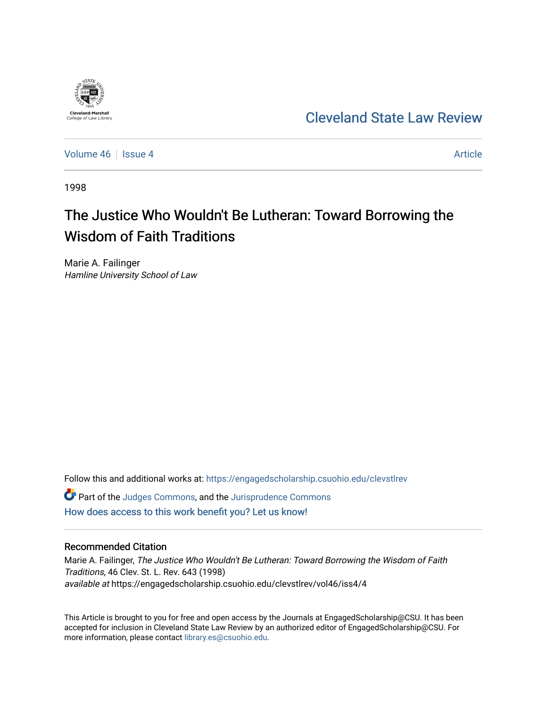

## [Cleveland State Law Review](https://engagedscholarship.csuohio.edu/clevstlrev)

[Volume 46](https://engagedscholarship.csuohio.edu/clevstlrev/vol46) Session 4 [Article](https://engagedscholarship.csuohio.edu/clevstlrev/vol46/iss4/4) 3 Article 3 Article

1998

# The Justice Who Wouldn't Be Lutheran: Toward Borrowing the Wisdom of Faith Traditions

Marie A. Failinger Hamline University School of Law

Follow this and additional works at: [https://engagedscholarship.csuohio.edu/clevstlrev](https://engagedscholarship.csuohio.edu/clevstlrev?utm_source=engagedscholarship.csuohio.edu%2Fclevstlrev%2Fvol46%2Fiss4%2F4&utm_medium=PDF&utm_campaign=PDFCoverPages) Part of the [Judges Commons,](http://network.bepress.com/hgg/discipline/849?utm_source=engagedscholarship.csuohio.edu%2Fclevstlrev%2Fvol46%2Fiss4%2F4&utm_medium=PDF&utm_campaign=PDFCoverPages) and the [Jurisprudence Commons](http://network.bepress.com/hgg/discipline/610?utm_source=engagedscholarship.csuohio.edu%2Fclevstlrev%2Fvol46%2Fiss4%2F4&utm_medium=PDF&utm_campaign=PDFCoverPages)  [How does access to this work benefit you? Let us know!](http://library.csuohio.edu/engaged/)

### Recommended Citation

Marie A. Failinger, The Justice Who Wouldn't Be Lutheran: Toward Borrowing the Wisdom of Faith Traditions, 46 Clev. St. L. Rev. 643 (1998) available at https://engagedscholarship.csuohio.edu/clevstlrev/vol46/iss4/4

This Article is brought to you for free and open access by the Journals at EngagedScholarship@CSU. It has been accepted for inclusion in Cleveland State Law Review by an authorized editor of EngagedScholarship@CSU. For more information, please contact [library.es@csuohio.edu](mailto:library.es@csuohio.edu).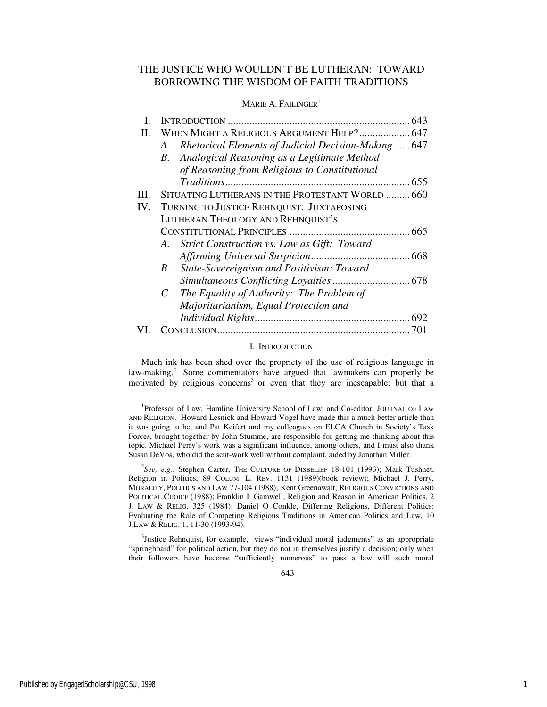## THE JUSTICE WHO WOULDN'T BE LUTHERAN: TOWARD BORROWING THE WISDOM OF FAITH TRADITIONS

#### MARIE A. FAILINGER<sup>1</sup>

|     | 643                                                       |
|-----|-----------------------------------------------------------|
| П.  | WHEN MIGHT A RELIGIOUS ARGUMENT HELP? 647                 |
|     | Rhetorical Elements of Judicial Decision-Making 647<br>А. |
|     | B. Analogical Reasoning as a Legitimate Method            |
|     | of Reasoning from Religious to Constitutional             |
|     |                                                           |
| Ш   | SITUATING LUTHERANS IN THE PROTESTANT WORLD 660           |
| IV. | TURNING TO JUSTICE REHNQUIST: JUXTAPOSING                 |
|     | LUTHERAN THEOLOGY AND REHNQUIST'S                         |
|     |                                                           |
|     | A. Strict Construction vs. Law as Gift: Toward            |
|     |                                                           |
|     | B. State-Sovereignism and Positivism: Toward              |
|     |                                                           |
|     | C. The Equality of Authority: The Problem of              |
|     | Majoritarianism, Equal Protection and                     |
|     |                                                           |
|     |                                                           |

#### I. INTRODUCTION

Much ink has been shed over the propriety of the use of religious language in law-making.<sup>2</sup> Some commentators have argued that lawmakers can properly be motivated by religious concerns<sup>3</sup> or even that they are inescapable; but that a

<sup>3</sup>Justice Rehnquist, for example, views "individual moral judgments" as an appropriate "springboard" for political action, but they do not in themselves justify a decision; only when their followers have become "sufficiently numerous" to pass a law will such moral

<sup>1</sup> Professor of Law, Hamline University School of Law, and Co-editor, JOURNAL OF LAW AND RELIGION. Howard Lesnick and Howard Vogel have made this a much better article than it was going to be, and Pat Keifert and my colleagues on ELCA Church in Society's Task Forces, brought together by John Stumme, are responsible for getting me thinking about this topic. Michael Perry's work was a significant influence, among others, and I must also thank Susan DeVos, who did the scut-work well without complaint, aided by Jonathan Miller.

<sup>&</sup>lt;sup>2</sup>See, e.g., Stephen Carter, THE CULTURE OF DISBELIEF 18-101 (1993); Mark Tushnet, Religion in Politics, 89 COLUM. L. REV. 1131 (1989)(book review); Michael J. Perry, MORALITY, POLITICS AND LAW 77-104 (1988); Kent Greenawalt, RELIGIOUS CONVICTIONS AND POLITICAL CHOICE (1988); Franklin I. Gamwell, Religion and Reason in American Politics, 2 J. LAW & RELIG. 325 (1984); Daniel O Conkle, Differing Religions, Different Politics: Evaluating the Role of Competing Religious Traditions in American Politics and Law, 10 J.LAW & RELIG. 1, 11-30 (1993-94).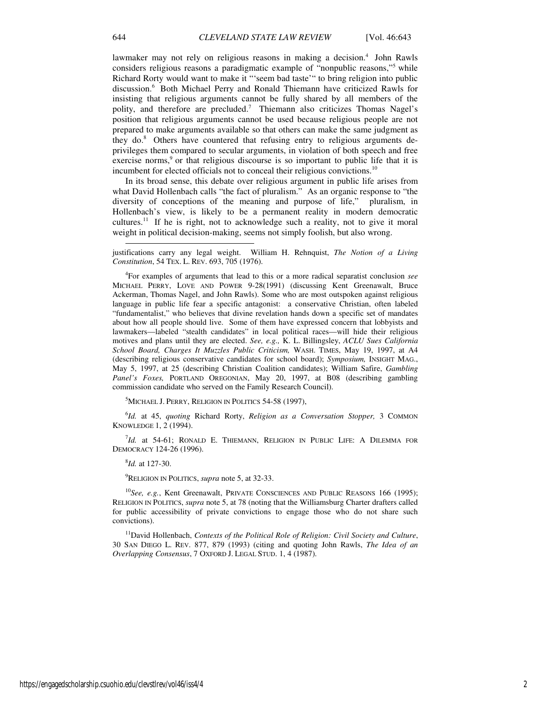lawmaker may not rely on religious reasons in making a decision.<sup>4</sup> John Rawls considers religious reasons a paradigmatic example of "nonpublic reasons,"<sup>5</sup> while Richard Rorty would want to make it "'seem bad taste'" to bring religion into public discussion.<sup>6</sup> Both Michael Perry and Ronald Thiemann have criticized Rawls for insisting that religious arguments cannot be fully shared by all members of the polity, and therefore are precluded.<sup>7</sup> Thiemann also criticizes Thomas Nagel's position that religious arguments cannot be used because religious people are not prepared to make arguments available so that others can make the same judgment as they do.8 Others have countered that refusing entry to religious arguments deprivileges them compared to secular arguments, in violation of both speech and free exercise norms, $9$  or that religious discourse is so important to public life that it is incumbent for elected officials not to conceal their religious convictions.<sup>10</sup>

In its broad sense, this debate over religious argument in public life arises from what David Hollenbach calls "the fact of pluralism." As an organic response to "the diversity of conceptions of the meaning and purpose of life," pluralism, in Hollenbach's view, is likely to be a permanent reality in modern democratic cultures.<sup>11</sup> If he is right, not to acknowledge such a reality, not to give it moral weight in political decision-making, seems not simply foolish, but also wrong.

justifications carry any legal weight. William H. Rehnquist, *The Notion of a Living Constitution*, 54 TEX. L. REV. 693, 705 (1976).

4 For examples of arguments that lead to this or a more radical separatist conclusion *see*  MICHAEL PERRY, LOVE AND POWER 9-28(1991) (discussing Kent Greenawalt, Bruce Ackerman, Thomas Nagel, and John Rawls). Some who are most outspoken against religious language in public life fear a specific antagonist: a conservative Christian, often labeled "fundamentalist," who believes that divine revelation hands down a specific set of mandates about how all people should live. Some of them have expressed concern that lobbyists and lawmakers—labeled "stealth candidates" in local political races—will hide their religious motives and plans until they are elected. *See, e.g.,* K. L. Billingsley, *ACLU Sues California School Board, Charges It Muzzles Public Criticism,* WASH. TIMES, May 19, 1997, at A4 (describing religious conservative candidates for school board); *Symposium,* INSIGHT MAG., May 5, 1997, at 25 (describing Christian Coalition candidates); William Safire, *Gambling Panel's Foxes,* PORTLAND OREGONIAN, May 20, 1997, at B08 (describing gambling commission candidate who served on the Family Research Council).

<sup>5</sup>MICHAEL J. PERRY, RELIGION IN POLITICS 54-58 (1997),

6 *Id.* at 45, *quoting* Richard Rorty, *Religion as a Conversation Stopper,* 3 COMMON KNOWLEDGE 1, 2 (1994).

7 *Id.* at 54-61; RONALD E. THIEMANN, RELIGION IN PUBLIC LIFE: A DILEMMA FOR DEMOCRACY 124-26 (1996).

8 *Id.* at 127-30.

<sup>9</sup>RELIGION IN POLITICS, *supra* note 5, at 32-33.

<sup>10</sup>See, e.g., Kent Greenawalt, PRIVATE CONSCIENCES AND PUBLIC REASONS 166 (1995); RELIGION IN POLITICS, *supra* note 5, at 78 (noting that the Williamsburg Charter drafters called for public accessibility of private convictions to engage those who do not share such convictions).

<sup>11</sup>David Hollenbach, *Contexts of the Political Role of Religion: Civil Society and Culture*, 30 SAN DIEGO L. REV. 877, 879 (1993) (citing and quoting John Rawls, *The Idea of an Overlapping Consensus*, 7 OXFORD J. LEGAL STUD. 1, 4 (1987).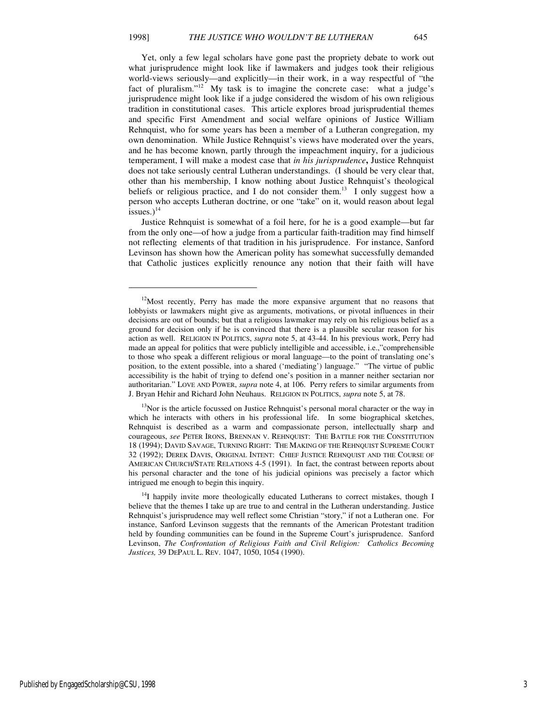Yet, only a few legal scholars have gone past the propriety debate to work out what jurisprudence might look like if lawmakers and judges took their religious world-views seriously—and explicitly—in their work, in a way respectful of "the fact of pluralism."<sup>12</sup> My task is to imagine the concrete case: what a judge's jurisprudence might look like if a judge considered the wisdom of his own religious tradition in constitutional cases. This article explores broad jurisprudential themes and specific First Amendment and social welfare opinions of Justice William Rehnquist, who for some years has been a member of a Lutheran congregation, my own denomination. While Justice Rehnquist's views have moderated over the years, and he has become known, partly through the impeachment inquiry, for a judicious temperament, I will make a modest case that *in his jurisprudence***,** Justice Rehnquist does not take seriously central Lutheran understandings. (I should be very clear that, other than his membership, I know nothing about Justice Rehnquist's theological beliefs or religious practice, and I do not consider them.<sup>13</sup> I only suggest how a person who accepts Lutheran doctrine, or one "take" on it, would reason about legal issues. $)^{14}$ 

Justice Rehnquist is somewhat of a foil here, for he is a good example—but far from the only one—of how a judge from a particular faith-tradition may find himself not reflecting elements of that tradition in his jurisprudence. For instance, Sanford Levinson has shown how the American polity has somewhat successfully demanded that Catholic justices explicitly renounce any notion that their faith will have

 $\overline{a}$ 

<sup>&</sup>lt;sup>12</sup>Most recently, Perry has made the more expansive argument that no reasons that lobbyists or lawmakers might give as arguments, motivations, or pivotal influences in their decisions are out of bounds; but that a religious lawmaker may rely on his religious belief as a ground for decision only if he is convinced that there is a plausible secular reason for his action as well. RELIGION IN POLITICS, *supra* note 5, at 43-44. In his previous work, Perry had made an appeal for politics that were publicly intelligible and accessible, i.e.,"comprehensible to those who speak a different religious or moral language—to the point of translating one's position, to the extent possible, into a shared ('mediating') language." "The virtue of public accessibility is the habit of trying to defend one's position in a manner neither sectarian nor authoritarian." LOVE AND POWER, *supra* note 4, at 106. Perry refers to similar arguments from J. Bryan Hehir and Richard John Neuhaus. RELIGION IN POLITICS, *supra* note 5, at 78.

<sup>&</sup>lt;sup>13</sup>Nor is the article focussed on Justice Rehnquist's personal moral character or the way in which he interacts with others in his professional life. In some biographical sketches, Rehnquist is described as a warm and compassionate person, intellectually sharp and courageous, *see* PETER IRONS, BRENNAN V. REHNQUIST: THE BATTLE FOR THE CONSTITUTION 18 (1994); DAVID SAVAGE, TURNING RIGHT: THE MAKING OF THE REHNQUIST SUPREME COURT 32 (1992); DEREK DAVIS, ORIGINAL INTENT: CHIEF JUSTICE REHNQUIST AND THE COURSE OF AMERICAN CHURCH/STATE RELATIONS 4-5 (1991). In fact, the contrast between reports about his personal character and the tone of his judicial opinions was precisely a factor which intrigued me enough to begin this inquiry.

 $14$ I happily invite more theologically educated Lutherans to correct mistakes, though I believe that the themes I take up are true to and central in the Lutheran understanding. Justice Rehnquist's jurisprudence may well reflect some Christian "story," if not a Lutheran one. For instance, Sanford Levinson suggests that the remnants of the American Protestant tradition held by founding communities can be found in the Supreme Court's jurisprudence. Sanford Levinson, *The Confrontation of Religious Faith and Civil Religion: Catholics Becoming Justices,* 39 DEPAUL L. REV. 1047, 1050, 1054 (1990).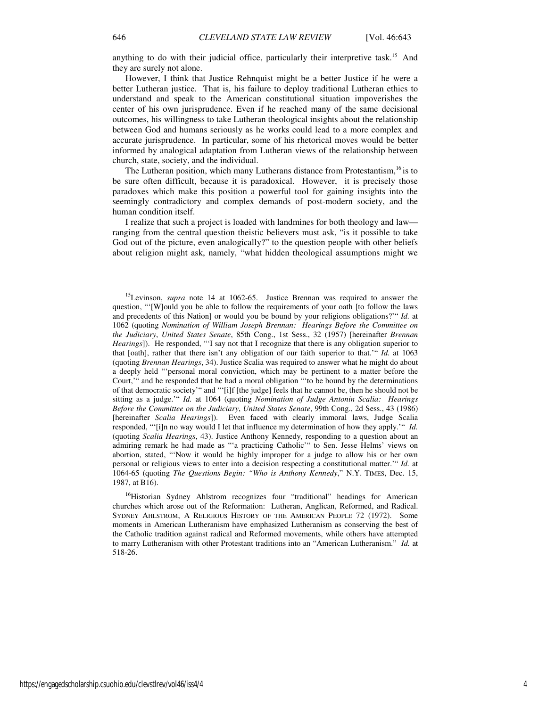anything to do with their judicial office, particularly their interpretive task.<sup>15</sup> And they are surely not alone.

However, I think that Justice Rehnquist might be a better Justice if he were a better Lutheran justice. That is, his failure to deploy traditional Lutheran ethics to understand and speak to the American constitutional situation impoverishes the center of his own jurisprudence. Even if he reached many of the same decisional outcomes, his willingness to take Lutheran theological insights about the relationship between God and humans seriously as he works could lead to a more complex and accurate jurisprudence. In particular, some of his rhetorical moves would be better informed by analogical adaptation from Lutheran views of the relationship between church, state, society, and the individual.

The Lutheran position, which many Lutherans distance from Protestantism,  $16$  is to be sure often difficult, because it is paradoxical. However, it is precisely those paradoxes which make this position a powerful tool for gaining insights into the seemingly contradictory and complex demands of post-modern society, and the human condition itself.

I realize that such a project is loaded with landmines for both theology and law ranging from the central question theistic believers must ask, "is it possible to take God out of the picture, even analogically?" to the question people with other beliefs about religion might ask, namely, "what hidden theological assumptions might we

 $\overline{a}$ 

<sup>&</sup>lt;sup>15</sup>Levinson, *supra* note 14 at 1062-65. Justice Brennan was required to answer the question, "'[W]ould you be able to follow the requirements of your oath [to follow the laws and precedents of this Nation] or would you be bound by your religions obligations?'" *Id.* at 1062 (quoting *Nomination of William Joseph Brennan: Hearings Before the Committee on the Judiciary*, *United States Senate*, 85th Cong., 1st Sess., 32 (1957) [hereinafter *Brennan Hearings*]). He responded, "'I say not that I recognize that there is any obligation superior to that [oath], rather that there isn't any obligation of our faith superior to that.'" *Id.* at 1063 (quoting *Brennan Hearings*, 34). Justice Scalia was required to answer what he might do about a deeply held "'personal moral conviction, which may be pertinent to a matter before the Court,'" and he responded that he had a moral obligation "'to be bound by the determinations of that democratic society'" and "'[i]f [the judge] feels that he cannot be, then he should not be sitting as a judge.'" *Id.* at 1064 (quoting *Nomination of Judge Antonin Scalia: Hearings Before the Committee on the Judiciary*, *United States Senate*, 99th Cong., 2d Sess., 43 (1986) [hereinafter *Scalia Hearings*]). Even faced with clearly immoral laws, Judge Scalia responded, "'[i]n no way would I let that influence my determination of how they apply.'" *Id.* (quoting *Scalia Hearings*, 43). Justice Anthony Kennedy, responding to a question about an admiring remark he had made as "'a practicing Catholic'" to Sen. Jesse Helms' views on abortion, stated, "'Now it would be highly improper for a judge to allow his or her own personal or religious views to enter into a decision respecting a constitutional matter.'" *Id.* at 1064-65 (quoting *The Questions Begin: "Who is Anthony Kennedy*," N.Y. TIMES, Dec. 15, 1987, at B16).

<sup>&</sup>lt;sup>16</sup>Historian Sydney Ahlstrom recognizes four "traditional" headings for American churches which arose out of the Reformation: Lutheran, Anglican, Reformed, and Radical. SYDNEY AHLSTROM, A RELIGIOUS HISTORY OF THE AMERICAN PEOPLE 72 (1972). Some moments in American Lutheranism have emphasized Lutheranism as conserving the best of the Catholic tradition against radical and Reformed movements, while others have attempted to marry Lutheranism with other Protestant traditions into an "American Lutheranism." *Id.* at 518-26.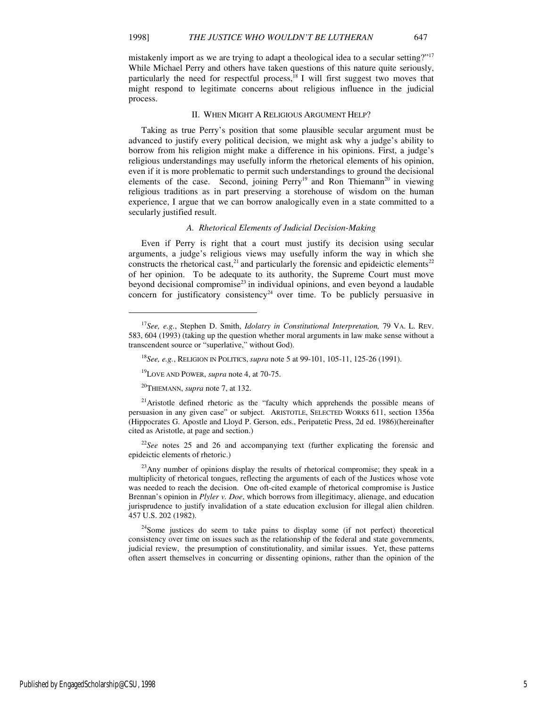j

mistakenly import as we are trying to adapt a theological idea to a secular setting?"<sup>17</sup> While Michael Perry and others have taken questions of this nature quite seriously, particularly the need for respectful process, $18$  I will first suggest two moves that might respond to legitimate concerns about religious influence in the judicial process.

#### II. WHEN MIGHT A RELIGIOUS ARGUMENT HELP?

Taking as true Perry's position that some plausible secular argument must be advanced to justify every political decision, we might ask why a judge's ability to borrow from his religion might make a difference in his opinions. First, a judge's religious understandings may usefully inform the rhetorical elements of his opinion, even if it is more problematic to permit such understandings to ground the decisional elements of the case. Second, joining  $Perry<sup>19</sup>$  and Ron Thiemann<sup>20</sup> in viewing religious traditions as in part preserving a storehouse of wisdom on the human experience, I argue that we can borrow analogically even in a state committed to a secularly justified result.

#### *A. Rhetorical Elements of Judicial Decision-Making*

Even if Perry is right that a court must justify its decision using secular arguments, a judge's religious views may usefully inform the way in which she constructs the rhetorical cast,<sup>21</sup> and particularly the forensic and epideictic elements<sup>22</sup> of her opinion. To be adequate to its authority, the Supreme Court must move beyond decisional compromise<sup>23</sup> in individual opinions, and even beyond a laudable concern for justificatory consistency<sup>24</sup> over time. To be publicly persuasive in

<sup>21</sup>Aristotle defined rhetoric as the "faculty which apprehends the possible means of persuasion in any given case" or subject. ARISTOTLE, SELECTED WORKS 611, section 1356a (Hippocrates G. Apostle and Lloyd P. Gerson, eds., Peripatetic Press, 2d ed. 1986)(hereinafter cited as Aristotle, at page and section.)

<sup>22</sup>*See* notes 25 and 26 and accompanying text (further explicating the forensic and epideictic elements of rhetoric.)

 $^{23}$ Any number of opinions display the results of rhetorical compromise; they speak in a multiplicity of rhetorical tongues, reflecting the arguments of each of the Justices whose vote was needed to reach the decision. One oft-cited example of rhetorical compromise is Justice Brennan's opinion in *Plyler v. Doe*, which borrows from illegitimacy, alienage, and education jurisprudence to justify invalidation of a state education exclusion for illegal alien children. 457 U.S. 202 (1982).

<sup>24</sup>Some justices do seem to take pains to display some (if not perfect) theoretical consistency over time on issues such as the relationship of the federal and state governments, judicial review, the presumption of constitutionality, and similar issues. Yet, these patterns often assert themselves in concurring or dissenting opinions, rather than the opinion of the

<sup>17</sup>*See, e.g.*, Stephen D. Smith, *Idolatry in Constitutional Interpretation,* 79 VA. L. REV. 583, 604 (1993) (taking up the question whether moral arguments in law make sense without a transcendent source or "superlative," without God).

<sup>18</sup>*See, e.g.*, RELIGION IN POLITICS, *supra* note 5 at 99-101, 105-11, 125-26 (1991).

<sup>19</sup>LOVE AND POWER, *supra* note 4, at 70-75.

<sup>20</sup>THIEMANN, *supra* note 7, at 132.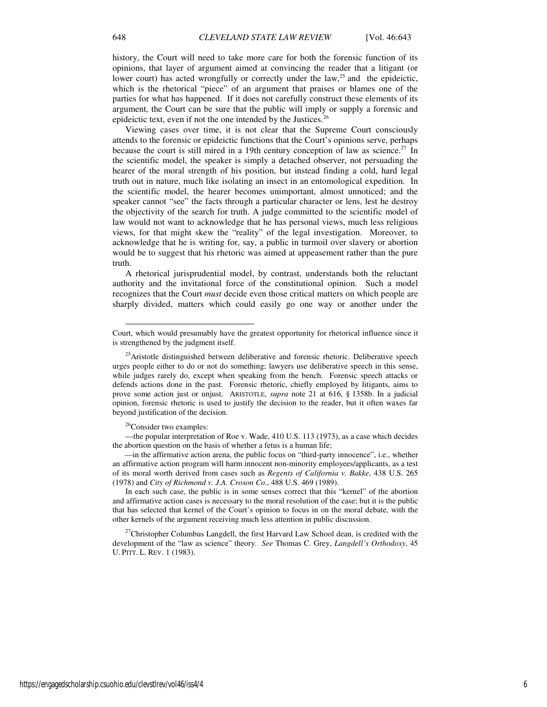history, the Court will need to take more care for both the forensic function of its opinions, that layer of argument aimed at convincing the reader that a litigant (or lower court) has acted wrongfully or correctly under the law, $^{25}$  and the epideictic, which is the rhetorical "piece" of an argument that praises or blames one of the parties for what has happened. If it does not carefully construct these elements of its argument, the Court can be sure that the public will imply or supply a forensic and epideictic text, even if not the one intended by the Justices.<sup>26</sup>

Viewing cases over time, it is not clear that the Supreme Court consciously attends to the forensic or epideictic functions that the Court's opinions serve, perhaps because the court is still mired in a 19th century conception of law as science.<sup>27</sup> In the scientific model, the speaker is simply a detached observer, not persuading the hearer of the moral strength of his position, but instead finding a cold, hard legal truth out in nature, much like isolating an insect in an entomological expedition. In the scientific model, the hearer becomes unimportant, almost unnoticed; and the speaker cannot "see" the facts through a particular character or lens, lest he destroy the objectivity of the search for truth. A judge committed to the scientific model of law would not want to acknowledge that he has personal views, much less religious views, for that might skew the "reality" of the legal investigation. Moreover, to acknowledge that he is writing for, say, a public in turmoil over slavery or abortion would be to suggest that his rhetoric was aimed at appeasement rather than the pure truth.

A rhetorical jurisprudential model, by contrast, understands both the reluctant authority and the invitational force of the constitutional opinion. Such a model recognizes that the Court *must* decide even those critical matters on which people are sharply divided, matters which could easily go one way or another under the

<sup>26</sup>Consider two examples:

l

—the popular interpretation of Roe v. Wade, 410 U.S. 113 (1973), as a case which decides the abortion question on the basis of whether a fetus is a human life;

 —in the affirmative action arena, the public focus on "third-party innocence", i.e., whether an affirmative action program will harm innocent non-minority employees/applicants, as a test of its moral worth derived from cases such as *Regents of California v. Bakke*, 438 U.S. 265 (1978) and *City of Richmond v. J.A. Croson Co*., 488 U.S. 469 (1989).

In each such case, the public is in some senses correct that this "kernel" of the abortion and affirmative action cases is necessary to the moral resolution of the case; but it is the public that has selected that kernel of the Court's opinion to focus in on the moral debate, with the other kernels of the argument receiving much less attention in public discussion.

 $27$ Christopher Columbus Langdell, the first Harvard Law School dean, is credited with the development of the "law as science" theory. *See* Thomas C. Grey, *Langdell's Orthodoxy*, 45 U. PITT. L. REV. 1 (1983).

Court, which would presumably have the greatest opportunity for rhetorical influence since it is strengthened by the judgment itself.

<sup>&</sup>lt;sup>25</sup>Aristotle distinguished between deliberative and forensic rhetoric. Deliberative speech urges people either to do or not do something; lawyers use deliberative speech in this sense, while judges rarely do, except when speaking from the bench. Forensic speech attacks or defends actions done in the past. Forensic rhetoric, chiefly employed by litigants, aims to prove some action just or unjust. ARISTOTLE, *supra* note 21 at 616, § 1358b. In a judicial opinion, forensic rhetoric is used to justify the decision to the reader, but it often waxes far beyond justification of the decision.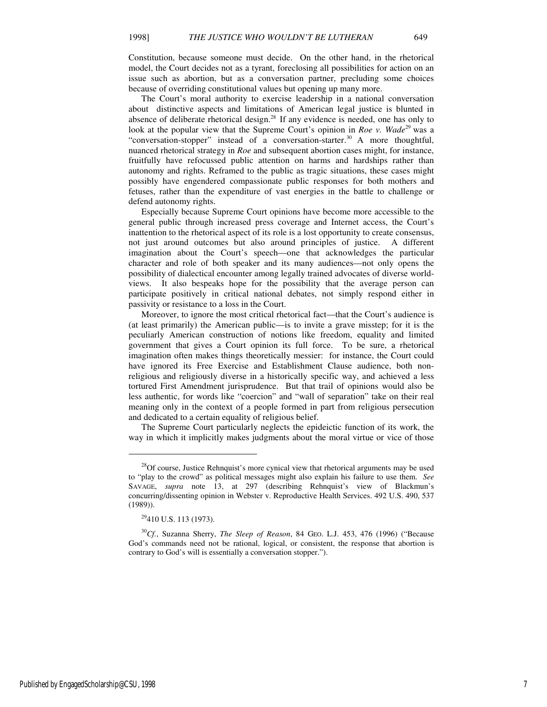Constitution, because someone must decide. On the other hand, in the rhetorical model, the Court decides not as a tyrant, foreclosing all possibilities for action on an issue such as abortion, but as a conversation partner, precluding some choices because of overriding constitutional values but opening up many more.

The Court's moral authority to exercise leadership in a national conversation about distinctive aspects and limitations of American legal justice is blunted in absence of deliberate rhetorical design.<sup>28</sup> If any evidence is needed, one has only to look at the popular view that the Supreme Court's opinion in *Roe v. Wade*<sup>29</sup> was a "conversation-stopper" instead of a conversation-starter.<sup>30</sup> A more thoughtful, nuanced rhetorical strategy in *Roe* and subsequent abortion cases might, for instance, fruitfully have refocussed public attention on harms and hardships rather than autonomy and rights. Reframed to the public as tragic situations, these cases might possibly have engendered compassionate public responses for both mothers and fetuses, rather than the expenditure of vast energies in the battle to challenge or defend autonomy rights.

Especially because Supreme Court opinions have become more accessible to the general public through increased press coverage and Internet access, the Court's inattention to the rhetorical aspect of its role is a lost opportunity to create consensus, not just around outcomes but also around principles of justice. A different imagination about the Court's speech—one that acknowledges the particular character and role of both speaker and its many audiences—not only opens the possibility of dialectical encounter among legally trained advocates of diverse worldviews. It also bespeaks hope for the possibility that the average person can participate positively in critical national debates, not simply respond either in passivity or resistance to a loss in the Court.

Moreover, to ignore the most critical rhetorical fact—that the Court's audience is (at least primarily) the American public—is to invite a grave misstep; for it is the peculiarly American construction of notions like freedom, equality and limited government that gives a Court opinion its full force. To be sure, a rhetorical imagination often makes things theoretically messier: for instance, the Court could have ignored its Free Exercise and Establishment Clause audience, both nonreligious and religiously diverse in a historically specific way, and achieved a less tortured First Amendment jurisprudence. But that trail of opinions would also be less authentic, for words like "coercion" and "wall of separation" take on their real meaning only in the context of a people formed in part from religious persecution and dedicated to a certain equality of religious belief.

The Supreme Court particularly neglects the epideictic function of its work, the way in which it implicitly makes judgments about the moral virtue or vice of those

 $28$ Of course, Justice Rehnquist's more cynical view that rhetorical arguments may be used to "play to the crowd" as political messages might also explain his failure to use them. *See* SAVAGE, *supra* note 13, at 297 (describing Rehnquist's view of Blackmun's concurring/dissenting opinion in Webster v. Reproductive Health Services. 492 U.S. 490, 537 (1989)).

<sup>29</sup>410 U.S. 113 (1973).

<sup>30</sup>*Cf.*, Suzanna Sherry, *The Sleep of Reason*, 84 GEO. L.J. 453, 476 (1996) ("Because God's commands need not be rational, logical, or consistent, the response that abortion is contrary to God's will is essentially a conversation stopper.").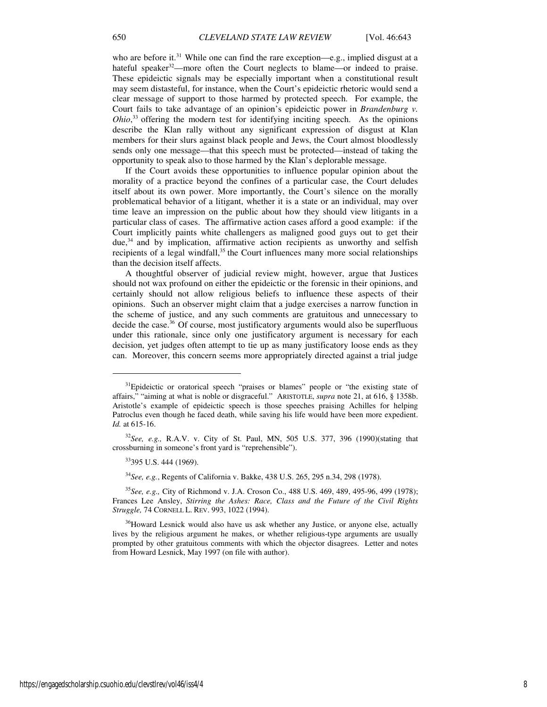who are before it.<sup>31</sup> While one can find the rare exception—e.g., implied disgust at a hateful speaker<sup>32</sup>—more often the Court neglects to blame—or indeed to praise. These epideictic signals may be especially important when a constitutional result may seem distasteful, for instance, when the Court's epideictic rhetoric would send a clear message of support to those harmed by protected speech. For example, the Court fails to take advantage of an opinion's epideictic power in *Brandenburg v. Ohio*,<sup>33</sup> offering the modern test for identifying inciting speech. As the opinions describe the Klan rally without any significant expression of disgust at Klan members for their slurs against black people and Jews, the Court almost bloodlessly sends only one message—that this speech must be protected—instead of taking the opportunity to speak also to those harmed by the Klan's deplorable message.

If the Court avoids these opportunities to influence popular opinion about the morality of a practice beyond the confines of a particular case, the Court deludes itself about its own power. More importantly, the Court's silence on the morally problematical behavior of a litigant, whether it is a state or an individual, may over time leave an impression on the public about how they should view litigants in a particular class of cases. The affirmative action cases afford a good example: if the Court implicitly paints white challengers as maligned good guys out to get their  $due<sup>34</sup>$  and by implication, affirmative action recipients as unworthy and selfish recipients of a legal windfall, $35$  the Court influences many more social relationships than the decision itself affects.

A thoughtful observer of judicial review might, however, argue that Justices should not wax profound on either the epideictic or the forensic in their opinions, and certainly should not allow religious beliefs to influence these aspects of their opinions. Such an observer might claim that a judge exercises a narrow function in the scheme of justice, and any such comments are gratuitous and unnecessary to decide the case.<sup>36</sup> Of course, most justificatory arguments would also be superfluous under this rationale, since only one justificatory argument is necessary for each decision, yet judges often attempt to tie up as many justificatory loose ends as they can. Moreover, this concern seems more appropriately directed against a trial judge

<sup>&</sup>lt;sup>31</sup>Epideictic or oratorical speech "praises or blames" people or "the existing state of affairs," "aiming at what is noble or disgraceful." ARISTOTLE, *supra* note 21, at 616, § 1358b. Aristotle's example of epideictic speech is those speeches praising Achilles for helping Patroclus even though he faced death, while saving his life would have been more expedient. *Id.* at 615-16.

<sup>32</sup>*See, e.g.,* R.A.V. v. City of St. Paul, MN, 505 U.S. 377, 396 (1990)(stating that crossburning in someone's front yard is "reprehensible").

<sup>33</sup>395 U.S. 444 (1969).

<sup>34</sup>*See, e.g.*, Regents of California v. Bakke, 438 U.S. 265, 295 n.34, 298 (1978).

<sup>35</sup>*See, e.g.,* City of Richmond v. J.A. Croson Co., 488 U.S. 469, 489, 495-96, 499 (1978); Frances Lee Ansley, *Stirring the Ashes: Race, Class and the Future of the Civil Rights Struggle,* 74 CORNELL L. REV. 993, 1022 (1994).

<sup>&</sup>lt;sup>36</sup>Howard Lesnick would also have us ask whether any Justice, or anyone else, actually lives by the religious argument he makes, or whether religious-type arguments are usually prompted by other gratuitous comments with which the objector disagrees. Letter and notes from Howard Lesnick, May 1997 (on file with author).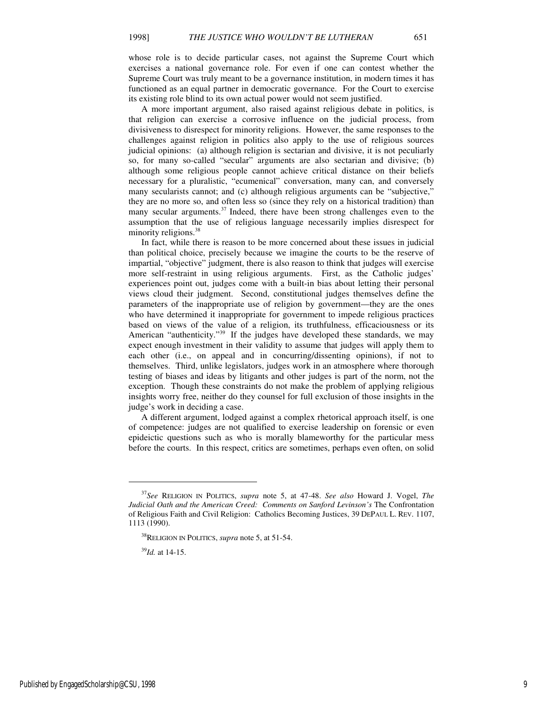whose role is to decide particular cases, not against the Supreme Court which exercises a national governance role. For even if one can contest whether the Supreme Court was truly meant to be a governance institution, in modern times it has functioned as an equal partner in democratic governance. For the Court to exercise its existing role blind to its own actual power would not seem justified.

A more important argument, also raised against religious debate in politics, is that religion can exercise a corrosive influence on the judicial process, from divisiveness to disrespect for minority religions. However, the same responses to the challenges against religion in politics also apply to the use of religious sources judicial opinions: (a) although religion is sectarian and divisive, it is not peculiarly so, for many so-called "secular" arguments are also sectarian and divisive; (b) although some religious people cannot achieve critical distance on their beliefs necessary for a pluralistic, "ecumenical" conversation, many can, and conversely many secularists cannot; and (c) although religious arguments can be "subjective," they are no more so, and often less so (since they rely on a historical tradition) than many secular arguments.<sup>37</sup> Indeed, there have been strong challenges even to the assumption that the use of religious language necessarily implies disrespect for minority religions. $38$ 

In fact, while there is reason to be more concerned about these issues in judicial than political choice, precisely because we imagine the courts to be the reserve of impartial, "objective" judgment, there is also reason to think that judges will exercise more self-restraint in using religious arguments. First, as the Catholic judges' experiences point out, judges come with a built-in bias about letting their personal views cloud their judgment. Second, constitutional judges themselves define the parameters of the inappropriate use of religion by government—they are the ones who have determined it inappropriate for government to impede religious practices based on views of the value of a religion, its truthfulness, efficaciousness or its American "authenticity."<sup>39</sup> If the judges have developed these standards, we may expect enough investment in their validity to assume that judges will apply them to each other (i.e., on appeal and in concurring/dissenting opinions), if not to themselves. Third, unlike legislators, judges work in an atmosphere where thorough testing of biases and ideas by litigants and other judges is part of the norm, not the exception. Though these constraints do not make the problem of applying religious insights worry free, neither do they counsel for full exclusion of those insights in the judge's work in deciding a case.

A different argument, lodged against a complex rhetorical approach itself, is one of competence: judges are not qualified to exercise leadership on forensic or even epideictic questions such as who is morally blameworthy for the particular mess before the courts. In this respect, critics are sometimes, perhaps even often, on solid

<sup>37</sup>*See* RELIGION IN POLITICS, *supra* note 5, at 47-48. *See also* Howard J. Vogel, *The Judicial Oath and the American Creed: Comments on Sanford Levinson's* The Confrontation of Religious Faith and Civil Religion: Catholics Becoming Justices, 39 DEPAUL L. REV. 1107, 1113 (1990).

<sup>38</sup>RELIGION IN POLITICS, *supra* note 5, at 51-54.

<sup>39</sup>*Id.* at 14-15.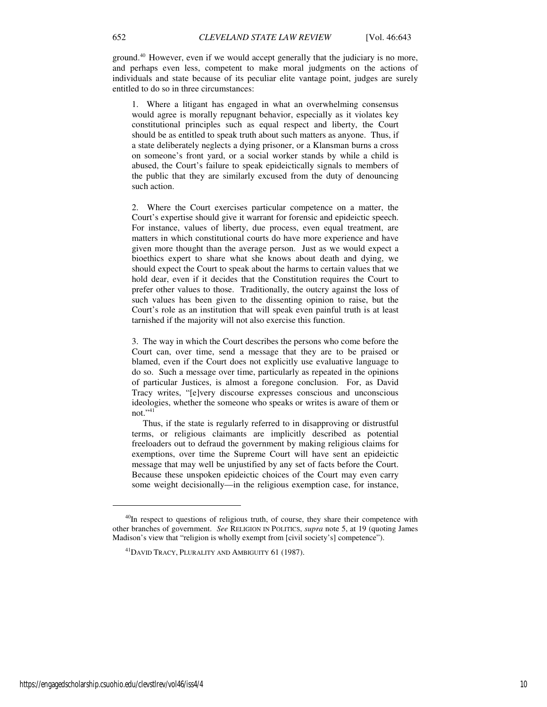ground.<sup>40</sup> However, even if we would accept generally that the judiciary is no more, and perhaps even less, competent to make moral judgments on the actions of individuals and state because of its peculiar elite vantage point, judges are surely entitled to do so in three circumstances:

1. Where a litigant has engaged in what an overwhelming consensus would agree is morally repugnant behavior, especially as it violates key constitutional principles such as equal respect and liberty, the Court should be as entitled to speak truth about such matters as anyone. Thus, if a state deliberately neglects a dying prisoner, or a Klansman burns a cross on someone's front yard, or a social worker stands by while a child is abused, the Court's failure to speak epideictically signals to members of the public that they are similarly excused from the duty of denouncing such action.

2. Where the Court exercises particular competence on a matter, the Court's expertise should give it warrant for forensic and epideictic speech. For instance, values of liberty, due process, even equal treatment, are matters in which constitutional courts do have more experience and have given more thought than the average person. Just as we would expect a bioethics expert to share what she knows about death and dying, we should expect the Court to speak about the harms to certain values that we hold dear, even if it decides that the Constitution requires the Court to prefer other values to those. Traditionally, the outcry against the loss of such values has been given to the dissenting opinion to raise, but the Court's role as an institution that will speak even painful truth is at least tarnished if the majority will not also exercise this function.

3. The way in which the Court describes the persons who come before the Court can, over time, send a message that they are to be praised or blamed, even if the Court does not explicitly use evaluative language to do so. Such a message over time, particularly as repeated in the opinions of particular Justices, is almost a foregone conclusion. For, as David Tracy writes, "[e]very discourse expresses conscious and unconscious ideologies, whether the someone who speaks or writes is aware of them or not." $41$ 

 Thus, if the state is regularly referred to in disapproving or distrustful terms, or religious claimants are implicitly described as potential freeloaders out to defraud the government by making religious claims for exemptions, over time the Supreme Court will have sent an epideictic message that may well be unjustified by any set of facts before the Court. Because these unspoken epideictic choices of the Court may even carry some weight decisionally—in the religious exemption case, for instance,

<sup>&</sup>lt;sup>40</sup>In respect to questions of religious truth, of course, they share their competence with other branches of government. *See* RELIGION IN POLITICS, *supra* note 5, at 19 (quoting James Madison's view that "religion is wholly exempt from [civil society's] competence").

<sup>41</sup>DAVID TRACY, PLURALITY AND AMBIGUITY 61 (1987).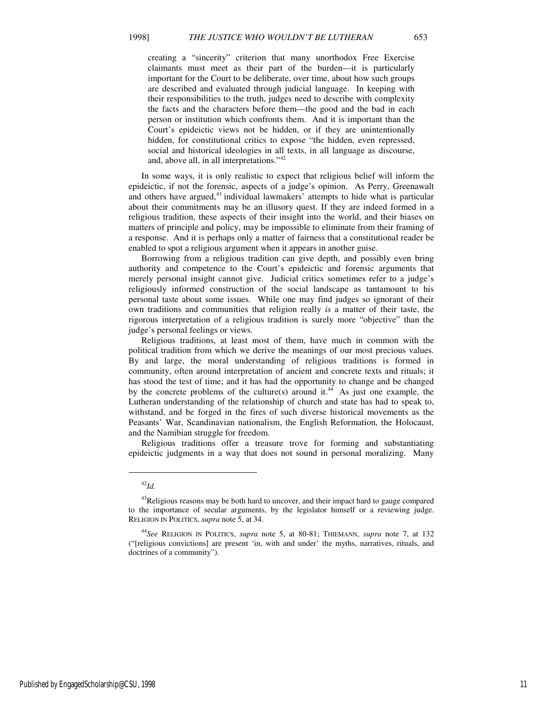creating a "sincerity" criterion that many unorthodox Free Exercise claimants must meet as their part of the burden—it is particularly important for the Court to be deliberate, over time, about how such groups are described and evaluated through judicial language. In keeping with their responsibilities to the truth, judges need to describe with complexity the facts and the characters before them—the good and the bad in each person or institution which confronts them. And it is important than the Court's epideictic views not be hidden, or if they are unintentionally hidden, for constitutional critics to expose "the hidden, even repressed, social and historical ideologies in all texts, in all language as discourse, and, above all, in all interpretations."<sup>42</sup>

In some ways, it is only realistic to expect that religious belief will inform the epideictic, if not the forensic, aspects of a judge's opinion. As Perry, Greenawalt and others have argued, $43$  individual lawmakers' attempts to hide what is particular about their commitments may be an illusory quest. If they are indeed formed in a religious tradition, these aspects of their insight into the world, and their biases on matters of principle and policy, may be impossible to eliminate from their framing of a response. And it is perhaps only a matter of fairness that a constitutional reader be enabled to spot a religious argument when it appears in another guise.

Borrowing from a religious tradition can give depth, and possibly even bring authority and competence to the Court's epideictic and forensic arguments that merely personal insight cannot give. Judicial critics sometimes refer to a judge's religiously informed construction of the social landscape as tantamount to his personal taste about some issues. While one may find judges so ignorant of their own traditions and communities that religion really *is* a matter of their taste, the rigorous interpretation of a religious tradition is surely more "objective" than the judge's personal feelings or views.

Religious traditions, at least most of them, have much in common with the political tradition from which we derive the meanings of our most precious values. By and large, the moral understanding of religious traditions is formed in community, often around interpretation of ancient and concrete texts and rituals; it has stood the test of time; and it has had the opportunity to change and be changed by the concrete problems of the culture(s) around it.<sup>44</sup> As just one example, the Lutheran understanding of the relationship of church and state has had to speak to, withstand, and be forged in the fires of such diverse historical movements as the Peasants' War, Scandinavian nationalism, the English Reformation, the Holocaust, and the Namibian struggle for freedom.

Religious traditions offer a treasure trove for forming and substantiating epideictic judgments in a way that does not sound in personal moralizing. Many

 $\overline{a}$ 

<sup>42</sup>*Id.*

<sup>&</sup>lt;sup>43</sup>Religious reasons may be both hard to uncover, and their impact hard to gauge compared to the importance of secular arguments, by the legislator himself or a reviewing judge. RELIGION IN POLITICS, *supra* note 5, at 34.

<sup>44</sup>*See* RELIGION IN POLITICS, *supra* note 5, at 80-81; THIEMANN, *supra* note 7, at 132 ("[religious convictions] are present 'in, with and under' the myths, narratives, rituals, and doctrines of a community").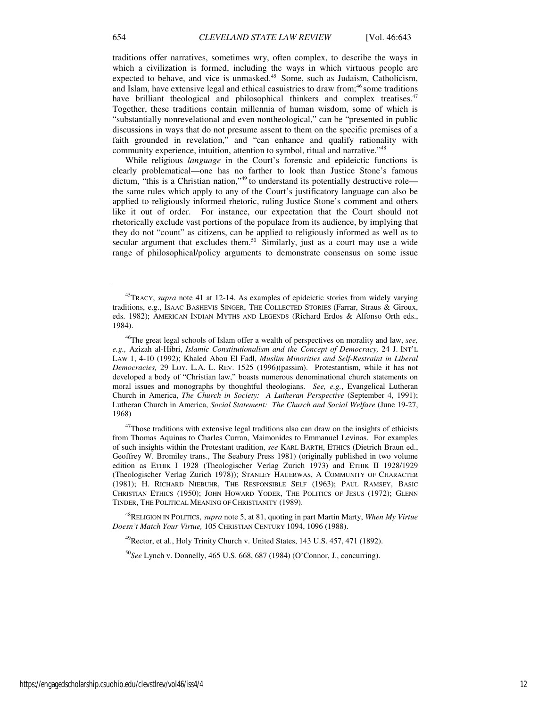traditions offer narratives, sometimes wry, often complex, to describe the ways in which a civilization is formed, including the ways in which virtuous people are expected to behave, and vice is unmasked.<sup>45</sup> Some, such as Judaism, Catholicism, and Islam, have extensive legal and ethical casuistries to draw from;<sup>46</sup> some traditions have brilliant theological and philosophical thinkers and complex treatises.<sup>47</sup> Together, these traditions contain millennia of human wisdom, some of which is "substantially nonrevelational and even nontheological," can be "presented in public discussions in ways that do not presume assent to them on the specific premises of a faith grounded in revelation," and "can enhance and qualify rationality with community experience, intuition, attention to symbol, ritual and narrative."<sup>48</sup>

While religious *language* in the Court's forensic and epideictic functions is clearly problematical—one has no farther to look than Justice Stone's famous dictum, "this is a Christian nation,"<sup>49</sup> to understand its potentially destructive role the same rules which apply to any of the Court's justificatory language can also be applied to religiously informed rhetoric, ruling Justice Stone's comment and others like it out of order. For instance, our expectation that the Court should not rhetorically exclude vast portions of the populace from its audience, by implying that they do not "count" as citizens, can be applied to religiously informed as well as to secular argument that excludes them.<sup>50</sup> Similarly, just as a court may use a wide range of philosophical/policy arguments to demonstrate consensus on some issue

<sup>45</sup>TRACY, *supra* note 41 at 12-14. As examples of epideictic stories from widely varying traditions, e.g., ISAAC BASHEVIS SINGER, THE COLLECTED STORIES (Farrar, Straus & Giroux, eds. 1982); AMERICAN INDIAN MYTHS AND LEGENDS (Richard Erdos & Alfonso Orth eds., 1984).

<sup>46</sup>The great legal schools of Islam offer a wealth of perspectives on morality and law, *see, e.g.,* Azizah al-Hibri, *Islamic Constitutionalism and the Concept of Democracy,* 24 J. INT'L LAW 1, 4-10 (1992); Khaled Abou El Fadl, *Muslim Minorities and Self-Restraint in Liberal Democracies,* 29 LOY. L.A. L. REV. 1525 (1996)(passim). Protestantism, while it has not developed a body of "Christian law," boasts numerous denominational church statements on moral issues and monographs by thoughtful theologians. *See, e.g.*, Evangelical Lutheran Church in America, *The Church in Society: A Lutheran Perspective* (September 4, 1991); Lutheran Church in America, *Social Statement: The Church and Social Welfare* (June 19-27, 1968)

<sup>&</sup>lt;sup>47</sup>Those traditions with extensive legal traditions also can draw on the insights of ethicists from Thomas Aquinas to Charles Curran, Maimonides to Emmanuel Levinas. For examples of such insights within the Protestant tradition, *see* KARL BARTH, ETHICS (Dietrich Braun ed., Geoffrey W. Bromiley trans., The Seabury Press 1981) (originally published in two volume edition as ETHIK I 1928 (Theologischer Verlag Zurich 1973) and ETHIK II 1928/1929 (Theologischer Verlag Zurich 1978)); STANLEY HAUERWAS, A COMMUNITY OF CHARACTER (1981); H. RICHARD NIEBUHR, THE RESPONSIBLE SELF (1963); PAUL RAMSEY, BASIC CHRISTIAN ETHICS (1950); JOHN HOWARD YODER, THE POLITICS OF JESUS (1972); GLENN TINDER, THE POLITICAL MEANING OF CHRISTIANITY (1989).

<sup>48</sup>RELIGION IN POLITICS, *supra* note 5, at 81, quoting in part Martin Marty, *When My Virtue Doesn't Match Your Virtue,* 105 CHRISTIAN CENTURY 1094, 1096 (1988).

<sup>&</sup>lt;sup>49</sup>Rector, et al., Holy Trinity Church v. United States, 143 U.S. 457, 471 (1892).

<sup>50</sup>*See* Lynch v. Donnelly, 465 U.S. 668, 687 (1984) (O'Connor, J., concurring).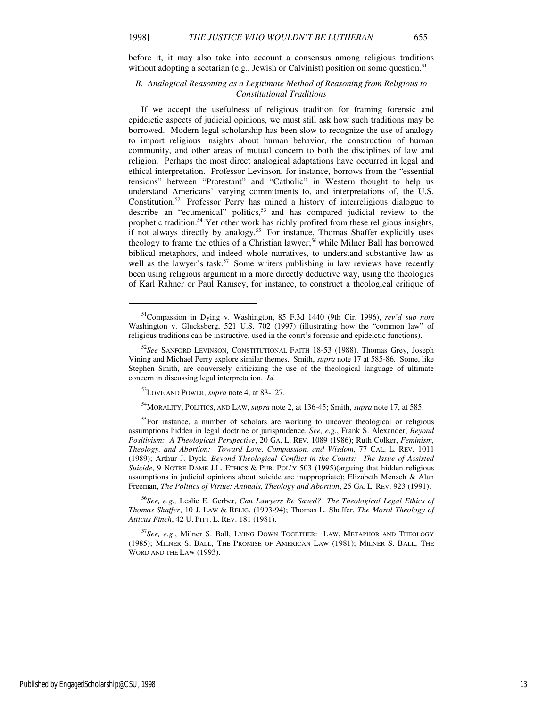before it, it may also take into account a consensus among religious traditions without adopting a sectarian (e.g., Jewish or Calvinist) position on some question.<sup>51</sup>

#### *B. Analogical Reasoning as a Legitimate Method of Reasoning from Religious to Constitutional Traditions*

If we accept the usefulness of religious tradition for framing forensic and epideictic aspects of judicial opinions, we must still ask how such traditions may be borrowed. Modern legal scholarship has been slow to recognize the use of analogy to import religious insights about human behavior, the construction of human community, and other areas of mutual concern to both the disciplines of law and religion. Perhaps the most direct analogical adaptations have occurred in legal and ethical interpretation. Professor Levinson, for instance, borrows from the "essential tensions" between "Protestant" and "Catholic" in Western thought to help us understand Americans' varying commitments to, and interpretations of, the U.S. Constitution.<sup>52</sup> Professor Perry has mined a history of interreligious dialogue to describe an "ecumenical" politics,<sup>53</sup> and has compared judicial review to the prophetic tradition.<sup>54</sup> Yet other work has richly profited from these religious insights, if not always directly by analogy.<sup>55</sup> For instance, Thomas Shaffer explicitly uses theology to frame the ethics of a Christian lawyer;<sup>56</sup> while Milner Ball has borrowed biblical metaphors, and indeed whole narratives, to understand substantive law as well as the lawyer's task. $57$  Some writers publishing in law reviews have recently been using religious argument in a more directly deductive way, using the theologies of Karl Rahner or Paul Ramsey, for instance, to construct a theological critique of

1

<sup>54</sup>MORALITY, POLITICS, AND LAW, *supra* note 2, at 136-45; Smith, *supra* note 17, at 585.

<sup>51</sup>Compassion in Dying v. Washington, 85 F.3d 1440 (9th Cir. 1996), *rev'd sub nom* Washington v. Glucksberg, 521 U.S. 702 (1997) (illustrating how the "common law" of religious traditions can be instructive, used in the court's forensic and epideictic functions).

<sup>52</sup>*See* SANFORD LEVINSON, CONSTITUTIONAL FAITH 18-53 (1988). Thomas Grey, Joseph Vining and Michael Perry explore similar themes. Smith, *supra* note 17 at 585-86. Some, like Stephen Smith, are conversely criticizing the use of the theological language of ultimate concern in discussing legal interpretation. *Id.*

<sup>53</sup>LOVE AND POWER, *supra* note 4, at 83-127.

<sup>&</sup>lt;sup>55</sup>For instance, a number of scholars are working to uncover theological or religious assumptions hidden in legal doctrine or jurisprudence. *See, e.g.*, Frank S. Alexander, *Beyond Positivism: A Theological Perspective*, 20 GA. L. REV. 1089 (1986); Ruth Colker, *Feminism, Theology, and Abortion: Toward Love, Compassion, and Wisdom*, 77 CAL. L. REV. 1011 (1989); Arthur J. Dyck, *Beyond Theological Conflict in the Courts: The Issue of Assisted Suicide*, 9 NOTRE DAME J.L. ETHICS & PUB. POL'Y 503 (1995)(arguing that hidden religious assumptions in judicial opinions about suicide are inappropriate); Elizabeth Mensch & Alan Freeman, *The Politics of Virtue: Animals, Theology and Abortion*, 25 GA. L. REV. 923 (1991).

<sup>56</sup>*See, e.g.,* Leslie E. Gerber, *Can Lawyers Be Saved? The Theological Legal Ethics of Thomas Shaffer*, 10 J. LAW & RELIG. (1993-94); Thomas L. Shaffer, *The Moral Theology of Atticus Finch*, 42 U. PITT. L. REV. 181 (1981).

<sup>57</sup>*See, e.g*., Milner S. Ball, LYING DOWN TOGETHER: LAW, METAPHOR AND THEOLOGY (1985); MILNER S. BALL, THE PROMISE OF AMERICAN LAW (1981); MILNER S. BALL, THE WORD AND THE LAW (1993).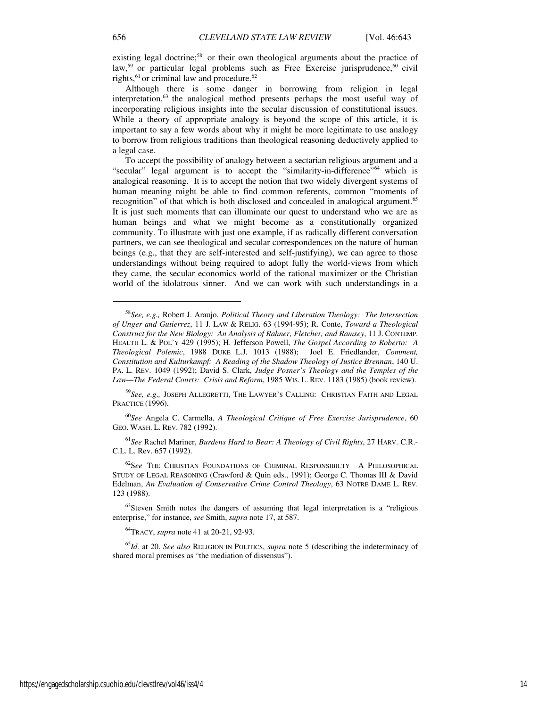existing legal doctrine;<sup>58</sup> or their own theological arguments about the practice of law,<sup>59</sup> or particular legal problems such as Free Exercise jurisprudence,<sup>60</sup> civil rights,<sup>61</sup> or criminal law and procedure.<sup>62</sup>

Although there is some danger in borrowing from religion in legal interpretation,<sup>63</sup> the analogical method presents perhaps the most useful way of incorporating religious insights into the secular discussion of constitutional issues. While a theory of appropriate analogy is beyond the scope of this article, it is important to say a few words about why it might be more legitimate to use analogy to borrow from religious traditions than theological reasoning deductively applied to a legal case.

To accept the possibility of analogy between a sectarian religious argument and a "secular" legal argument is to accept the "similarity-in-difference"<sup>64</sup> which is analogical reasoning. It is to accept the notion that two widely divergent systems of human meaning might be able to find common referents, common "moments of recognition" of that which is both disclosed and concealed in analogical argument.<sup>65</sup> It is just such moments that can illuminate our quest to understand who we are as human beings and what we might become as a constitutionally organized community. To illustrate with just one example, if as radically different conversation partners, we can see theological and secular correspondences on the nature of human beings (e.g., that they are self-interested and self-justifying), we can agree to those understandings without being required to adopt fully the world-views from which they came, the secular economics world of the rational maximizer or the Christian world of the idolatrous sinner. And we can work with such understandings in a

<sup>59</sup>*See, e.g.,* JOSEPH ALLEGRETTI, THE LAWYER'S CALLING: CHRISTIAN FAITH AND LEGAL PRACTICE (1996).

<sup>60</sup>*See* Angela C. Carmella, *A Theological Critique of Free Exercise Jurisprudence*, 60 GEO. WASH. L. REV. 782 (1992).

<sup>61</sup>*See* Rachel Mariner, *Burdens Hard to Bear: A Theology of Civil Rights*, 27 HARV. C.R.- C.L. L. Rev. 657 (1992).

<sup>62</sup>S*ee* THE CHRISTIAN FOUNDATIONS OF CRIMINAL RESPONSIBILTY A PHILOSOPHICAL STUDY OF LEGAL REASONING (Crawford & Quin eds., 1991); George C. Thomas III & David Edelman, *An Evaluation of Conservative Crime Control Theology*, 63 NOTRE DAME L. REV. 123 (1988).

 $63$ Steven Smith notes the dangers of assuming that legal interpretation is a "religious enterprise," for instance, *see* Smith, *supra* note 17, at 587.

<sup>64</sup>TRACY, *supra* note 41 at 20-21, 92-93.

<sup>65</sup>*Id.* at 20. *See also* RELIGION IN POLITICS, *supra* note 5 (describing the indeterminacy of shared moral premises as "the mediation of dissensus").

 $\overline{a}$ 

<sup>58</sup>*See, e.g.,* Robert J. Araujo, *Political Theory and Liberation Theology: The Intersection of Unger and Gutierrez*, 11 J. LAW & RELIG. 63 (1994-95); R. Conte, *Toward a Theological Construct for the New Biology: An Analysis of Rahner, Fletcher, and Ramsey*, 11 J. CONTEMP. HEALTH L. & POL'Y 429 (1995); H. Jefferson Powell, *The Gospel According to Roberto: A Theological Polemic*, 1988 DUKE L.J. 1013 (1988); Joel E. Friedlander, *Comment, Constitution and Kulturkampf: A Reading of the Shadow Theology of Justice Brennan*, 140 U. PA. L. REV. 1049 (1992); David S. Clark, *Judge Posner's Theology and the Temples of the Law—The Federal Courts: Crisis and Reform*, 1985 WIS. L. REV. 1183 (1985) (book review).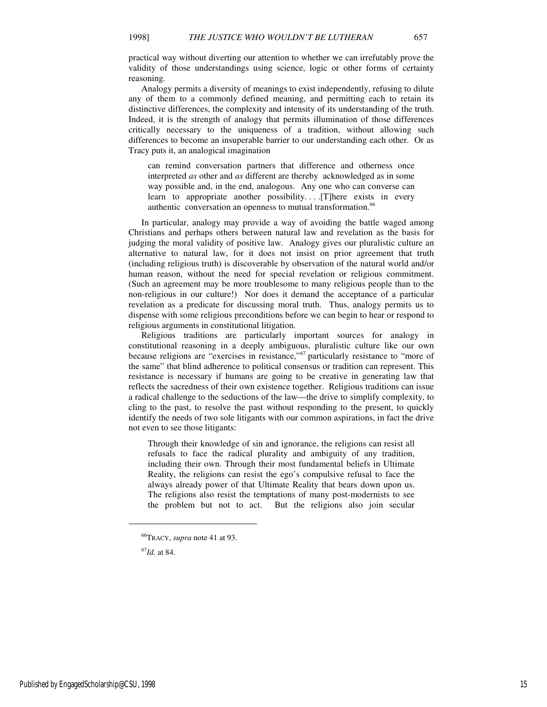practical way without diverting our attention to whether we can irrefutably prove the validity of those understandings using science, logic or other forms of certainty reasoning.

Analogy permits a diversity of meanings to exist independently, refusing to dilute any of them to a commonly defined meaning, and permitting each to retain its distinctive differences, the complexity and intensity of its understanding of the truth. Indeed, it is the strength of analogy that permits illumination of those differences critically necessary to the uniqueness of a tradition, without allowing such differences to become an insuperable barrier to our understanding each other. Or as Tracy puts it, an analogical imagination

can remind conversation partners that difference and otherness once interpreted *as* other and *as* different are thereby acknowledged as in some way possible and, in the end, analogous. Any one who can converse can learn to appropriate another possibility. . . .[T]here exists in every authentic conversation an openness to mutual transformation.<sup>66</sup>

In particular, analogy may provide a way of avoiding the battle waged among Christians and perhaps others between natural law and revelation as the basis for judging the moral validity of positive law. Analogy gives our pluralistic culture an alternative to natural law, for it does not insist on prior agreement that truth (including religious truth) is discoverable by observation of the natural world and/or human reason, without the need for special revelation or religious commitment. (Such an agreement may be more troublesome to many religious people than to the non-religious in our culture!) Nor does it demand the acceptance of a particular revelation as a predicate for discussing moral truth. Thus, analogy permits us to dispense with some religious preconditions before we can begin to hear or respond to religious arguments in constitutional litigation.

Religious traditions are particularly important sources for analogy in constitutional reasoning in a deeply ambiguous, pluralistic culture like our own because religions are "exercises in resistance,"<sup> $67$ </sup> particularly resistance to "more of the same" that blind adherence to political consensus or tradition can represent. This resistance is necessary if humans are going to be creative in generating law that reflects the sacredness of their own existence together. Religious traditions can issue a radical challenge to the seductions of the law—the drive to simplify complexity, to cling to the past, to resolve the past without responding to the present, to quickly identify the needs of two sole litigants with our common aspirations, in fact the drive not even to see those litigants:

Through their knowledge of sin and ignorance, the religions can resist all refusals to face the radical plurality and ambiguity of any tradition, including their own. Through their most fundamental beliefs in Ultimate Reality, the religions can resist the ego's compulsive refusal to face the always already power of that Ultimate Reality that bears down upon us. The religions also resist the temptations of many post-modernists to see the problem but not to act. But the religions also join secular

<sup>66</sup>TRACY, *supra* note 41 at 93.

<sup>67</sup>*Id.* at 84.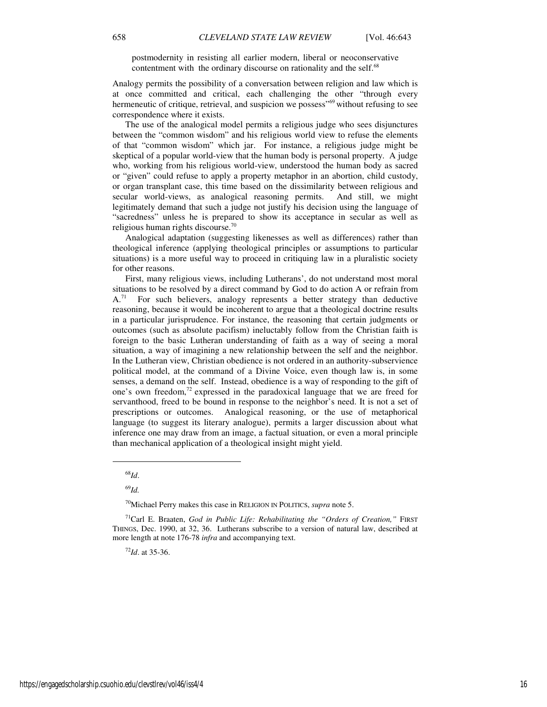postmodernity in resisting all earlier modern, liberal or neoconservative contentment with the ordinary discourse on rationality and the self.<sup>68</sup>

Analogy permits the possibility of a conversation between religion and law which is at once committed and critical, each challenging the other "through every hermeneutic of critique, retrieval, and suspicion we possess<sup>"69</sup> without refusing to see correspondence where it exists.

The use of the analogical model permits a religious judge who sees disjunctures between the "common wisdom" and his religious world view to refuse the elements of that "common wisdom" which jar. For instance, a religious judge might be skeptical of a popular world-view that the human body is personal property. A judge who, working from his religious world-view, understood the human body as sacred or "given" could refuse to apply a property metaphor in an abortion, child custody, or organ transplant case, this time based on the dissimilarity between religious and secular world-views, as analogical reasoning permits. And still, we might legitimately demand that such a judge not justify his decision using the language of "sacredness" unless he is prepared to show its acceptance in secular as well as religious human rights discourse.<sup>70</sup>

Analogical adaptation (suggesting likenesses as well as differences) rather than theological inference (applying theological principles or assumptions to particular situations) is a more useful way to proceed in critiquing law in a pluralistic society for other reasons.

First, many religious views, including Lutherans', do not understand most moral situations to be resolved by a direct command by God to do action A or refrain from  $A<sup>71</sup>$  For such believers, analogy represents a better strategy than deductive reasoning, because it would be incoherent to argue that a theological doctrine results in a particular jurisprudence. For instance, the reasoning that certain judgments or outcomes (such as absolute pacifism) ineluctably follow from the Christian faith is foreign to the basic Lutheran understanding of faith as a way of seeing a moral situation, a way of imagining a new relationship between the self and the neighbor. In the Lutheran view, Christian obedience is not ordered in an authority-subservience political model, at the command of a Divine Voice, even though law is, in some senses, a demand on the self. Instead, obedience is a way of responding to the gift of one's own freedom,<sup>72</sup> expressed in the paradoxical language that we are freed for servanthood, freed to be bound in response to the neighbor's need. It is not a set of prescriptions or outcomes. Analogical reasoning, or the use of metaphorical language (to suggest its literary analogue), permits a larger discussion about what inference one may draw from an image, a factual situation, or even a moral principle than mechanical application of a theological insight might yield.

 $\overline{a}$ 

<sup>69</sup>*Id.*

<sup>70</sup>Michael Perry makes this case in RELIGION IN POLITICS, *supra* note 5.

<sup>72</sup>*Id*. at 35-36.

<sup>68</sup>*Id*.

<sup>71</sup>Carl E. Braaten, *God in Public Life: Rehabilitating the "Orders of Creation,"* FIRST THINGS, Dec. 1990, at 32, 36. Lutherans subscribe to a version of natural law, described at more length at note 176-78 *infra* and accompanying text.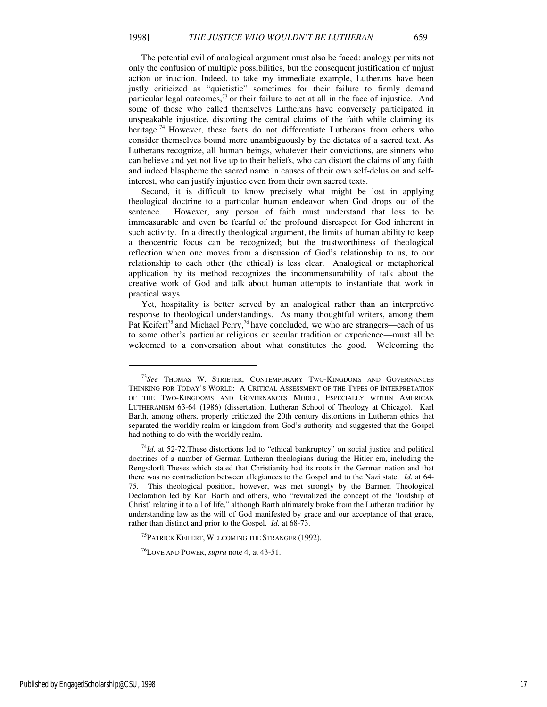The potential evil of analogical argument must also be faced: analogy permits not only the confusion of multiple possibilities, but the consequent justification of unjust action or inaction. Indeed, to take my immediate example, Lutherans have been justly criticized as "quietistic" sometimes for their failure to firmly demand particular legal outcomes,<sup>73</sup> or their failure to act at all in the face of injustice. And some of those who called themselves Lutherans have conversely participated in unspeakable injustice, distorting the central claims of the faith while claiming its heritage.<sup>74</sup> However, these facts do not differentiate Lutherans from others who consider themselves bound more unambiguously by the dictates of a sacred text. As Lutherans recognize, all human beings, whatever their convictions, are sinners who can believe and yet not live up to their beliefs, who can distort the claims of any faith and indeed blaspheme the sacred name in causes of their own self-delusion and selfinterest, who can justify injustice even from their own sacred texts.

Second, it is difficult to know precisely what might be lost in applying theological doctrine to a particular human endeavor when God drops out of the sentence. However, any person of faith must understand that loss to be immeasurable and even be fearful of the profound disrespect for God inherent in such activity. In a directly theological argument, the limits of human ability to keep a theocentric focus can be recognized; but the trustworthiness of theological reflection when one moves from a discussion of God's relationship to us, to our relationship to each other (the ethical) is less clear. Analogical or metaphorical application by its method recognizes the incommensurability of talk about the creative work of God and talk about human attempts to instantiate that work in practical ways.

Yet, hospitality is better served by an analogical rather than an interpretive response to theological understandings. As many thoughtful writers, among them Pat Keifert<sup>75</sup> and Michael Perry,<sup>76</sup> have concluded, we who are strangers—each of us to some other's particular religious or secular tradition or experience—must all be welcomed to a conversation about what constitutes the good. Welcoming the

<sup>73</sup>*See* THOMAS W. STRIETER, CONTEMPORARY TWO-KINGDOMS AND GOVERNANCES THINKING FOR TODAY'S WORLD: A CRITICAL ASSESSMENT OF THE TYPES OF INTERPRETATION OF THE TWO-KINGDOMS AND GOVERNANCES MODEL, ESPECIALLY WITHIN AMERICAN LUTHERANISM 63-64 (1986) (dissertation, Lutheran School of Theology at Chicago). Karl Barth, among others, properly criticized the 20th century distortions in Lutheran ethics that separated the worldly realm or kingdom from God's authority and suggested that the Gospel had nothing to do with the worldly realm.

<sup>74</sup>*Id*. at 52-72.These distortions led to "ethical bankruptcy" on social justice and political doctrines of a number of German Lutheran theologians during the Hitler era, including the Rengsdorft Theses which stated that Christianity had its roots in the German nation and that there was no contradiction between allegiances to the Gospel and to the Nazi state. *Id.* at 64- 75. This theological position, however, was met strongly by the Barmen Theological Declaration led by Karl Barth and others, who "revitalized the concept of the 'lordship of Christ' relating it to all of life," although Barth ultimately broke from the Lutheran tradition by understanding law as the will of God manifested by grace and our acceptance of that grace, rather than distinct and prior to the Gospel. *Id.* at 68-73.

<sup>&</sup>lt;sup>75</sup>PATRICK KEIFERT, WELCOMING THE STRANGER (1992).

<sup>76</sup>LOVE AND POWER, *supra* note 4, at 43-51.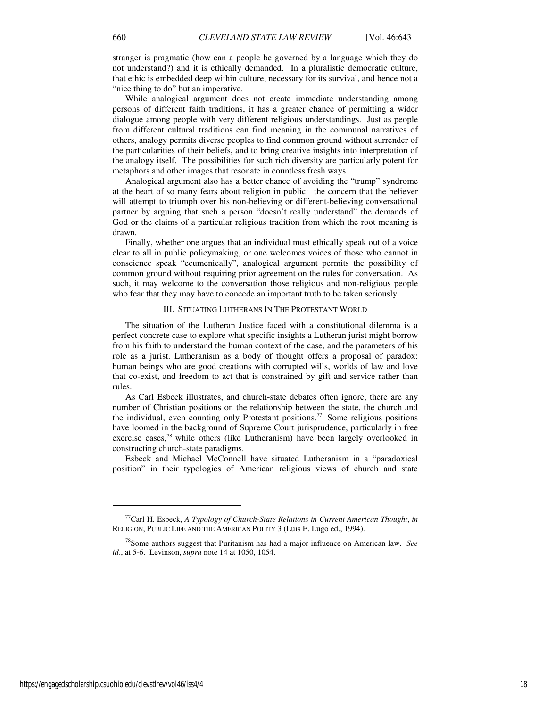stranger is pragmatic (how can a people be governed by a language which they do not understand?) and it is ethically demanded. In a pluralistic democratic culture, that ethic is embedded deep within culture, necessary for its survival, and hence not a "nice thing to do" but an imperative.

While analogical argument does not create immediate understanding among persons of different faith traditions, it has a greater chance of permitting a wider dialogue among people with very different religious understandings. Just as people from different cultural traditions can find meaning in the communal narratives of others, analogy permits diverse peoples to find common ground without surrender of the particularities of their beliefs, and to bring creative insights into interpretation of the analogy itself. The possibilities for such rich diversity are particularly potent for metaphors and other images that resonate in countless fresh ways.

Analogical argument also has a better chance of avoiding the "trump" syndrome at the heart of so many fears about religion in public: the concern that the believer will attempt to triumph over his non-believing or different-believing conversational partner by arguing that such a person "doesn't really understand" the demands of God or the claims of a particular religious tradition from which the root meaning is drawn.

Finally, whether one argues that an individual must ethically speak out of a voice clear to all in public policymaking, or one welcomes voices of those who cannot in conscience speak "ecumenically", analogical argument permits the possibility of common ground without requiring prior agreement on the rules for conversation. As such, it may welcome to the conversation those religious and non-religious people who fear that they may have to concede an important truth to be taken seriously.

#### III. SITUATING LUTHERANS IN THE PROTESTANT WORLD

The situation of the Lutheran Justice faced with a constitutional dilemma is a perfect concrete case to explore what specific insights a Lutheran jurist might borrow from his faith to understand the human context of the case, and the parameters of his role as a jurist. Lutheranism as a body of thought offers a proposal of paradox: human beings who are good creations with corrupted wills, worlds of law and love that co-exist, and freedom to act that is constrained by gift and service rather than rules.

As Carl Esbeck illustrates, and church-state debates often ignore, there are any number of Christian positions on the relationship between the state, the church and the individual, even counting only Protestant positions.<sup>77</sup> Some religious positions have loomed in the background of Supreme Court jurisprudence, particularly in free exercise cases,<sup>78</sup> while others (like Lutheranism) have been largely overlooked in constructing church-state paradigms.

Esbeck and Michael McConnell have situated Lutheranism in a "paradoxical position" in their typologies of American religious views of church and state

<sup>77</sup>Carl H. Esbeck, *A Typology of Church-State Relations in Current American Thought*, *in* RELIGION, PUBLIC LIFE AND THE AMERICAN POLITY 3 (Luis E. Lugo ed., 1994).

<sup>78</sup>Some authors suggest that Puritanism has had a major influence on American law. *See id*., at 5-6. Levinson, *supra* note 14 at 1050, 1054.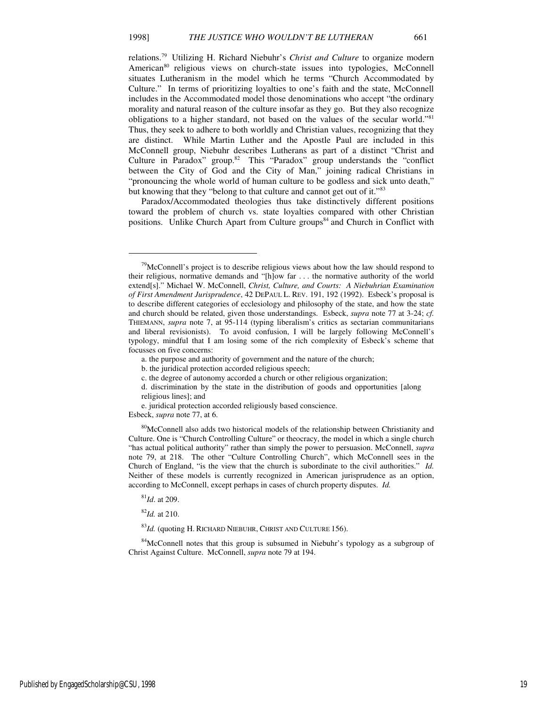relations.<sup>79</sup> Utilizing H. Richard Niebuhr's *Christ and Culture* to organize modern American<sup>80</sup> religious views on church-state issues into typologies, McConnell situates Lutheranism in the model which he terms "Church Accommodated by Culture." In terms of prioritizing loyalties to one's faith and the state, McConnell includes in the Accommodated model those denominations who accept "the ordinary morality and natural reason of the culture insofar as they go. But they also recognize obligations to a higher standard, not based on the values of the secular world."<sup>81</sup> Thus, they seek to adhere to both worldly and Christian values, recognizing that they are distinct. While Martin Luther and the Apostle Paul are included in this McConnell group, Niebuhr describes Lutherans as part of a distinct "Christ and Culture in Paradox" group.<sup>82</sup> This "Paradox" group understands the "conflict between the City of God and the City of Man," joining radical Christians in "pronouncing the whole world of human culture to be godless and sick unto death," but knowing that they "belong to that culture and cannot get out of it."<sup>83</sup>

Paradox/Accommodated theologies thus take distinctively different positions toward the problem of church vs. state loyalties compared with other Christian positions. Unlike Church Apart from Culture groups<sup>84</sup> and Church in Conflict with

- d. discrimination by the state in the distribution of goods and opportunities [along religious lines]; and
- e. juridical protection accorded religiously based conscience.

Esbeck, *supra* note 77, at 6.

<sup>80</sup>McConnell also adds two historical models of the relationship between Christianity and Culture. One is "Church Controlling Culture" or theocracy, the model in which a single church "has actual political authority" rather than simply the power to persuasion. McConnell, *supra* note 79, at 218. The other "Culture Controlling Church", which McConnell sees in the Church of England, "is the view that the church is subordinate to the civil authorities." *Id.* Neither of these models is currently recognized in American jurisprudence as an option, according to McConnell, except perhaps in cases of church property disputes. *Id.*

<sup>81</sup>*Id*. at 209.

j

<sup>82</sup>*Id.* at 210.

<sup>83</sup>*Id.* (quoting H. RICHARD NIEBUHR, CHRIST AND CULTURE 156).

<sup>84</sup>McConnell notes that this group is subsumed in Niebuhr's typology as a subgroup of Christ Against Culture. McConnell, *supra* note 79 at 194.

 $79$ McConnell's project is to describe religious views about how the law should respond to their religious, normative demands and "[h]ow far . . . the normative authority of the world extend[s]." Michael W. McConnell, *Christ, Culture, and Courts: A Niebuhrian Examination of First Amendment Jurisprudence*, 42 DEPAUL L. REV. 191, 192 (1992). Esbeck's proposal is to describe different categories of ecclesiology and philosophy of the state, and how the state and church should be related, given those understandings. Esbeck, *supra* note 77 at 3-24; *cf.* THIEMANN, *supra* note 7, at 95-114 (typing liberalism's critics as sectarian communitarians and liberal revisionists). To avoid confusion, I will be largely following McConnell's typology, mindful that I am losing some of the rich complexity of Esbeck's scheme that focusses on five concerns:

a. the purpose and authority of government and the nature of the church;

b. the juridical protection accorded religious speech;

c. the degree of autonomy accorded a church or other religious organization;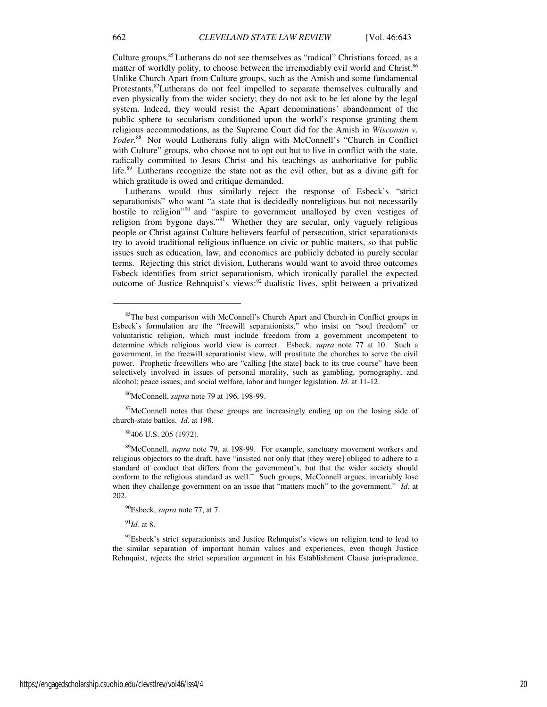Culture groups,<sup>85</sup> Lutherans do not see themselves as "radical" Christians forced, as a matter of worldly polity, to choose between the irremediably evil world and Christ.<sup>86</sup> Unlike Church Apart from Culture groups, such as the Amish and some fundamental Protestants,<sup>87</sup>Lutherans do not feel impelled to separate themselves culturally and even physically from the wider society; they do not ask to be let alone by the legal system. Indeed, they would resist the Apart denominations' abandonment of the public sphere to secularism conditioned upon the world's response granting them religious accommodations, as the Supreme Court did for the Amish in *Wisconsin v. Yoder.*<sup>88</sup> Nor would Lutherans fully align with McConnell's "Church in Conflict with Culture" groups, who choose not to opt out but to live in conflict with the state, radically committed to Jesus Christ and his teachings as authoritative for public life.<sup>89</sup> Lutherans recognize the state not as the evil other, but as a divine gift for which gratitude is owed and critique demanded.

Lutherans would thus similarly reject the response of Esbeck's "strict separationists" who want "a state that is decidedly nonreligious but not necessarily hostile to religion"<sup>90</sup> and "aspire to government unalloyed by even vestiges of religion from bygone days."<sup>91</sup> Whether they are secular, only vaguely religious people or Christ against Culture believers fearful of persecution, strict separationists try to avoid traditional religious influence on civic or public matters, so that public issues such as education, law, and economics are publicly debated in purely secular terms. Rejecting this strict division, Lutherans would want to avoid three outcomes Esbeck identifies from strict separationism, which ironically parallel the expected outcome of Justice Rehnquist's views:<sup>92</sup> dualistic lives, split between a privatized

<sup>86</sup>McConnell, *supra* note 79 at 196, 198-99.

<sup>87</sup>McConnell notes that these groups are increasingly ending up on the losing side of church-state battles. *Id.* at 198.

<sup>88</sup>406 U.S. 205 (1972).

<sup>89</sup>McConnell, *supra* note 79, at 198-99. For example, sanctuary movement workers and religious objectors to the draft, have "insisted not only that [they were] obliged to adhere to a standard of conduct that differs from the government's, but that the wider society should conform to the religious standard as well." Such groups, McConnell argues, invariably lose when they challenge government on an issue that "matters much" to the government." *Id.* at 202.

<sup>90</sup>Esbeck, *supra* note 77, at 7.

<sup>91</sup>*Id.* at 8.

<sup>92</sup>Esbeck's strict separationists and Justice Rehnquist's views on religion tend to lead to the similar separation of important human values and experiences, even though Justice Rehnquist, rejects the strict separation argument in his Establishment Clause jurisprudence,

<sup>&</sup>lt;sup>85</sup>The best comparison with McConnell's Church Apart and Church in Conflict groups in Esbeck's formulation are the "freewill separationists," who insist on "soul freedom" or voluntaristic religion, which must include freedom from a government incompetent to determine which religious world view is correct. Esbeck, *supra* note 77 at 10. Such a government, in the freewill separationist view, will prostitute the churches to serve the civil power. Prophetic freewillers who are "calling [the state] back to its true course" have been selectively involved in issues of personal morality, such as gambling, pornography, and alcohol; peace issues; and social welfare, labor and hunger legislation. *Id.* at 11-12.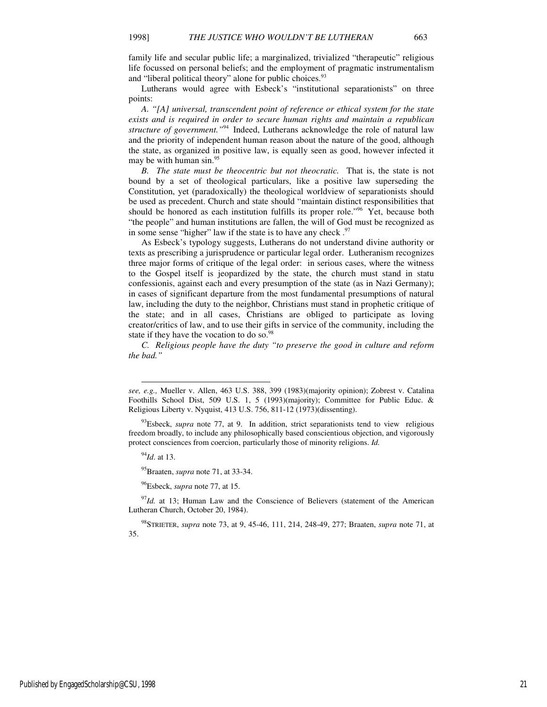family life and secular public life; a marginalized, trivialized "therapeutic" religious life focussed on personal beliefs; and the employment of pragmatic instrumentalism and "liberal political theory" alone for public choices.<sup>93</sup>

Lutherans would agree with Esbeck's "institutional separationists" on three points:

*A. "[A] universal, transcendent point of reference or ethical system for the state exists and is required in order to secure human rights and maintain a republican structure of government.*"<sup>94</sup> Indeed, Lutherans acknowledge the role of natural law and the priority of independent human reason about the nature of the good, although the state, as organized in positive law, is equally seen as good, however infected it may be with human sin.<sup>95</sup>

*B. The state must be theocentric but not theocratic.* That is, the state is not bound by a set of theological particulars, like a positive law superseding the Constitution, yet (paradoxically) the theological worldview of separationists should be used as precedent. Church and state should "maintain distinct responsibilities that should be honored as each institution fulfills its proper role."<sup>96</sup> Yet, because both "the people" and human institutions are fallen, the will of God must be recognized as in some sense "higher" law if the state is to have any check  $.97$ 

As Esbeck's typology suggests, Lutherans do not understand divine authority or texts as prescribing a jurisprudence or particular legal order. Lutheranism recognizes three major forms of critique of the legal order: in serious cases, where the witness to the Gospel itself is jeopardized by the state, the church must stand in statu confessionis, against each and every presumption of the state (as in Nazi Germany); in cases of significant departure from the most fundamental presumptions of natural law, including the duty to the neighbor, Christians must stand in prophetic critique of the state; and in all cases, Christians are obliged to participate as loving creator/critics of law, and to use their gifts in service of the community, including the state if they have the vocation to do so.<sup>98</sup>

*C. Religious people have the duty "to preserve the good in culture and reform the bad."* 

<sup>94</sup>*Id*. at 13.

j

<sup>95</sup>Braaten, *supra* note 71, at 33-34.

<sup>96</sup>Esbeck, *supra* note 77, at 15.

<sup>97</sup>Id. at 13; Human Law and the Conscience of Believers (statement of the American Lutheran Church, October 20, 1984).

<sup>98</sup>STRIETER, *supra* note 73, at 9, 45-46, 111, 214, 248-49, 277; Braaten, *supra* note 71, at 35.

*see, e.g.,* Mueller v. Allen, 463 U.S. 388, 399 (1983)(majority opinion); Zobrest v. Catalina Foothills School Dist, 509 U.S. 1, 5 (1993)(majority); Committee for Public Educ. & Religious Liberty v. Nyquist, 413 U.S. 756, 811-12 (1973)(dissenting).

<sup>&</sup>lt;sup>93</sup>Esbeck, *supra* note 77, at 9. In addition, strict separationists tend to view religious freedom broadly, to include any philosophically based conscientious objection, and vigorously protect consciences from coercion, particularly those of minority religions. *Id.*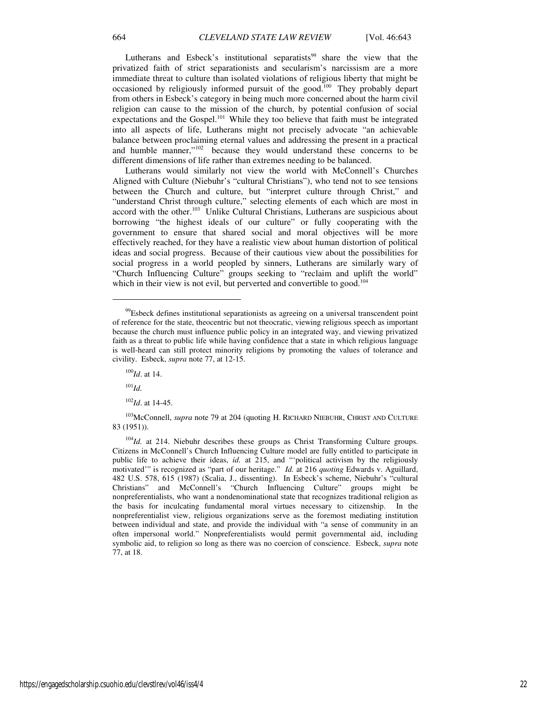Lutherans and Esbeck's institutional separatists<sup>99</sup> share the view that the privatized faith of strict separationists and secularism's narcissism are a more immediate threat to culture than isolated violations of religious liberty that might be occasioned by religiously informed pursuit of the good.<sup>100</sup> They probably depart from others in Esbeck's category in being much more concerned about the harm civil religion can cause to the mission of the church, by potential confusion of social expectations and the Gospel.<sup>101</sup> While they too believe that faith must be integrated into all aspects of life, Lutherans might not precisely advocate "an achievable balance between proclaiming eternal values and addressing the present in a practical and humble manner," $102$  because they would understand these concerns to be different dimensions of life rather than extremes needing to be balanced.

Lutherans would similarly not view the world with McConnell's Churches Aligned with Culture (Niebuhr's "cultural Christians"), who tend not to see tensions between the Church and culture, but "interpret culture through Christ," and "understand Christ through culture," selecting elements of each which are most in accord with the other.<sup>103</sup> Unlike Cultural Christians, Lutherans are suspicious about borrowing "the highest ideals of our culture" or fully cooperating with the government to ensure that shared social and moral objectives will be more effectively reached, for they have a realistic view about human distortion of political ideas and social progress. Because of their cautious view about the possibilities for social progress in a world peopled by sinners, Lutherans are similarly wary of "Church Influencing Culture" groups seeking to "reclaim and uplift the world" which in their view is not evil, but perverted and convertible to good.<sup>104</sup>

<sup>101</sup>*Id.*

j

<sup>102</sup>*Id*. at 14-45.

<sup>103</sup>McConnell, *supra* note 79 at 204 (quoting H. RICHARD NIEBUHR, CHRIST AND CULTURE 83 (1951)).

<sup>&</sup>lt;sup>99</sup>Esbeck defines institutional separationists as agreeing on a universal transcendent point of reference for the state, theocentric but not theocratic, viewing religious speech as important because the church must influence public policy in an integrated way, and viewing privatized faith as a threat to public life while having confidence that a state in which religious language is well-heard can still protect minority religions by promoting the values of tolerance and civility. Esbeck, *supra* note 77, at 12-15.

<sup>100</sup>*Id*. at 14.

<sup>&</sup>lt;sup>104</sup>*Id.* at 214. Niebuhr describes these groups as Christ Transforming Culture groups. Citizens in McConnell's Church Influencing Culture model are fully entitled to participate in public life to achieve their ideas, *id.* at 215, and "'political activism by the religiously motivated'" is recognized as "part of our heritage." *Id.* at 216 *quoting* Edwards v. Aguillard, 482 U.S. 578, 615 (1987) (Scalia, J., dissenting). In Esbeck's scheme, Niebuhr's "cultural Christians" and McConnell's "Church Influencing Culture" groups might be nonpreferentialists, who want a nondenominational state that recognizes traditional religion as the basis for inculcating fundamental moral virtues necessary to citizenship. In the nonpreferentialist view, religious organizations serve as the foremost mediating institution between individual and state, and provide the individual with "a sense of community in an often impersonal world." Nonpreferentialists would permit governmental aid, including symbolic aid, to religion so long as there was no coercion of conscience. Esbeck, *supra* note 77, at 18.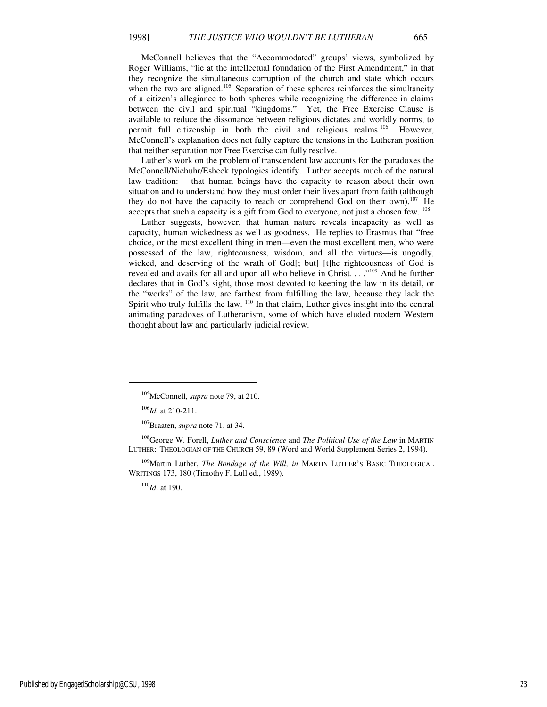McConnell believes that the "Accommodated" groups' views, symbolized by Roger Williams, "lie at the intellectual foundation of the First Amendment," in that they recognize the simultaneous corruption of the church and state which occurs when the two are aligned.<sup>105</sup> Separation of these spheres reinforces the simultaneity of a citizen's allegiance to both spheres while recognizing the difference in claims between the civil and spiritual "kingdoms." Yet, the Free Exercise Clause is available to reduce the dissonance between religious dictates and worldly norms, to permit full citizenship in both the civil and religious realms.<sup>106</sup> However, McConnell's explanation does not fully capture the tensions in the Lutheran position that neither separation nor Free Exercise can fully resolve.

Luther's work on the problem of transcendent law accounts for the paradoxes the McConnell/Niebuhr/Esbeck typologies identify. Luther accepts much of the natural law tradition: that human beings have the capacity to reason about their own situation and to understand how they must order their lives apart from faith (although they do not have the capacity to reach or comprehend God on their own).<sup>107</sup> He accepts that such a capacity is a gift from God to everyone, not just a chosen few. <sup>108</sup>

Luther suggests, however, that human nature reveals incapacity as well as capacity, human wickedness as well as goodness. He replies to Erasmus that "free choice, or the most excellent thing in men—even the most excellent men, who were possessed of the law, righteousness, wisdom, and all the virtues—is ungodly, wicked, and deserving of the wrath of God[; but] [t]he righteousness of God is revealed and avails for all and upon all who believe in Christ. . . . "<sup>109</sup> And he further declares that in God's sight, those most devoted to keeping the law in its detail, or the "works" of the law, are farthest from fulfilling the law, because they lack the Spirit who truly fulfills the law.  $110$  In that claim, Luther gives insight into the central animating paradoxes of Lutheranism, some of which have eluded modern Western thought about law and particularly judicial review.

 $\overline{a}$ 

<sup>108</sup>George W. Forell, *Luther and Conscience* and *The Political Use of the Law* in MARTIN LUTHER: THEOLOGIAN OF THE CHURCH 59, 89 (Word and World Supplement Series 2, 1994).

<sup>109</sup>Martin Luther, *The Bondage of the Will, in* MARTIN LUTHER'S BASIC THEOLOGICAL WRITINGS 173, 180 (Timothy F. Lull ed., 1989).

<sup>110</sup>*Id*. at 190.

Published by EngagedScholarship@CSU, 1998 23

<sup>105</sup>McConnell, *supra* note 79, at 210.

<sup>106</sup>*Id.* at 210-211.

<sup>107</sup>Braaten, *supra* note 71, at 34.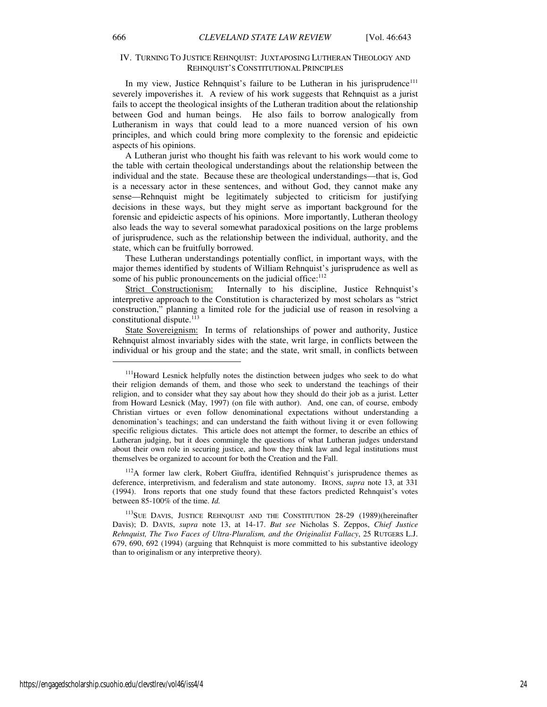#### IV. TURNING TO JUSTICE REHNQUIST: JUXTAPOSING LUTHERAN THEOLOGY AND REHNQUIST'S CONSTITUTIONAL PRINCIPLES

In my view, Justice Rehnquist's failure to be Lutheran in his jurisprudence<sup>111</sup> severely impoverishes it. A review of his work suggests that Rehnquist as a jurist fails to accept the theological insights of the Lutheran tradition about the relationship between God and human beings. He also fails to borrow analogically from Lutheranism in ways that could lead to a more nuanced version of his own principles, and which could bring more complexity to the forensic and epideictic aspects of his opinions.

A Lutheran jurist who thought his faith was relevant to his work would come to the table with certain theological understandings about the relationship between the individual and the state. Because these are theological understandings—that is, God is a necessary actor in these sentences, and without God, they cannot make any sense—Rehnquist might be legitimately subjected to criticism for justifying decisions in these ways, but they might serve as important background for the forensic and epideictic aspects of his opinions. More importantly, Lutheran theology also leads the way to several somewhat paradoxical positions on the large problems of jurisprudence, such as the relationship between the individual, authority, and the state, which can be fruitfully borrowed.

These Lutheran understandings potentially conflict, in important ways, with the major themes identified by students of William Rehnquist's jurisprudence as well as some of his public pronouncements on the judicial office:<sup>112</sup>

Strict Constructionism: Internally to his discipline, Justice Rehnquist's interpretive approach to the Constitution is characterized by most scholars as "strict construction," planning a limited role for the judicial use of reason in resolving a constitutional dispute.<sup>113</sup>

State Sovereignism: In terms of relationships of power and authority, Justice Rehnquist almost invariably sides with the state, writ large, in conflicts between the individual or his group and the state; and the state, writ small, in conflicts between

<sup>112</sup>A former law clerk, Robert Giuffra, identified Rehnquist's jurisprudence themes as deference, interpretivism, and federalism and state autonomy. IRONS, *supra* note 13, at 331 (1994). Irons reports that one study found that these factors predicted Rehnquist's votes between 85-100% of the time. *Id.*

<sup>113</sup>SUE DAVIS, JUSTICE REHNQUIST AND THE CONSTITUTION 28-29 (1989)(hereinafter Davis); D. DAVIS, *supra* note 13, at 14-17. *But see* Nicholas S. Zeppos, *Chief Justice Rehnquist, The Two Faces of Ultra-Pluralism, and the Originalist Fallacy*, 25 RUTGERS L.J. 679, 690, 692 (1994) (arguing that Rehnquist is more committed to his substantive ideology than to originalism or any interpretive theory).

<sup>&</sup>lt;sup>111</sup>Howard Lesnick helpfully notes the distinction between judges who seek to do what their religion demands of them, and those who seek to understand the teachings of their religion, and to consider what they say about how they should do their job as a jurist. Letter from Howard Lesnick (May, 1997) (on file with author). And, one can, of course, embody Christian virtues or even follow denominational expectations without understanding a denomination's teachings; and can understand the faith without living it or even following specific religious dictates. This article does not attempt the former, to describe an ethics of Lutheran judging, but it does commingle the questions of what Lutheran judges understand about their own role in securing justice, and how they think law and legal institutions must themselves be organized to account for both the Creation and the Fall.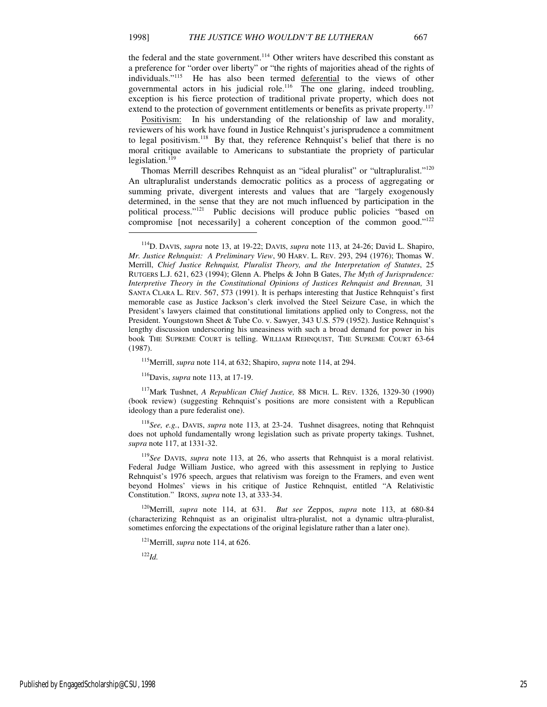the federal and the state government.<sup>114</sup> Other writers have described this constant as a preference for "order over liberty" or "the rights of majorities ahead of the rights of individuals."<sup>115</sup> He has also been termed deferential to the views of other governmental actors in his judicial role.<sup>116</sup> The one glaring, indeed troubling, exception is his fierce protection of traditional private property, which does not extend to the protection of government entitlements or benefits as private property.<sup>117</sup>

Positivism: In his understanding of the relationship of law and morality, reviewers of his work have found in Justice Rehnquist's jurisprudence a commitment to legal positivism.<sup>118</sup> By that, they reference Rehnquist's belief that there is no moral critique available to Americans to substantiate the propriety of particular legislation. $119$ 

Thomas Merrill describes Rehnquist as an "ideal pluralist" or "ultrapluralist."<sup>120</sup> An ultrapluralist understands democratic politics as a process of aggregating or summing private, divergent interests and values that are "largely exogenously determined, in the sense that they are not much influenced by participation in the political process."<sup>121</sup> Public decisions will produce public policies "based on compromise [not necessarily] a coherent conception of the common good."<sup>122</sup>

<sup>115</sup>Merrill, *supra* note 114, at 632; Shapiro, *supra* note 114, at 294.

<sup>116</sup>Davis, *supra* note 113, at 17-19.

<sup>117</sup>Mark Tushnet, *A Republican Chief Justice,* 88 MICH. L. REV. 1326, 1329-30 (1990) (book review) (suggesting Rehnquist's positions are more consistent with a Republican ideology than a pure federalist one).

<sup>118</sup>*See, e.g.*, DAVIS, *supra* note 113, at 23-24. Tushnet disagrees, noting that Rehnquist does not uphold fundamentally wrong legislation such as private property takings. Tushnet, *supra* note 117, at 1331-32.

<sup>119</sup>*See* DAVIS, *supra* note 113, at 26, who asserts that Rehnquist is a moral relativist. Federal Judge William Justice, who agreed with this assessment in replying to Justice Rehnquist's 1976 speech, argues that relativism was foreign to the Framers, and even went beyond Holmes' views in his critique of Justice Rehnquist, entitled "A Relativistic Constitution." IRONS, *supra* note 13, at 333-34.

<sup>120</sup>Merrill, *supra* note 114, at 631. *But see* Zeppos, *supra* note 113, at 680-84 (characterizing Rehnquist as an originalist ultra-pluralist, not a dynamic ultra-pluralist, sometimes enforcing the expectations of the original legislature rather than a later one).

<sup>121</sup>Merrill, *supra* note 114, at 626.

<sup>122</sup>*Id.*

<sup>114</sup>D. DAVIS, *supra* note 13, at 19-22; DAVIS, *supra* note 113, at 24-26; David L. Shapiro, *Mr. Justice Rehnquist: A Preliminary View*, 90 HARV. L. REV. 293, 294 (1976); Thomas W. Merrill, *Chief Justice Rehnquist, Pluralist Theory, and the Interpretation of Statutes*, 25 RUTGERS L.J. 621, 623 (1994); Glenn A. Phelps & John B Gates, *The Myth of Jurisprudence: Interpretive Theory in the Constitutional Opinions of Justices Rehnquist and Brennan,* 31 SANTA CLARA L. REV. 567, 573 (1991). It is perhaps interesting that Justice Rehnquist's first memorable case as Justice Jackson's clerk involved the Steel Seizure Case, in which the President's lawyers claimed that constitutional limitations applied only to Congress, not the President. Youngstown Sheet & Tube Co. v. Sawyer, 343 U.S. 579 (1952). Justice Rehnquist's lengthy discussion underscoring his uneasiness with such a broad demand for power in his book THE SUPREME COURT is telling. WILLIAM REHNQUIST, THE SUPREME COURT 63-64 (1987).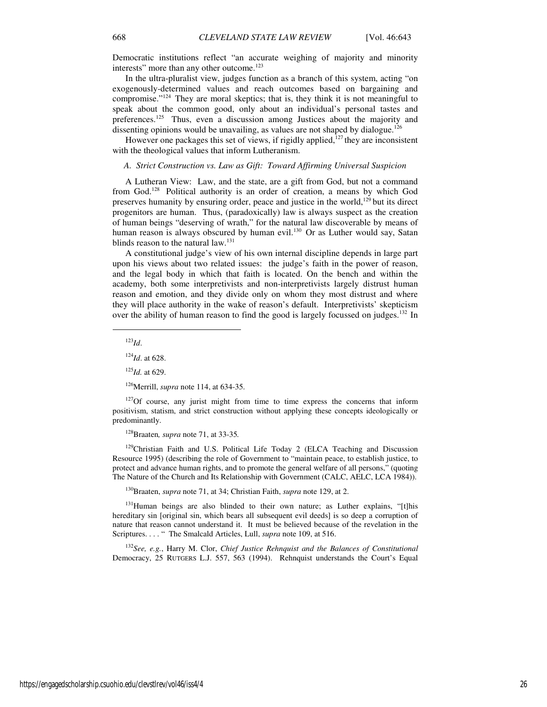Democratic institutions reflect "an accurate weighing of majority and minority interests" more than any other outcome.<sup>123</sup>

In the ultra-pluralist view, judges function as a branch of this system, acting "on exogenously-determined values and reach outcomes based on bargaining and compromise."<sup>124</sup> They are moral skeptics; that is, they think it is not meaningful to speak about the common good, only about an individual's personal tastes and preferences.<sup>125</sup> Thus, even a discussion among Justices about the majority and dissenting opinions would be unavailing, as values are not shaped by dialogue.<sup>126</sup>

However one packages this set of views, if rigidly applied, $127$  they are inconsistent with the theological values that inform Lutheranism.

#### *A. Strict Construction vs. Law as Gift: Toward Affirming Universal Suspicion*

A Lutheran View: Law, and the state, are a gift from God, but not a command from God.<sup>128</sup> Political authority is an order of creation, a means by which God preserves humanity by ensuring order, peace and justice in the world, $129$  but its direct progenitors are human. Thus, (paradoxically) law is always suspect as the creation of human beings "deserving of wrath," for the natural law discoverable by means of human reason is always obscured by human evil.<sup>130</sup> Or as Luther would say, Satan blinds reason to the natural  $\text{law}$ <sup>131</sup>

A constitutional judge's view of his own internal discipline depends in large part upon his views about two related issues: the judge's faith in the power of reason, and the legal body in which that faith is located. On the bench and within the academy, both some interpretivists and non-interpretivists largely distrust human reason and emotion, and they divide only on whom they most distrust and where they will place authority in the wake of reason's default. Interpretivists' skepticism over the ability of human reason to find the good is largely focussed on judges.<sup>132</sup> In

<sup>123</sup>*Id*.

j

<sup>124</sup>*Id*. at 628.

<sup>125</sup>*Id.* at 629.

<sup>126</sup>Merrill, *supra* note 114, at 634-35.

 $127$ Of course, any jurist might from time to time express the concerns that inform positivism, statism, and strict construction without applying these concepts ideologically or predominantly.

<sup>128</sup>Braaten*, supra* note 71, at 33-35*.*

<sup>129</sup>Christian Faith and U.S. Political Life Today 2 (ELCA Teaching and Discussion Resource 1995) (describing the role of Government to "maintain peace, to establish justice, to protect and advance human rights, and to promote the general welfare of all persons," (quoting The Nature of the Church and Its Relationship with Government (CALC, AELC, LCA 1984)).

<sup>130</sup>Braaten, *supra* note 71, at 34; Christian Faith, *supra* note 129, at 2.

<sup>131</sup>Human beings are also blinded to their own nature; as Luther explains, "[t]his hereditary sin [original sin, which bears all subsequent evil deeds] is so deep a corruption of nature that reason cannot understand it. It must be believed because of the revelation in the Scriptures. . . . " The Smalcald Articles, Lull, *supra* note 109, at 516.

<sup>132</sup>*See, e.g.*, Harry M. Clor, *Chief Justice Rehnquist and the Balances of Constitutional*  Democracy, 25 RUTGERS L.J. 557, 563 (1994). Rehnquist understands the Court's Equal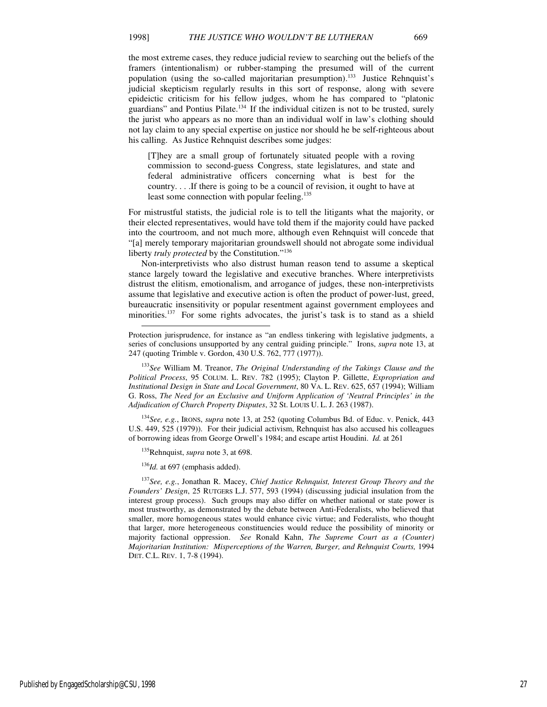the most extreme cases, they reduce judicial review to searching out the beliefs of the framers (intentionalism) or rubber-stamping the presumed will of the current population (using the so-called majoritarian presumption).<sup>133</sup> Justice Rehnquist's judicial skepticism regularly results in this sort of response, along with severe epideictic criticism for his fellow judges, whom he has compared to "platonic guardians" and Pontius Pilate.<sup>134</sup> If the individual citizen is not to be trusted, surely the jurist who appears as no more than an individual wolf in law's clothing should not lay claim to any special expertise on justice nor should he be self-righteous about his calling. As Justice Rehnquist describes some judges:

[T]hey are a small group of fortunately situated people with a roving commission to second-guess Congress, state legislatures, and state and federal administrative officers concerning what is best for the country. . . .If there is going to be a council of revision, it ought to have at least some connection with popular feeling.<sup>135</sup>

For mistrustful statists, the judicial role is to tell the litigants what the majority, or their elected representatives, would have told them if the majority could have packed into the courtroom, and not much more, although even Rehnquist will concede that "[a] merely temporary majoritarian groundswell should not abrogate some individual liberty *truly protected* by the Constitution."<sup>136</sup>

Non-interpretivists who also distrust human reason tend to assume a skeptical stance largely toward the legislative and executive branches. Where interpretivists distrust the elitism, emotionalism, and arrogance of judges, these non-interpretivists assume that legislative and executive action is often the product of power-lust, greed, bureaucratic insensitivity or popular resentment against government employees and minorities.<sup>137</sup> For some rights advocates, the jurist's task is to stand as a shield

<sup>133</sup>*See* William M. Treanor, *The Original Understanding of the Takings Clause and the Political Process*, 95 COLUM. L. REV. 782 (1995); Clayton P. Gillette, *Expropriation and Institutional Design in State and Local Government*, 80 VA. L. REV. 625, 657 (1994); William G. Ross, *The Need for an Exclusive and Uniform Application of 'Neutral Principles' in the Adjudication of Church Property Disputes*, 32 St. LOUIS U. L. J. 263 (1987).

<sup>134</sup>*See, e.g.*, IRONS, *supra* note 13, at 252 (quoting Columbus Bd. of Educ. v. Penick, 443 U.S. 449, 525 (1979)). For their judicial activism, Rehnquist has also accused his colleagues of borrowing ideas from George Orwell's 1984; and escape artist Houdini. *Id.* at 261

<sup>135</sup>Rehnquist, *supra* note 3, at 698.

<sup>136</sup>*Id.* at 697 (emphasis added).

-

<sup>137</sup>*See, e.g.*, Jonathan R. Macey, *Chief Justice Rehnquist, Interest Group Theory and the Founders' Design*, 25 RUTGERS L.J. 577, 593 (1994) (discussing judicial insulation from the interest group process). Such groups may also differ on whether national or state power is most trustworthy, as demonstrated by the debate between Anti-Federalists, who believed that smaller, more homogeneous states would enhance civic virtue; and Federalists, who thought that larger, more heterogeneous constituencies would reduce the possibility of minority or majority factional oppression. *See* Ronald Kahn, *The Supreme Court as a (Counter) Majoritarian Institution: Misperceptions of the Warren, Burger, and Rehnquist Courts, 1994* DET. C.L. REV. 1, 7-8 (1994).

Protection jurisprudence, for instance as "an endless tinkering with legislative judgments, a series of conclusions unsupported by any central guiding principle." Irons, *supra* note 13, at 247 (quoting Trimble v. Gordon, 430 U.S. 762, 777 (1977)).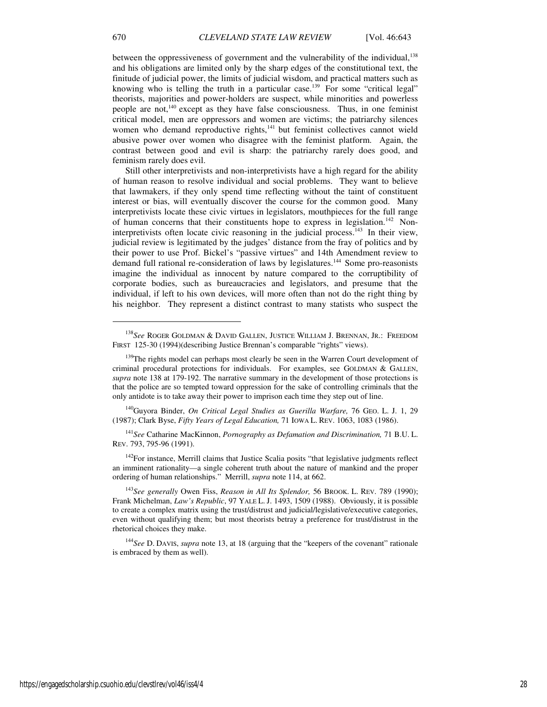between the oppressiveness of government and the vulnerability of the individual,<sup>138</sup> and his obligations are limited only by the sharp edges of the constitutional text, the finitude of judicial power, the limits of judicial wisdom, and practical matters such as knowing who is telling the truth in a particular case.<sup>139</sup> For some "critical legal" theorists, majorities and power-holders are suspect, while minorities and powerless people are not,<sup>140</sup> except as they have false consciousness. Thus, in one feminist critical model, men are oppressors and women are victims; the patriarchy silences women who demand reproductive rights, $141$  but feminist collectives cannot wield abusive power over women who disagree with the feminist platform. Again, the contrast between good and evil is sharp: the patriarchy rarely does good, and feminism rarely does evil.

Still other interpretivists and non-interpretivists have a high regard for the ability of human reason to resolve individual and social problems. They want to believe that lawmakers, if they only spend time reflecting without the taint of constituent interest or bias, will eventually discover the course for the common good. Many interpretivists locate these civic virtues in legislators, mouthpieces for the full range of human concerns that their constituents hope to express in legislation.<sup>142</sup> Noninterpretivists often locate civic reasoning in the judicial process.<sup>143</sup> In their view, judicial review is legitimated by the judges' distance from the fray of politics and by their power to use Prof. Bickel's "passive virtues" and 14th Amendment review to demand full rational re-consideration of laws by legislatures.<sup>144</sup> Some pro-reasonists imagine the individual as innocent by nature compared to the corruptibility of corporate bodies, such as bureaucracies and legislators, and presume that the individual, if left to his own devices, will more often than not do the right thing by his neighbor. They represent a distinct contrast to many statists who suspect the

<sup>140</sup>Guyora Binder, *On Critical Legal Studies as Guerilla Warfare,* 76 GEO. L. J. 1, 29 (1987); Clark Byse, *Fifty Years of Legal Education,* 71 IOWA L. REV. 1063, 1083 (1986).

<sup>141</sup>*See* Catharine MacKinnon, *Pornography as Defamation and Discrimination,* 71 B.U. L. REV. 793, 795-96 (1991).

 $142$ For instance, Merrill claims that Justice Scalia posits "that legislative judgments reflect an imminent rationality—a single coherent truth about the nature of mankind and the proper ordering of human relationships." Merrill, *supra* note 114, at 662.

<sup>143</sup>*See generally* Owen Fiss, *Reason in All Its Splendor,* 56 BROOK. L. REV. 789 (1990); Frank Michelman, *Law's Republic*, 97 YALE L. J. 1493, 1509 (1988). Obviously, it is possible to create a complex matrix using the trust/distrust and judicial/legislative/executive categories, even without qualifying them; but most theorists betray a preference for trust/distrust in the rhetorical choices they make.

<sup>144</sup>*See* D. DAVIS, *supra* note 13, at 18 (arguing that the "keepers of the covenant" rationale is embraced by them as well).

<sup>138</sup>*See* ROGER GOLDMAN & DAVID GALLEN, JUSTICE WILLIAM J. BRENNAN, JR.: FREEDOM FIRST 125-30 (1994)(describing Justice Brennan's comparable "rights" views).

<sup>&</sup>lt;sup>139</sup>The rights model can perhaps most clearly be seen in the Warren Court development of criminal procedural protections for individuals. For examples, see GOLDMAN & GALLEN, *supra* note 138 at 179-192. The narrative summary in the development of those protections is that the police are so tempted toward oppression for the sake of controlling criminals that the only antidote is to take away their power to imprison each time they step out of line.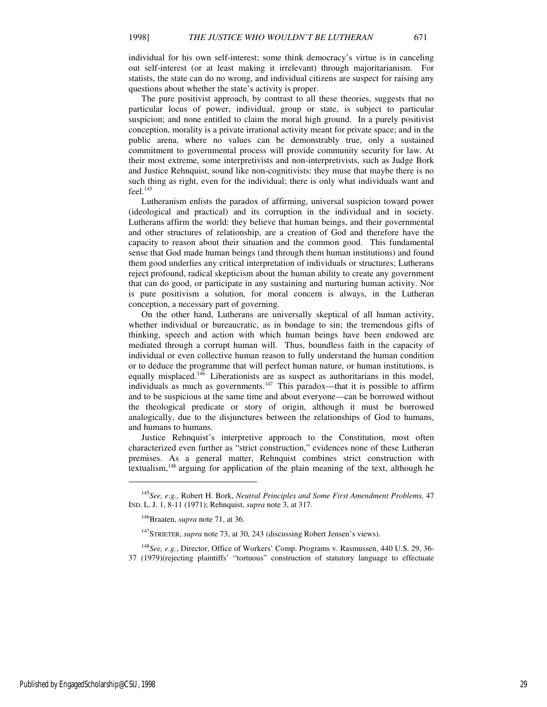individual for his own self-interest; some think democracy's virtue is in canceling out self-interest (or at least making it irrelevant) through majoritarianism. For statists, the state can do no wrong, and individual citizens are suspect for raising any questions about whether the state's activity is proper.

The pure positivist approach, by contrast to all these theories, suggests that no particular locus of power, individual, group or state, is subject to particular suspicion; and none entitled to claim the moral high ground. In a purely positivist conception, morality is a private irrational activity meant for private space; and in the public arena, where no values can be demonstrably true, only a sustained commitment to governmental process will provide community security for law. At their most extreme, some interpretivists and non-interpretivists, such as Judge Bork and Justice Rehnquist, sound like non-cognitivists: they muse that maybe there is no such thing as right, even for the individual; there is only what individuals want and  $feel.<sup>145</sup>$ 

Lutheranism enlists the paradox of affirming, universal suspicion toward power (ideological and practical) and its corruption in the individual and in society. Lutherans affirm the world: they believe that human beings, and their governmental and other structures of relationship, are a creation of God and therefore have the capacity to reason about their situation and the common good. This fundamental sense that God made human beings (and through them human institutions) and found them good underlies any critical interpretation of individuals or structures; Lutherans reject profound, radical skepticism about the human ability to create any government that can do good, or participate in any sustaining and nurturing human activity. Nor is pure positivism a solution, for moral concern is always, in the Lutheran conception, a necessary part of governing.

On the other hand, Lutherans are universally skeptical of all human activity, whether individual or bureaucratic, as in bondage to sin; the tremendous gifts of thinking, speech and action with which human beings have been endowed are mediated through a corrupt human will. Thus, boundless faith in the capacity of individual or even collective human reason to fully understand the human condition or to deduce the programme that will perfect human nature, or human institutions, is equally misplaced.<sup>146</sup> Liberationists are as suspect as authoritarians in this model, individuals as much as governments.<sup>147</sup> This paradox—that it is possible to affirm and to be suspicious at the same time and about everyone—can be borrowed without the theological predicate or story of origin, although it must be borrowed analogically, due to the disjunctures between the relationships of God to humans, and humans to humans.

Justice Rehnquist's interpretive approach to the Constitution, most often characterized even further as "strict construction," evidences none of these Lutheran premises. As a general matter, Rehnquist combines strict construction with textualism,  $148$  arguing for application of the plain meaning of the text, although he

Published by EngagedScholarship@CSU, 1998 29

<sup>145</sup>*See, e.g.,* Robert H. Bork, *Neutral Principles and Some First Amendment Problems,* 47 IND. L. J. 1, 8-11 (1971); Rehnquist, *supra* note 3, at 317.

<sup>146</sup>Braaten, *supra* note 71, at 36.

<sup>&</sup>lt;sup>147</sup>STRIETER, *supra* note 73, at 30, 243 (discussing Robert Jensen's views).

<sup>148</sup>*See, e.g.*, Director, Office of Workers' Comp. Programs v. Rasmussen, 440 U.S. 29, 36- 37 (1979)(rejecting plaintiffs' "tortuous" construction of statutory language to effectuate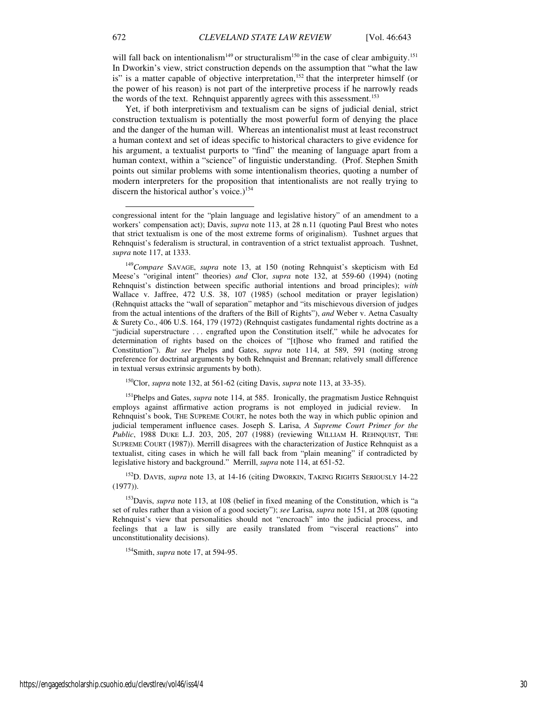will fall back on intentionalism<sup>149</sup> or structuralism<sup>150</sup> in the case of clear ambiguity.<sup>151</sup> In Dworkin's view, strict construction depends on the assumption that "what the law is" is a matter capable of objective interpretation,<sup>152</sup> that the interpreter himself (or the power of his reason) is not part of the interpretive process if he narrowly reads the words of the text. Rehnquist apparently agrees with this assessment.<sup>153</sup>

Yet, if both interpretivism and textualism can be signs of judicial denial, strict construction textualism is potentially the most powerful form of denying the place and the danger of the human will. Whereas an intentionalist must at least reconstruct a human context and set of ideas specific to historical characters to give evidence for his argument, a textualist purports to "find" the meaning of language apart from a human context, within a "science" of linguistic understanding. (Prof. Stephen Smith points out similar problems with some intentionalism theories, quoting a number of modern interpreters for the proposition that intentionalists are not really trying to discern the historical author's voice.)<sup>154</sup>

<sup>150</sup>Clor, *supra* note 132, at 561-62 (citing Davis, *supra* note 113, at 33-35).

<sup>151</sup>Phelps and Gates, *supra* note 114, at 585. Ironically, the pragmatism Justice Rehnquist employs against affirmative action programs is not employed in judicial review. In Rehnquist's book, THE SUPREME COURT, he notes both the way in which public opinion and judicial temperament influence cases. Joseph S. Larisa, *A Supreme Court Primer for the Public*, 1988 DUKE L.J. 203, 205, 207 (1988) (reviewing WILLIAM H. REHNQUIST, THE SUPREME COURT (1987)). Merrill disagrees with the characterization of Justice Rehnquist as a textualist, citing cases in which he will fall back from "plain meaning" if contradicted by legislative history and background." Merrill, *supra* note 114, at 651-52.

<sup>152</sup>D. DAVIS, *supra* note 13, at 14-16 (citing DWORKIN, TAKING RIGHTS SERIOUSLY 14-22 (1977)).

<sup>153</sup>Davis, *supra* note 113, at 108 (belief in fixed meaning of the Constitution, which is "a set of rules rather than a vision of a good society"); *see* Larisa, *supra* note 151, at 208 (quoting Rehnquist's view that personalities should not "encroach" into the judicial process, and feelings that a law is silly are easily translated from "visceral reactions" into unconstitutionality decisions).

<sup>154</sup>Smith, *supra* note 17, at 594-95.

-

congressional intent for the "plain language and legislative history" of an amendment to a workers' compensation act); Davis, *supra* note 113, at 28 n.11 (quoting Paul Brest who notes that strict textualism is one of the most extreme forms of originalism). Tushnet argues that Rehnquist's federalism is structural, in contravention of a strict textualist approach. Tushnet, *supra* note 117, at 1333.

<sup>149</sup>*Compare* SAVAGE, *supra* note 13, at 150 (noting Rehnquist's skepticism with Ed Meese's "original intent" theories) *and* Clor, *supra* note 132, at 559-60 (1994) (noting Rehnquist's distinction between specific authorial intentions and broad principles); *with* Wallace v. Jaffree, 472 U.S. 38, 107 (1985) (school meditation or prayer legislation) (Rehnquist attacks the "wall of separation" metaphor and "its mischievous diversion of judges from the actual intentions of the drafters of the Bill of Rights"), *and* Weber v. Aetna Casualty & Surety Co., 406 U.S. 164, 179 (1972) (Rehnquist castigates fundamental rights doctrine as a "judicial superstructure . . . engrafted upon the Constitution itself," while he advocates for determination of rights based on the choices of "[t]hose who framed and ratified the Constitution"). *But see* Phelps and Gates, *supra* note 114, at 589, 591 (noting strong preference for doctrinal arguments by both Rehnquist and Brennan; relatively small difference in textual versus extrinsic arguments by both).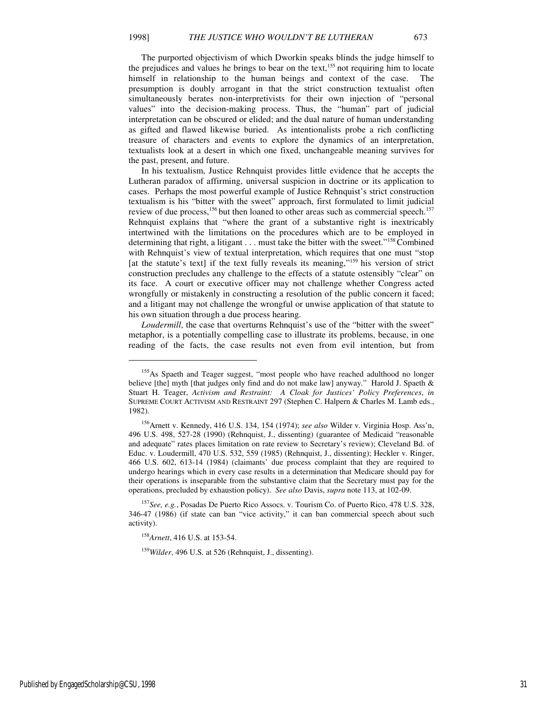The purported objectivism of which Dworkin speaks blinds the judge himself to the prejudices and values he brings to bear on the text,<sup>155</sup> not requiring him to locate himself in relationship to the human beings and context of the case. The presumption is doubly arrogant in that the strict construction textualist often simultaneously berates non-interpretivists for their own injection of "personal values" into the decision-making process. Thus, the "human" part of judicial interpretation can be obscured or elided; and the dual nature of human understanding as gifted and flawed likewise buried. As intentionalists probe a rich conflicting treasure of characters and events to explore the dynamics of an interpretation, textualists look at a desert in which one fixed, unchangeable meaning survives for the past, present, and future.

In his textualism, Justice Rehnquist provides little evidence that he accepts the Lutheran paradox of affirming, universal suspicion in doctrine or its application to cases. Perhaps the most powerful example of Justice Rehnquist's strict construction textualism is his "bitter with the sweet" approach, first formulated to limit judicial review of due process,<sup>156</sup> but then loaned to other areas such as commercial speech.<sup>157</sup> Rehnquist explains that "where the grant of a substantive right is inextricably intertwined with the limitations on the procedures which are to be employed in determining that right, a litigant . . . must take the bitter with the sweet."<sup>158</sup> Combined with Rehnquist's view of textual interpretation, which requires that one must "stop [at the statute's text] if the text fully reveals its meaning,"<sup>159</sup> his version of strict construction precludes any challenge to the effects of a statute ostensibly "clear" on its face. A court or executive officer may not challenge whether Congress acted wrongfully or mistakenly in constructing a resolution of the public concern it faced; and a litigant may not challenge the wrongful or unwise application of that statute to his own situation through a due process hearing.

*Loudermill*, the case that overturns Rehnquist's use of the "bitter with the sweet" metaphor, is a potentially compelling case to illustrate its problems, because, in one reading of the facts, the case results not even from evil intention, but from

 $\overline{a}$ 

<sup>155</sup>As Spaeth and Teager suggest, "most people who have reached adulthood no longer believe [the] myth [that judges only find and do not make law] anyway." Harold J. Spaeth & Stuart H. Teager, *Activism and Restraint: A Cloak for Justices' Policy Preferences*, *in* SUPREME COURT ACTIVISM AND RESTRAINT 297 (Stephen C. Halpern & Charles M. Lamb eds., 1982).

<sup>156</sup>Arnett v. Kennedy, 416 U.S. 134, 154 (1974); *see also* Wilder v. Virginia Hosp. Ass'n, 496 U.S. 498, 527-28 (1990) (Rehnquist, J., dissenting) (guarantee of Medicaid "reasonable and adequate" rates places limitation on rate review to Secretary's review); Cleveland Bd. of Educ. v. Loudermill, 470 U.S. 532, 559 (1985) (Rehnquist, J., dissenting); Heckler v. Ringer, 466 U.S. 602, 613-14 (1984) (claimants' due process complaint that they are required to undergo hearings which in every case results in a determination that Medicare should pay for their operations is inseparable from the substantive claim that the Secretary must pay for the operations, precluded by exhaustion policy). *See also* Davis, *supra* note 113, at 102-09.

<sup>157</sup>*See, e.g.*, Posadas De Puerto Rico Assocs. v. Tourism Co. of Puerto Rico, 478 U.S. 328, 346-47 (1986) (if state can ban "vice activity," it can ban commercial speech about such activity).

<sup>158</sup>*Arnett*, 416 U.S. at 153-54.

<sup>159</sup>*Wilder*, 496 U.S. at 526 (Rehnquist, J., dissenting).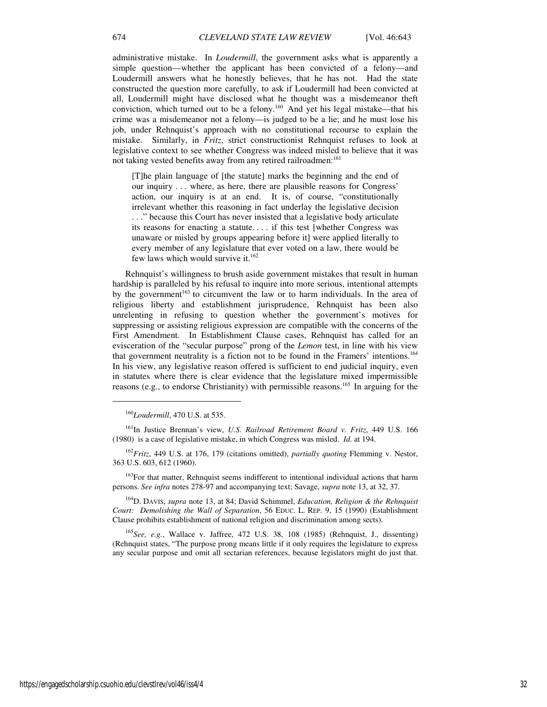administrative mistake. In *Loudermill*, the government asks what is apparently a simple question—whether the applicant has been convicted of a felony—and Loudermill answers what he honestly believes, that he has not. Had the state constructed the question more carefully, to ask if Loudermill had been convicted at all, Loudermill might have disclosed what he thought was a misdemeanor theft conviction, which turned out to be a felony.<sup>160</sup> And yet his legal mistake—that his crime was a misdemeanor not a felony—is judged to be a lie; and he must lose his job, under Rehnquist's approach with no constitutional recourse to explain the mistake. Similarly, in *Fritz*, strict constructionist Rehnquist refuses to look at legislative context to see whether Congress was indeed misled to believe that it was not taking vested benefits away from any retired railroadmen:<sup>161</sup>

[T]he plain language of [the statute] marks the beginning and the end of our inquiry . . . where, as here, there are plausible reasons for Congress' action, our inquiry is at an end. It is, of course, "constitutionally irrelevant whether this reasoning in fact underlay the legislative decision . . ." because this Court has never insisted that a legislative body articulate its reasons for enacting a statute. . . . if this test [whether Congress was unaware or misled by groups appearing before it] were applied literally to every member of any legislature that ever voted on a law, there would be few laws which would survive it.<sup>162</sup>

Rehnquist's willingness to brush aside government mistakes that result in human hardship is paralleled by his refusal to inquire into more serious, intentional attempts by the government<sup>163</sup> to circumvent the law or to harm individuals. In the area of religious liberty and establishment jurisprudence, Rehnquist has been also unrelenting in refusing to question whether the government's motives for suppressing or assisting religious expression are compatible with the concerns of the First Amendment. In Establishment Clause cases, Rehnquist has called for an evisceration of the "secular purpose" prong of the *Lemon* test, in line with his view that government neutrality is a fiction not to be found in the Framers' intentions.<sup>164</sup> In his view, any legislative reason offered is sufficient to end judicial inquiry, even in statutes where there is clear evidence that the legislature mixed impermissible reasons (e.g., to endorse Christianity) with permissible reasons.<sup>165</sup> In arguing for the

<sup>160</sup>*Loudermill*, 470 U.S. at 535.

<sup>161</sup>In Justice Brennan's view, *U.S. Railroad Retirement Board v. Fritz*, 449 U.S. 166 (1980) is a case of legislative mistake, in which Congress was misled. *Id*. at 194.

<sup>162</sup>*Fritz*, 449 U.S. at 176, 179 (citations omitted), *partially quoting* Flemming v. Nestor, 363 U.S. 603, 612 (1960).

<sup>163</sup>For that matter, Rehnquist seems indifferent to intentional individual actions that harm persons. *See infra* notes 278-97 and accompanying text; Savage, *supra* note 13, at 32, 37.

<sup>164</sup>D. DAVIS, *supra* note 13, at 84; David Schimmel, *Education, Religion & the Rehnquist Court: Demolishing the Wall of Separation*, 56 EDUC. L. REP. 9, 15 (1990) (Establishment Clause prohibits establishment of national religion and discrimination among sects).

<sup>165</sup>*See, e.g.*, Wallace v. Jaffree, 472 U.S. 38, 108 (1985) (Rehnquist, J., dissenting) (Rehnquist states, "The purpose prong means little if it only requires the legislature to express any secular purpose and omit all sectarian references, because legislators might do just that.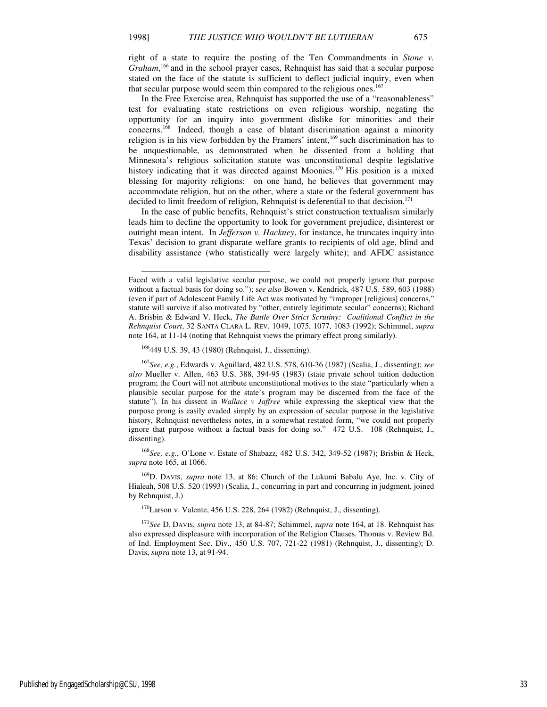right of a state to require the posting of the Ten Commandments in *Stone v.*  Graham,<sup>166</sup> and in the school prayer cases, Rehnquist has said that a secular purpose stated on the face of the statute is sufficient to deflect judicial inquiry, even when that secular purpose would seem thin compared to the religious ones.<sup>167</sup>

In the Free Exercise area, Rehnquist has supported the use of a "reasonableness" test for evaluating state restrictions on even religious worship, negating the opportunity for an inquiry into government dislike for minorities and their concerns.<sup>168</sup>Indeed, though a case of blatant discrimination against a minority religion is in his view forbidden by the Framers' intent, $169$  such discrimination has to be unquestionable, as demonstrated when he dissented from a holding that Minnesota's religious solicitation statute was unconstitutional despite legislative history indicating that it was directed against Moonies.<sup>170</sup> His position is a mixed blessing for majority religions: on one hand, he believes that government may accommodate religion, but on the other, where a state or the federal government has decided to limit freedom of religion, Rehnquist is deferential to that decision.<sup>171</sup>

In the case of public benefits, Rehnquist's strict construction textualism similarly leads him to decline the opportunity to look for government prejudice, disinterest or outright mean intent. In *Jefferson v. Hackney*, for instance, he truncates inquiry into Texas' decision to grant disparate welfare grants to recipients of old age, blind and disability assistance (who statistically were largely white); and AFDC assistance

<sup>168</sup>*See, e.g.*, O'Lone v. Estate of Shabazz, 482 U.S. 342, 349-52 (1987); Brisbin & Heck, *supra* note 165, at 1066.

<sup>169</sup>D. DAVIS, *supra* note 13, at 86; Church of the Lukumi Babalu Aye, Inc. v. City of Hialeah, 508 U.S. 520 (1993) (Scalia, J., concurring in part and concurring in judgment, joined by Rehnquist, J.)

 $170$ Larson v. Valente, 456 U.S. 228, 264 (1982) (Rehnquist, J., dissenting).

<sup>171</sup>*See* D. DAVIS, *supra* note 13, at 84-87; Schimmel, *supra* note 164, at 18. Rehnquist has also expressed displeasure with incorporation of the Religion Clauses. Thomas v. Review Bd. of Ind. Employment Sec. Div., 450 U.S. 707, 721-22 (1981) (Rehnquist, J., dissenting); D. Davis, *supra* note 13, at 91-94.

-

Faced with a valid legislative secular purpose, we could not properly ignore that purpose without a factual basis for doing so."); s*ee also* Bowen v. Kendrick, 487 U.S. 589, 603 (1988) (even if part of Adolescent Family Life Act was motivated by "improper [religious] concerns," statute will survive if also motivated by "other, entirely legitimate secular" concerns); Richard A. Brisbin & Edward V. Heck, *The Battle Over Strict Scrutiny: Coalitional Conflict in the Rehnquist Court*, 32 SANTA CLARA L. REV. 1049, 1075, 1077, 1083 (1992); Schimmel, *supra* note 164, at 11-14 (noting that Rehnquist views the primary effect prong similarly).

<sup>166</sup>449 U.S. 39, 43 (1980) (Rehnquist, J., dissenting).

<sup>167</sup>*See, e.g.*, Edwards v. Aguillard, 482 U.S. 578, 610-36 (1987) (Scalia, J., dissenting); *see also* Mueller v. Allen, 463 U.S. 388, 394-95 (1983) (state private school tuition deduction program; the Court will not attribute unconstitutional motives to the state "particularly when a plausible secular purpose for the state's program may be discerned from the face of the statute"). In his dissent in *Wallace v Jaffree* while expressing the skeptical view that the purpose prong is easily evaded simply by an expression of secular purpose in the legislative history, Rehnquist nevertheless notes, in a somewhat restated form, "we could not properly ignore that purpose without a factual basis for doing so." 472 U.S. 108 (Rehnquist, J., dissenting).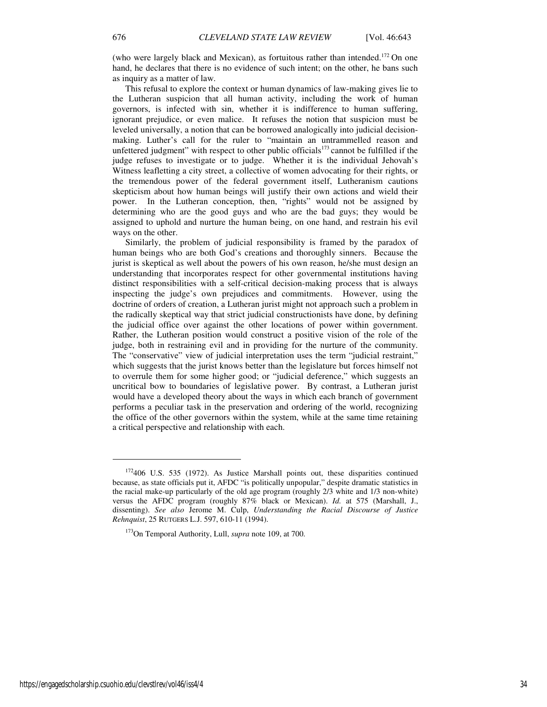(who were largely black and Mexican), as fortuitous rather than intended.<sup>172</sup> On one hand, he declares that there is no evidence of such intent; on the other, he bans such as inquiry as a matter of law.

This refusal to explore the context or human dynamics of law-making gives lie to the Lutheran suspicion that all human activity, including the work of human governors, is infected with sin, whether it is indifference to human suffering, ignorant prejudice, or even malice. It refuses the notion that suspicion must be leveled universally, a notion that can be borrowed analogically into judicial decisionmaking. Luther's call for the ruler to "maintain an untrammelled reason and unfettered judgment" with respect to other public officials<sup>173</sup> cannot be fulfilled if the judge refuses to investigate or to judge. Whether it is the individual Jehovah's Witness leafletting a city street, a collective of women advocating for their rights, or the tremendous power of the federal government itself, Lutheranism cautions skepticism about how human beings will justify their own actions and wield their power. In the Lutheran conception, then, "rights" would not be assigned by determining who are the good guys and who are the bad guys; they would be assigned to uphold and nurture the human being, on one hand, and restrain his evil ways on the other.

Similarly, the problem of judicial responsibility is framed by the paradox of human beings who are both God's creations and thoroughly sinners. Because the jurist is skeptical as well about the powers of his own reason, he/she must design an understanding that incorporates respect for other governmental institutions having distinct responsibilities with a self-critical decision-making process that is always inspecting the judge's own prejudices and commitments. However, using the doctrine of orders of creation, a Lutheran jurist might not approach such a problem in the radically skeptical way that strict judicial constructionists have done, by defining the judicial office over against the other locations of power within government. Rather, the Lutheran position would construct a positive vision of the role of the judge, both in restraining evil and in providing for the nurture of the community. The "conservative" view of judicial interpretation uses the term "judicial restraint," which suggests that the jurist knows better than the legislature but forces himself not to overrule them for some higher good; or "judicial deference," which suggests an uncritical bow to boundaries of legislative power. By contrast, a Lutheran jurist would have a developed theory about the ways in which each branch of government performs a peculiar task in the preservation and ordering of the world, recognizing the office of the other governors within the system, while at the same time retaining a critical perspective and relationship with each.

<sup>172</sup>406 U.S. 535 (1972). As Justice Marshall points out, these disparities continued because, as state officials put it, AFDC "is politically unpopular," despite dramatic statistics in the racial make-up particularly of the old age program (roughly 2/3 white and 1/3 non-white) versus the AFDC program (roughly 87% black or Mexican). *Id.* at 575 (Marshall, J., dissenting). *See also* Jerome M. Culp, *Understanding the Racial Discourse of Justice Rehnquist*, 25 RUTGERS L.J. 597, 610-11 (1994).

<sup>173</sup>On Temporal Authority, Lull, *supra* note 109, at 700.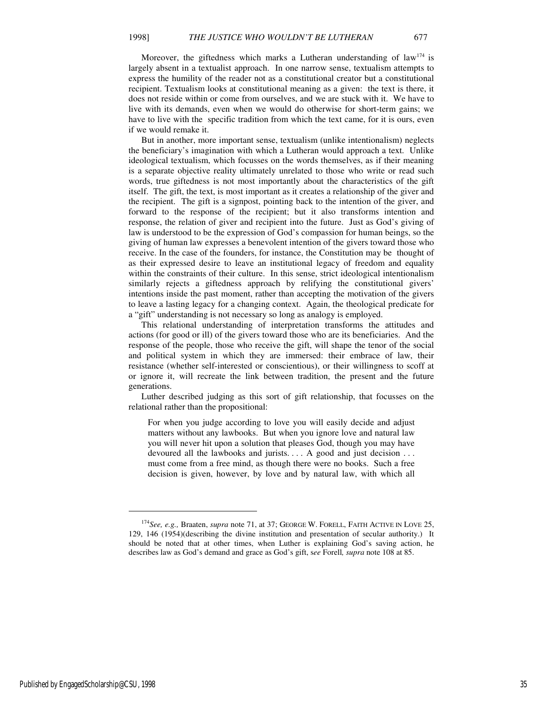Moreover, the giftedness which marks a Lutheran understanding of  $law<sup>174</sup>$  is largely absent in a textualist approach. In one narrow sense, textualism attempts to express the humility of the reader not as a constitutional creator but a constitutional recipient. Textualism looks at constitutional meaning as a given: the text is there, it does not reside within or come from ourselves, and we are stuck with it. We have to live with its demands, even when we would do otherwise for short-term gains; we have to live with the specific tradition from which the text came, for it is ours, even if we would remake it.

But in another, more important sense, textualism (unlike intentionalism) neglects the beneficiary's imagination with which a Lutheran would approach a text. Unlike ideological textualism, which focusses on the words themselves, as if their meaning is a separate objective reality ultimately unrelated to those who write or read such words, true giftedness is not most importantly about the characteristics of the gift itself. The gift, the text, is most important as it creates a relationship of the giver and the recipient. The gift is a signpost, pointing back to the intention of the giver, and forward to the response of the recipient; but it also transforms intention and response, the relation of giver and recipient into the future. Just as God's giving of law is understood to be the expression of God's compassion for human beings, so the giving of human law expresses a benevolent intention of the givers toward those who receive. In the case of the founders, for instance, the Constitution may be thought of as their expressed desire to leave an institutional legacy of freedom and equality within the constraints of their culture. In this sense, strict ideological intentionalism similarly rejects a giftedness approach by relifying the constitutional givers' intentions inside the past moment, rather than accepting the motivation of the givers to leave a lasting legacy for a changing context. Again, the theological predicate for a "gift" understanding is not necessary so long as analogy is employed.

This relational understanding of interpretation transforms the attitudes and actions (for good or ill) of the givers toward those who are its beneficiaries. And the response of the people, those who receive the gift, will shape the tenor of the social and political system in which they are immersed: their embrace of law, their resistance (whether self-interested or conscientious), or their willingness to scoff at or ignore it, will recreate the link between tradition, the present and the future generations.

Luther described judging as this sort of gift relationship, that focusses on the relational rather than the propositional:

For when you judge according to love you will easily decide and adjust matters without any lawbooks. But when you ignore love and natural law you will never hit upon a solution that pleases God, though you may have devoured all the lawbooks and jurists. . . . A good and just decision . . . must come from a free mind, as though there were no books. Such a free decision is given, however, by love and by natural law, with which all

<sup>174</sup>*See, e.g.,* Braaten, *supra* note 71, at 37; GEORGE W. FORELL, FAITH ACTIVE IN LOVE 25, 129, 146 (1954)(describing the divine institution and presentation of secular authority.) It should be noted that at other times, when Luther is explaining God's saving action, he describes law as God's demand and grace as God's gift, s*ee* Forell*, supra* note 108 at 85.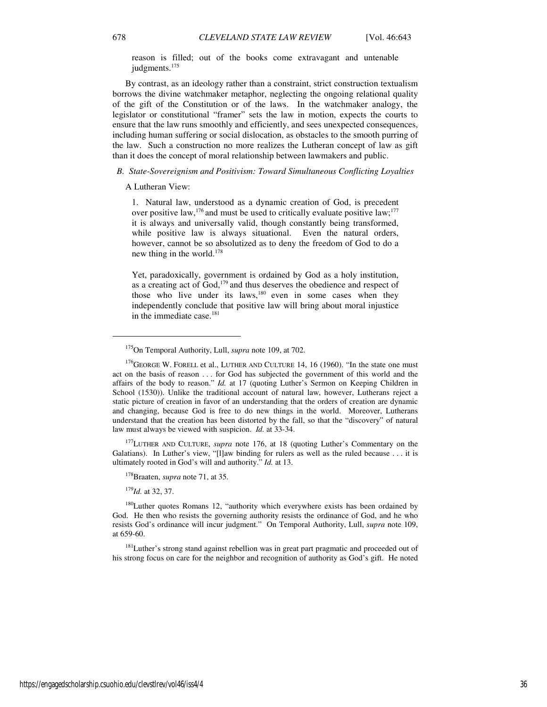reason is filled; out of the books come extravagant and untenable judgments.<sup>175</sup>

By contrast, as an ideology rather than a constraint, strict construction textualism borrows the divine watchmaker metaphor, neglecting the ongoing relational quality of the gift of the Constitution or of the laws. In the watchmaker analogy, the legislator or constitutional "framer" sets the law in motion, expects the courts to ensure that the law runs smoothly and efficiently, and sees unexpected consequences, including human suffering or social dislocation, as obstacles to the smooth purring of the law. Such a construction no more realizes the Lutheran concept of law as gift than it does the concept of moral relationship between lawmakers and public.

#### *B. State-Sovereignism and Positivism: Toward Simultaneous Conflicting Loyalties*

A Lutheran View:

1. Natural law, understood as a dynamic creation of God, is precedent over positive law,<sup>176</sup> and must be used to critically evaluate positive law;<sup>177</sup> it is always and universally valid, though constantly being transformed, while positive law is always situational. Even the natural orders, however, cannot be so absolutized as to deny the freedom of God to do a new thing in the world. $178$ 

Yet, paradoxically, government is ordained by God as a holy institution, as a creating act of God,<sup>179</sup> and thus deserves the obedience and respect of those who live under its laws, $180$  even in some cases when they independently conclude that positive law will bring about moral injustice in the immediate case.<sup>181</sup>

<sup>177</sup>LUTHER AND CULTURE, *supra* note 176, at 18 (quoting Luther's Commentary on the Galatians). In Luther's view, "[l]aw binding for rulers as well as the ruled because . . . it is ultimately rooted in God's will and authority." *Id.* at 13.

<sup>179</sup>*Id.* at 32, 37.

 $\overline{a}$ 

<sup>175</sup>On Temporal Authority, Lull, *supra* note 109, at 702.

<sup>&</sup>lt;sup>176</sup>GEORGE W. FORELL et al., LUTHER AND CULTURE 14, 16 (1960). "In the state one must act on the basis of reason . . . for God has subjected the government of this world and the affairs of the body to reason." *Id.* at 17 (quoting Luther's Sermon on Keeping Children in School (1530)). Unlike the traditional account of natural law, however, Lutherans reject a static picture of creation in favor of an understanding that the orders of creation are dynamic and changing, because God is free to do new things in the world. Moreover, Lutherans understand that the creation has been distorted by the fall, so that the "discovery" of natural law must always be viewed with suspicion. *Id.* at 33-34.

<sup>178</sup>Braaten, *supra* note 71, at 35.

<sup>&</sup>lt;sup>180</sup>Luther quotes Romans 12, "authority which everywhere exists has been ordained by God. He then who resists the governing authority resists the ordinance of God, and he who resists God's ordinance will incur judgment." On Temporal Authority, Lull, *supra* note 109, at 659-60.

<sup>&</sup>lt;sup>181</sup>Luther's strong stand against rebellion was in great part pragmatic and proceeded out of his strong focus on care for the neighbor and recognition of authority as God's gift. He noted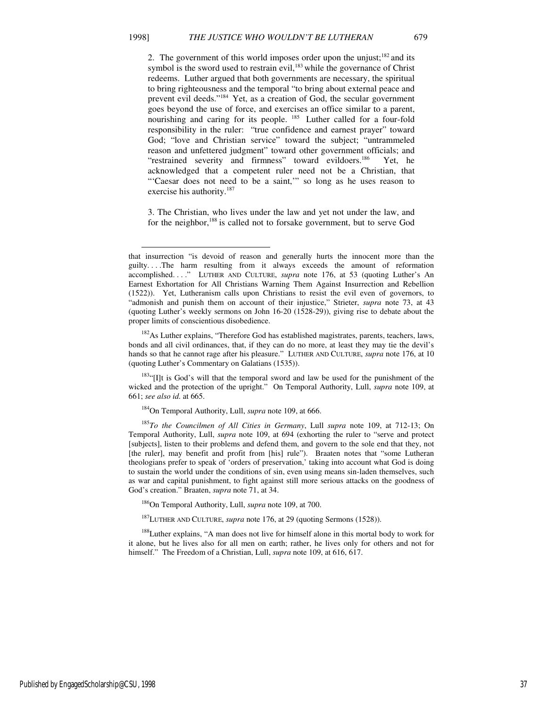-

exercise his authority.<sup>187</sup>

2. The government of this world imposes order upon the unjust;<sup>182</sup> and its symbol is the sword used to restrain evil, $183$  while the governance of Christ redeems. Luther argued that both governments are necessary, the spiritual to bring righteousness and the temporal "to bring about external peace and prevent evil deeds."<sup>184</sup> Yet, as a creation of God, the secular government goes beyond the use of force, and exercises an office similar to a parent, nourishing and caring for its people. <sup>185</sup> Luther called for a four-fold responsibility in the ruler: "true confidence and earnest prayer" toward God; "love and Christian service" toward the subject; "untrammeled reason and unfettered judgment" toward other government officials; and "restrained severity and firmness" toward evildoers.<sup>186</sup> Yet, he acknowledged that a competent ruler need not be a Christian, that "'Caesar does not need to be a saint,"" so long as he uses reason to

3. The Christian, who lives under the law and yet not under the law, and for the neighbor,<sup>188</sup> is called not to forsake government, but to serve God

<sup>182</sup>As Luther explains, "Therefore God has established magistrates, parents, teachers, laws, bonds and all civil ordinances, that, if they can do no more, at least they may tie the devil's hands so that he cannot rage after his pleasure." LUTHER AND CULTURE, *supra* note 176, at 10 (quoting Luther's Commentary on Galatians (1535)).

<sup>183</sup>"[Ilt is God's will that the temporal sword and law be used for the punishment of the wicked and the protection of the upright." On Temporal Authority, Lull, *supra* note 109, at 661; *see also id.* at 665.

<sup>184</sup>On Temporal Authority, Lull, *supra* note 109, at 666.

<sup>185</sup>*To the Councilmen of All Cities in Germany*, Lull *supra* note 109, at 712-13; On Temporal Authority, Lull, *supra* note 109, at 694 (exhorting the ruler to "serve and protect [subjects], listen to their problems and defend them, and govern to the sole end that they, not [the ruler], may benefit and profit from [his] rule"). Braaten notes that "some Lutheran theologians prefer to speak of 'orders of preservation,' taking into account what God is doing to sustain the world under the conditions of sin, even using means sin-laden themselves, such as war and capital punishment, to fight against still more serious attacks on the goodness of God's creation." Braaten, *supra* note 71, at 34.

<sup>186</sup>On Temporal Authority, Lull, *supra* note 109, at 700.

<sup>187</sup>LUTHER AND CULTURE, *supra* note 176, at 29 (quoting Sermons (1528)).

<sup>188</sup>Luther explains, "A man does not live for himself alone in this mortal body to work for it alone, but he lives also for all men on earth; rather, he lives only for others and not for himself." The Freedom of a Christian, Lull, *supra* note 109, at 616, 617.

that insurrection "is devoid of reason and generally hurts the innocent more than the guilty. . . .The harm resulting from it always exceeds the amount of reformation accomplished. . . ." LUTHER AND CULTURE, *supra* note 176, at 53 (quoting Luther's An Earnest Exhortation for All Christians Warning Them Against Insurrection and Rebellion (1522)). Yet, Lutheranism calls upon Christians to resist the evil even of governors, to "admonish and punish them on account of their injustice," Strieter, *supra* note 73, at 43 (quoting Luther's weekly sermons on John 16-20 (1528-29)), giving rise to debate about the proper limits of conscientious disobedience.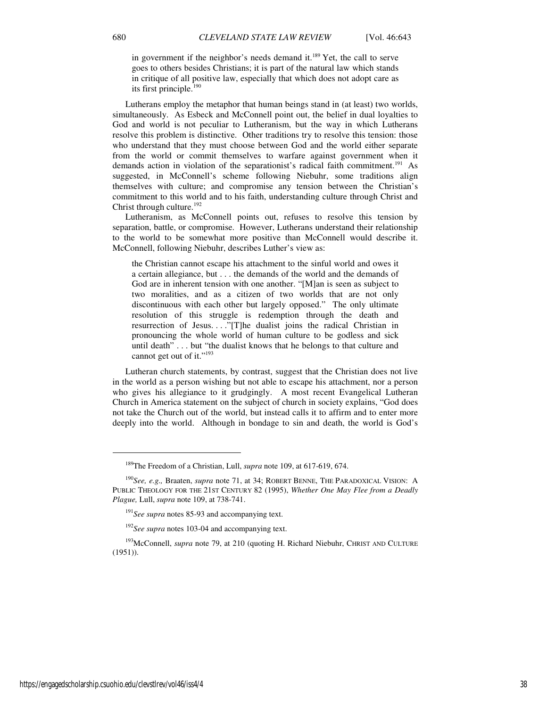in government if the neighbor's needs demand it.<sup>189</sup> Yet, the call to serve goes to others besides Christians; it is part of the natural law which stands in critique of all positive law, especially that which does not adopt care as its first principle.<sup>190</sup>

Lutherans employ the metaphor that human beings stand in (at least) two worlds, simultaneously. As Esbeck and McConnell point out, the belief in dual loyalties to God and world is not peculiar to Lutheranism, but the way in which Lutherans resolve this problem is distinctive. Other traditions try to resolve this tension: those who understand that they must choose between God and the world either separate from the world or commit themselves to warfare against government when it demands action in violation of the separationist's radical faith commitment.<sup>191</sup> As suggested, in McConnell's scheme following Niebuhr, some traditions align themselves with culture; and compromise any tension between the Christian's commitment to this world and to his faith, understanding culture through Christ and Christ through culture.<sup>192</sup>

Lutheranism, as McConnell points out, refuses to resolve this tension by separation, battle, or compromise. However, Lutherans understand their relationship to the world to be somewhat more positive than McConnell would describe it. McConnell, following Niebuhr, describes Luther's view as:

the Christian cannot escape his attachment to the sinful world and owes it a certain allegiance, but . . . the demands of the world and the demands of God are in inherent tension with one another. "[M]an is seen as subject to two moralities, and as a citizen of two worlds that are not only discontinuous with each other but largely opposed." The only ultimate resolution of this struggle is redemption through the death and resurrection of Jesus. . . ."[T]he dualist joins the radical Christian in pronouncing the whole world of human culture to be godless and sick until death" . . . but "the dualist knows that he belongs to that culture and cannot get out of it."<sup>193</sup>

Lutheran church statements, by contrast, suggest that the Christian does not live in the world as a person wishing but not able to escape his attachment, nor a person who gives his allegiance to it grudgingly. A most recent Evangelical Lutheran Church in America statement on the subject of church in society explains, "God does not take the Church out of the world, but instead calls it to affirm and to enter more deeply into the world. Although in bondage to sin and death, the world is God's

 $\overline{a}$ 

<sup>189</sup>The Freedom of a Christian, Lull, *supra* note 109, at 617-619, 674.

<sup>190</sup>*See, e.g.,* Braaten, *supra* note 71, at 34; ROBERT BENNE, THE PARADOXICAL VISION: A PUBLIC THEOLOGY FOR THE 21ST CENTURY 82 (1995), *Whether One May Flee from a Deadly Plague,* Lull, *supra* note 109, at 738-741.

<sup>191</sup>*See supra* notes 85-93 and accompanying text.

<sup>&</sup>lt;sup>192</sup>See supra notes 103-04 and accompanying text.

<sup>&</sup>lt;sup>193</sup>McConnell, *supra* note 79, at 210 (quoting H. Richard Niebuhr, CHRIST AND CULTURE  $(1951)$ ).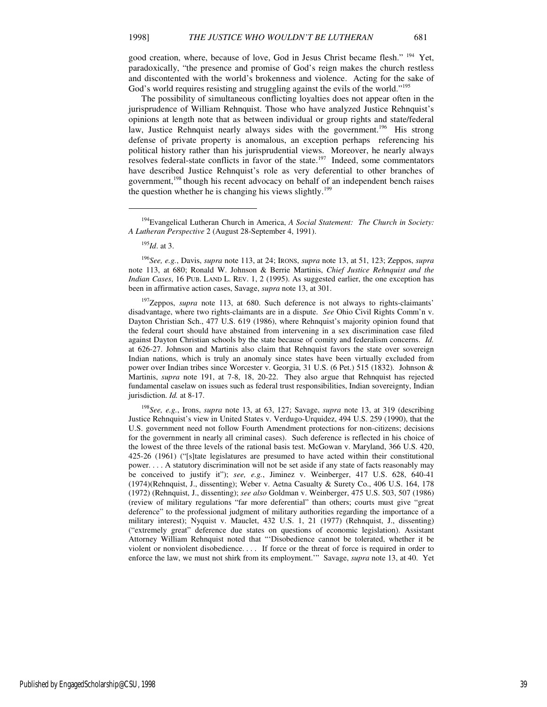good creation, where, because of love, God in Jesus Christ became flesh." <sup>194</sup> Yet, paradoxically, "the presence and promise of God's reign makes the church restless and discontented with the world's brokenness and violence. Acting for the sake of God's world requires resisting and struggling against the evils of the world."<sup>195</sup>

The possibility of simultaneous conflicting loyalties does not appear often in the jurisprudence of William Rehnquist. Those who have analyzed Justice Rehnquist's opinions at length note that as between individual or group rights and state/federal law, Justice Rehnquist nearly always sides with the government.<sup>196</sup> His strong defense of private property is anomalous, an exception perhaps referencing his political history rather than his jurisprudential views. Moreover, he nearly always resolves federal-state conflicts in favor of the state.<sup>197</sup> Indeed, some commentators have described Justice Rehnquist's role as very deferential to other branches of government,<sup>198</sup> though his recent advocacy on behalf of an independent bench raises the question whether he is changing his views slightly.<sup>199</sup>

1

<sup>196</sup>*See, e.g.*, Davis, *supra* note 113, at 24; IRONS, *supra* note 13, at 51, 123; Zeppos, *supra* note 113, at 680; Ronald W. Johnson & Berrie Martinis, *Chief Justice Rehnquist and the Indian Cases*, 16 PUB. LAND L. REV. 1, 2 (1995). As suggested earlier, the one exception has been in affirmative action cases, Savage, *supra* note 13, at 301.

<sup>197</sup>Zeppos, *supra* note 113, at 680. Such deference is not always to rights-claimants' disadvantage, where two rights-claimants are in a dispute. *See* Ohio Civil Rights Comm'n v. Dayton Christian Sch., 477 U.S. 619 (1986), where Rehnquist's majority opinion found that the federal court should have abstained from intervening in a sex discrimination case filed against Dayton Christian schools by the state because of comity and federalism concerns. *Id.* at 626-27. Johnson and Martinis also claim that Rehnquist favors the state over sovereign Indian nations, which is truly an anomaly since states have been virtually excluded from power over Indian tribes since Worcester v. Georgia, 31 U.S. (6 Pet.) 515 (1832). Johnson & Martinis, *supra* note 191, at 7-8, 18, 20-22. They also argue that Rehnquist has rejected fundamental caselaw on issues such as federal trust responsibilities, Indian sovereignty, Indian jurisdiction. *Id.* at 8-17.

<sup>198</sup>*See, e.g.*, Irons, *supra* note 13, at 63, 127; Savage, *supra* note 13, at 319 (describing Justice Rehnquist's view in United States v. Verdugo-Urquidez, 494 U.S. 259 (1990), that the U.S. government need not follow Fourth Amendment protections for non-citizens; decisions for the government in nearly all criminal cases). Such deference is reflected in his choice of the lowest of the three levels of the rational basis test. McGowan v. Maryland, 366 U.S. 420, 425-26 (1961) ("[s]tate legislatures are presumed to have acted within their constitutional power. . . . A statutory discrimination will not be set aside if any state of facts reasonably may be conceived to justify it"); *see, e.g.*, Jiminez v. Weinberger, 417 U.S. 628, 640-41 (1974)(Rehnquist, J., dissenting); Weber v. Aetna Casualty & Surety Co., 406 U.S. 164, 178 (1972) (Rehnquist, J., dissenting); *see also* Goldman v. Weinberger, 475 U.S. 503, 507 (1986) (review of military regulations "far more deferential" than others; courts must give "great deference" to the professional judgment of military authorities regarding the importance of a military interest); Nyquist v. Mauclet, 432 U.S. 1, 21 (1977) (Rehnquist, J., dissenting) ("extremely great" deference due states on questions of economic legislation). Assistant Attorney William Rehnquist noted that "'Disobedience cannot be tolerated, whether it be violent or nonviolent disobedience. . . . If force or the threat of force is required in order to enforce the law, we must not shirk from its employment.'" Savage, *supra* note 13, at 40. Yet

<sup>194</sup>Evangelical Lutheran Church in America, *A Social Statement: The Church in Society: A Lutheran Perspective* 2 (August 28-September 4, 1991).

<sup>195</sup>*Id*. at 3.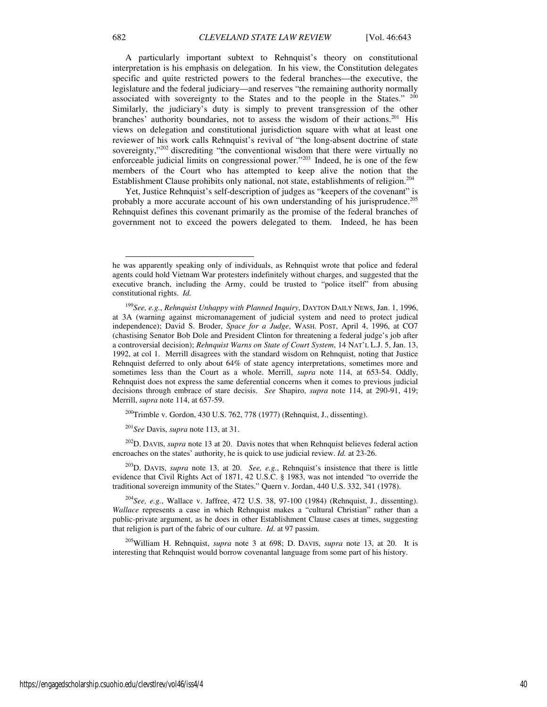A particularly important subtext to Rehnquist's theory on constitutional interpretation is his emphasis on delegation. In his view, the Constitution delegates specific and quite restricted powers to the federal branches—the executive, the legislature and the federal judiciary—and reserves "the remaining authority normally associated with sovereignty to the States and to the people in the States."  $200$ Similarly, the judiciary's duty is simply to prevent transgression of the other branches' authority boundaries, not to assess the wisdom of their actions.<sup>201</sup> His views on delegation and constitutional jurisdiction square with what at least one reviewer of his work calls Rehnquist's revival of "the long-absent doctrine of state sovereignty,"<sup>202</sup> discrediting "the conventional wisdom that there were virtually no enforceable judicial limits on congressional power."<sup>203</sup> Indeed, he is one of the few members of the Court who has attempted to keep alive the notion that the Establishment Clause prohibits only national, not state, establishments of religion.<sup>204</sup>

Yet, Justice Rehnquist's self-description of judges as "keepers of the covenant" is probably a more accurate account of his own understanding of his jurisprudence.<sup>205</sup> Rehnquist defines this covenant primarily as the promise of the federal branches of government not to exceed the powers delegated to them. Indeed, he has been

 $^{200}$ Trimble v. Gordon, 430 U.S. 762, 778 (1977) (Rehnquist, J., dissenting).

<sup>201</sup>*See* Davis, *supra* note 113, at 31.

<sup>202</sup>D. DAVIS, *supra* note 13 at 20. Davis notes that when Rehnquist believes federal action encroaches on the states' authority, he is quick to use judicial review. *Id.* at 23-26.

<sup>203</sup>D. DAVIS, *supra* note 13, at 20. *See, e.g.*, Rehnquist's insistence that there is little evidence that Civil Rights Act of 1871, 42 U.S.C. § 1983, was not intended "to override the traditional sovereign immunity of the States." Quern v. Jordan, 440 U.S. 332, 341 (1978).

<sup>204</sup>*See, e.g.*, Wallace v. Jaffree, 472 U.S. 38, 97-100 (1984) (Rehnquist, J., dissenting). *Wallace* represents a case in which Rehnquist makes a "cultural Christian" rather than a public-private argument, as he does in other Establishment Clause cases at times, suggesting that religion is part of the fabric of our culture. *Id.* at 97 passim.

<sup>205</sup>William H. Rehnquist, *supra* note 3 at 698; D. DAVIS, *supra* note 13, at 20. It is interesting that Rehnquist would borrow covenantal language from some part of his history.

he was apparently speaking only of individuals, as Rehnquist wrote that police and federal agents could hold Vietnam War protesters indefinitely without charges, and suggested that the executive branch, including the Army, could be trusted to "police itself" from abusing constitutional rights. *Id.*

<sup>199</sup>*See, e.g.*, *Rehnquist Unhappy with Planned Inquiry*, DAYTON DAILY NEWS, Jan. 1, 1996, at 3A (warning against micromanagement of judicial system and need to protect judical independence); David S. Broder, *Space for a Judge*, WASH. POST, April 4, 1996, at CO7 (chastising Senator Bob Dole and President Clinton for threatening a federal judge's job after a controversial decision); *Rehnquist Warns on State of Court System*, 14 NAT'L L.J. 5, Jan. 13, 1992, at col 1. Merrill disagrees with the standard wisdom on Rehnquist, noting that Justice Rehnquist deferred to only about 64% of state agency interpretations, sometimes more and sometimes less than the Court as a whole. Merrill, *supra* note 114, at 653-54. Oddly, Rehnquist does not express the same deferential concerns when it comes to previous judicial decisions through embrace of stare decisis. *See* Shapiro, *supra* note 114, at 290-91, 419; Merrill, *supra* note 114, at 657-59.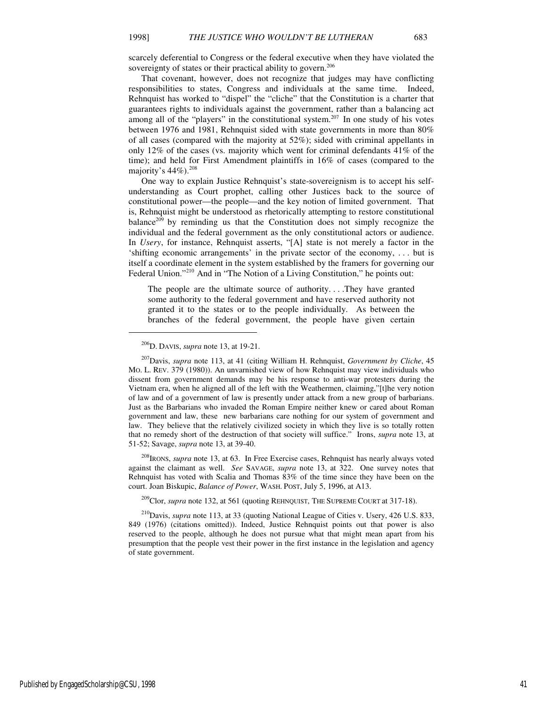scarcely deferential to Congress or the federal executive when they have violated the sovereignty of states or their practical ability to govern.<sup>206</sup>

That covenant, however, does not recognize that judges may have conflicting responsibilities to states, Congress and individuals at the same time. Indeed, Rehnquist has worked to "dispel" the "cliche" that the Constitution is a charter that guarantees rights to individuals against the government, rather than a balancing act among all of the "players" in the constitutional system.<sup>207</sup> In one study of his votes between 1976 and 1981, Rehnquist sided with state governments in more than 80% of all cases (compared with the majority at 52%); sided with criminal appellants in only 12% of the cases (vs. majority which went for criminal defendants  $41\%$  of the time); and held for First Amendment plaintiffs in 16% of cases (compared to the majority's 44%).<sup>208</sup>

One way to explain Justice Rehnquist's state-sovereignism is to accept his selfunderstanding as Court prophet, calling other Justices back to the source of constitutional power—the people—and the key notion of limited government. That is, Rehnquist might be understood as rhetorically attempting to restore constitutional balance<sup>209</sup> by reminding us that the Constitution does not simply recognize the individual and the federal government as the only constitutional actors or audience. In *Usery*, for instance, Rehnquist asserts, "[A] state is not merely a factor in the 'shifting economic arrangements' in the private sector of the economy, . . . but is itself a coordinate element in the system established by the framers for governing our Federal Union."<sup>210</sup> And in "The Notion of a Living Constitution," he points out:

The people are the ultimate source of authority. . . .They have granted some authority to the federal government and have reserved authority not granted it to the states or to the people individually. As between the branches of the federal government, the people have given certain

1

<sup>208</sup>IRONS, *supra* note 13, at 63. In Free Exercise cases, Rehnquist has nearly always voted against the claimant as well. *See* SAVAGE, *supra* note 13, at 322. One survey notes that Rehnquist has voted with Scalia and Thomas 83% of the time since they have been on the court. Joan Biskupic, *Balance of Power*, WASH. POST, July 5, 1996, at A13.

<sup>209</sup>Clor, *supra* note 132, at 561 (quoting REHNQUIST, THE SUPREME COURT at 317-18).

<sup>210</sup>Davis, *supra* note 113, at 33 (quoting National League of Cities v. Usery, 426 U.S. 833, 849 (1976) (citations omitted)). Indeed, Justice Rehnquist points out that power is also reserved to the people, although he does not pursue what that might mean apart from his presumption that the people vest their power in the first instance in the legislation and agency of state government.

<sup>206</sup>D. DAVIS, *supra* note 13, at 19-21.

<sup>207</sup>Davis, *supra* note 113, at 41 (citing William H. Rehnquist, *Government by Cliche*, 45 MO. L. REV. 379 (1980)). An unvarnished view of how Rehnquist may view individuals who dissent from government demands may be his response to anti-war protesters during the Vietnam era, when he aligned all of the left with the Weathermen, claiming,"[t]he very notion of law and of a government of law is presently under attack from a new group of barbarians. Just as the Barbarians who invaded the Roman Empire neither knew or cared about Roman government and law, these new barbarians care nothing for our system of government and law. They believe that the relatively civilized society in which they live is so totally rotten that no remedy short of the destruction of that society will suffice." Irons, *supra* note 13, at 51-52; Savage, *supra* note 13, at 39-40.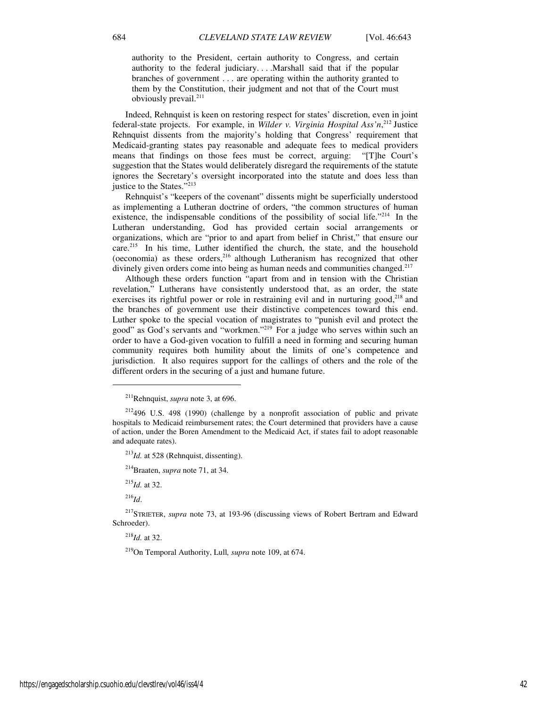authority to the President, certain authority to Congress, and certain authority to the federal judiciary. . . .Marshall said that if the popular branches of government . . . are operating within the authority granted to them by the Constitution, their judgment and not that of the Court must obviously prevail.<sup>211</sup>

Indeed, Rehnquist is keen on restoring respect for states' discretion, even in joint federal-state projects. For example, in *Wilder v. Virginia Hospital Ass'n*,<sup>212</sup> Justice Rehnquist dissents from the majority's holding that Congress' requirement that Medicaid-granting states pay reasonable and adequate fees to medical providers means that findings on those fees must be correct, arguing: "[T]he Court's suggestion that the States would deliberately disregard the requirements of the statute ignores the Secretary's oversight incorporated into the statute and does less than justice to the States."<sup>213</sup>

Rehnquist's "keepers of the covenant" dissents might be superficially understood as implementing a Lutheran doctrine of orders, "the common structures of human existence, the indispensable conditions of the possibility of social life."<sup>214</sup> In the Lutheran understanding, God has provided certain social arrangements or organizations, which are "prior to and apart from belief in Christ," that ensure our care.<sup>215</sup> In his time, Luther identified the church, the state, and the household (oeconomia) as these orders, $216$  although Lutheranism has recognized that other divinely given orders come into being as human needs and communities changed.<sup>217</sup>

Although these orders function "apart from and in tension with the Christian revelation," Lutherans have consistently understood that, as an order, the state exercises its rightful power or role in restraining evil and in nurturing good,  $218$  and the branches of government use their distinctive competences toward this end. Luther spoke to the special vocation of magistrates to "punish evil and protect the good" as God's servants and "workmen."<sup>219</sup> For a judge who serves within such an order to have a God-given vocation to fulfill a need in forming and securing human community requires both humility about the limits of one's competence and jurisdiction. It also requires support for the callings of others and the role of the different orders in the securing of a just and humane future.

 $^{213}$ *Id.* at 528 (Rehnquist, dissenting).

<sup>214</sup>Braaten, *supra* note 71, at 34.

<sup>215</sup>*Id.* at 32.

<sup>216</sup>*Id*.

j

<sup>218</sup>*Id.* at 32.

<sup>219</sup>On Temporal Authority, Lull*, supra* note 109, at 674.

<sup>211</sup>Rehnquist, *supra* note 3, at 696.

 $212496$  U.S. 498 (1990) (challenge by a nonprofit association of public and private hospitals to Medicaid reimbursement rates; the Court determined that providers have a cause of action, under the Boren Amendment to the Medicaid Act, if states fail to adopt reasonable and adequate rates).

<sup>217</sup>STRIETER, *supra* note 73, at 193-96 (discussing views of Robert Bertram and Edward Schroeder).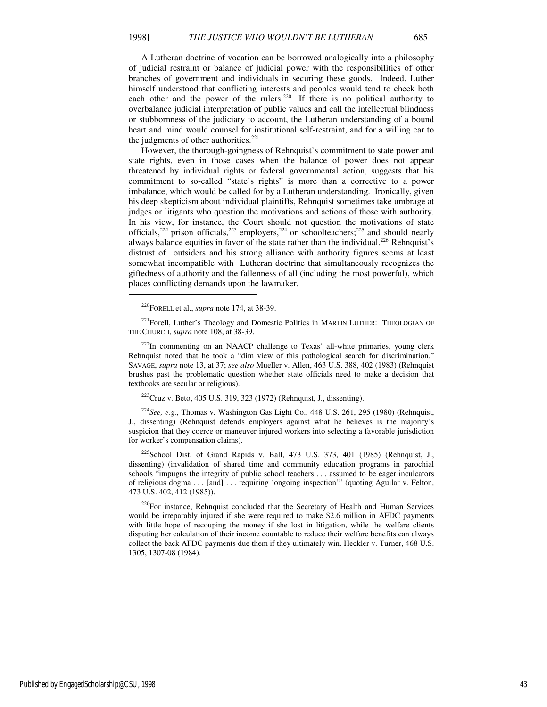A Lutheran doctrine of vocation can be borrowed analogically into a philosophy of judicial restraint or balance of judicial power with the responsibilities of other branches of government and individuals in securing these goods. Indeed, Luther himself understood that conflicting interests and peoples would tend to check both each other and the power of the rulers.<sup>220</sup> If there is no political authority to overbalance judicial interpretation of public values and call the intellectual blindness or stubbornness of the judiciary to account, the Lutheran understanding of a bound heart and mind would counsel for institutional self-restraint, and for a willing ear to the judgments of other authorities. $221$ 

However, the thorough-goingness of Rehnquist's commitment to state power and state rights, even in those cases when the balance of power does not appear threatened by individual rights or federal governmental action, suggests that his commitment to so-called "state's rights" is more than a corrective to a power imbalance, which would be called for by a Lutheran understanding. Ironically, given his deep skepticism about individual plaintiffs, Rehnquist sometimes take umbrage at judges or litigants who question the motivations and actions of those with authority. In his view, for instance, the Court should not question the motivations of state officials,<sup>222</sup> prison officials,<sup>223</sup> employers,<sup>224</sup> or schoolteachers;<sup>225</sup> and should nearly always balance equities in favor of the state rather than the individual.<sup>226</sup> Rehnquist's distrust of outsiders and his strong alliance with authority figures seems at least somewhat incompatible with Lutheran doctrine that simultaneously recognizes the giftedness of authority and the fallenness of all (including the most powerful), which places conflicting demands upon the lawmaker.

<sup>220</sup>FORELL et al., *supra* note 174, at 38-39.

j

<sup>221</sup>Forell, Luther's Theology and Domestic Politics in MARTIN LUTHER: THEOLOGIAN OF THE CHURCH, *supra* note 108, at 38-39.

 $222$ In commenting on an NAACP challenge to Texas' all-white primaries, young clerk Rehnquist noted that he took a "dim view of this pathological search for discrimination." SAVAGE, *supra* note 13, at 37; *see also* Mueller v. Allen, 463 U.S. 388, 402 (1983) (Rehnquist brushes past the problematic question whether state officials need to make a decision that textbooks are secular or religious).

<sup>223</sup>Cruz v. Beto, 405 U.S. 319, 323 (1972) (Rehnquist, J., dissenting).

<sup>224</sup>*See, e.g.*, Thomas v. Washington Gas Light Co., 448 U.S. 261, 295 (1980) (Rehnquist, J., dissenting) (Rehnquist defends employers against what he believes is the majority's suspicion that they coerce or maneuver injured workers into selecting a favorable jurisdiction for worker's compensation claims).

 $225$ School Dist. of Grand Rapids v. Ball, 473 U.S. 373, 401 (1985) (Rehnquist, J., dissenting) (invalidation of shared time and community education programs in parochial schools "impugns the integrity of public school teachers . . . assumed to be eager inculcators of religious dogma . . . [and] . . . requiring 'ongoing inspection'" (quoting Aguilar v. Felton, 473 U.S. 402, 412 (1985)).

<sup>226</sup>For instance, Rehnquist concluded that the Secretary of Health and Human Services would be irreparably injured if she were required to make \$2.6 million in AFDC payments with little hope of recouping the money if she lost in litigation, while the welfare clients disputing her calculation of their income countable to reduce their welfare benefits can always collect the back AFDC payments due them if they ultimately win. Heckler v. Turner, 468 U.S. 1305, 1307-08 (1984).

Published by EngagedScholarship@CSU, 1998 43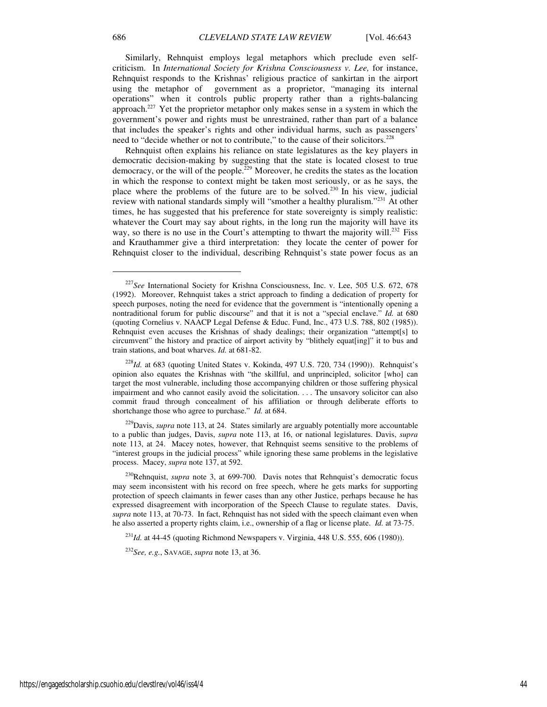Similarly, Rehnquist employs legal metaphors which preclude even selfcriticism. In *International Society for Krishna Consciousness v. Lee,* for instance, Rehnquist responds to the Krishnas' religious practice of sankirtan in the airport using the metaphor of government as a proprietor, "managing its internal operations" when it controls public property rather than a rights-balancing approach.<sup>227</sup> Yet the proprietor metaphor only makes sense in a system in which the government's power and rights must be unrestrained, rather than part of a balance that includes the speaker's rights and other individual harms, such as passengers' need to "decide whether or not to contribute," to the cause of their solicitors.<sup>228</sup>

Rehnquist often explains his reliance on state legislatures as the key players in democratic decision-making by suggesting that the state is located closest to true democracy, or the will of the people.<sup>229</sup> Moreover, he credits the states as the location in which the response to context might be taken most seriously, or as he says, the place where the problems of the future are to be solved.<sup>230</sup> In his view, judicial review with national standards simply will "smother a healthy pluralism."<sup>231</sup> At other times, he has suggested that his preference for state sovereignty is simply realistic: whatever the Court may say about rights, in the long run the majority will have its way, so there is no use in the Court's attempting to thwart the majority will.<sup>232</sup> Fiss and Krauthammer give a third interpretation: they locate the center of power for Rehnquist closer to the individual, describing Rehnquist's state power focus as an

<sup>229</sup>Davis, *supra* note 113, at 24. States similarly are arguably potentially more accountable to a public than judges, Davis, *supra* note 113, at 16, or national legislatures. Davis, *supra* note 113, at 24. Macey notes, however, that Rehnquist seems sensitive to the problems of "interest groups in the judicial process" while ignoring these same problems in the legislative process. Macey, *supra* note 137, at 592.

<sup>230</sup>Rehnquist, *supra* note 3, at 699-700. Davis notes that Rehnquist's democratic focus may seem inconsistent with his record on free speech, where he gets marks for supporting protection of speech claimants in fewer cases than any other Justice, perhaps because he has expressed disagreement with incorporation of the Speech Clause to regulate states. Davis, *supra* note 113, at 70-73. In fact, Rehnquist has not sided with the speech claimant even when he also asserted a property rights claim, i.e., ownership of a flag or license plate. *Id.* at 73-75.

 $^{231}$ *Id.* at 44-45 (quoting Richmond Newspapers v. Virginia, 448 U.S. 555, 606 (1980)).

<sup>232</sup>*See, e.g.*, SAVAGE, *supra* note 13, at 36.

<sup>227</sup>*See* International Society for Krishna Consciousness, Inc. v. Lee, 505 U.S. 672, 678 (1992). Moreover, Rehnquist takes a strict approach to finding a dedication of property for speech purposes, noting the need for evidence that the government is "intentionally opening a nontraditional forum for public discourse" and that it is not a "special enclave." *Id.* at 680 (quoting Cornelius v. NAACP Legal Defense & Educ. Fund, Inc., 473 U.S. 788, 802 (1985)). Rehnquist even accuses the Krishnas of shady dealings; their organization "attempt[s] to circumvent" the history and practice of airport activity by "blithely equat[ing]" it to bus and train stations, and boat wharves. *Id.* at 681-82.

<sup>228</sup>*Id.* at 683 (quoting United States v. Kokinda, 497 U.S. 720, 734 (1990)). Rehnquist's opinion also equates the Krishnas with "the skillful, and unprincipled, solicitor [who] can target the most vulnerable, including those accompanying children or those suffering physical impairment and who cannot easily avoid the solicitation. . . . The unsavory solicitor can also commit fraud through concealment of his affiliation or through deliberate efforts to shortchange those who agree to purchase." *Id.* at 684.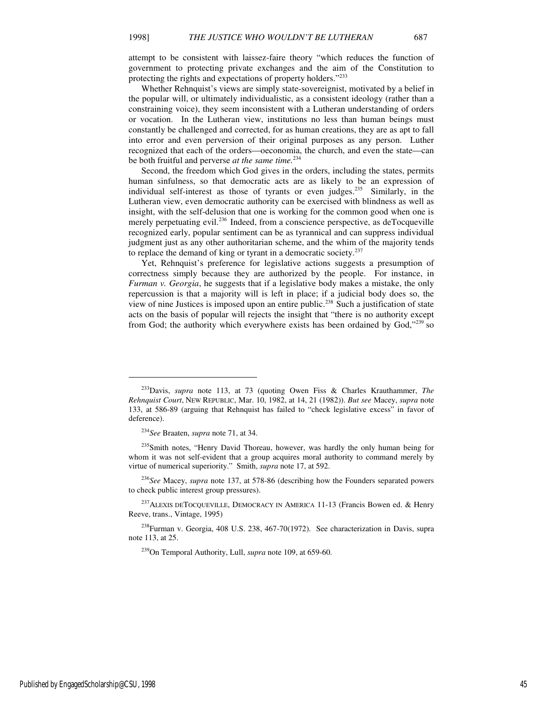attempt to be consistent with laissez-faire theory "which reduces the function of government to protecting private exchanges and the aim of the Constitution to protecting the rights and expectations of property holders."<sup>233</sup>

Whether Rehnquist's views are simply state-sovereignist, motivated by a belief in the popular will, or ultimately individualistic, as a consistent ideology (rather than a constraining voice), they seem inconsistent with a Lutheran understanding of orders or vocation. In the Lutheran view, institutions no less than human beings must constantly be challenged and corrected, for as human creations, they are as apt to fall into error and even perversion of their original purposes as any person. Luther recognized that each of the orders—oeconomia, the church, and even the state—can be both fruitful and perverse *at the same time.*<sup>234</sup>

Second, the freedom which God gives in the orders, including the states, permits human sinfulness, so that democratic acts are as likely to be an expression of individual self-interest as those of tyrants or even judges.<sup>235</sup> Similarly, in the Lutheran view, even democratic authority can be exercised with blindness as well as insight, with the self-delusion that one is working for the common good when one is merely perpetuating evil.<sup>236</sup> Indeed, from a conscience perspective, as deTocqueville recognized early, popular sentiment can be as tyrannical and can suppress individual judgment just as any other authoritarian scheme, and the whim of the majority tends to replace the demand of king or tyrant in a democratic society.<sup>237</sup>

Yet, Rehnquist's preference for legislative actions suggests a presumption of correctness simply because they are authorized by the people. For instance, in *Furman v. Georgia*, he suggests that if a legislative body makes a mistake, the only repercussion is that a majority will is left in place; if a judicial body does so, the view of nine Justices is imposed upon an entire public.<sup>238</sup> Such a justification of state acts on the basis of popular will rejects the insight that "there is no authority except from God; the authority which everywhere exists has been ordained by God," $239$  so

<sup>233</sup>Davis, *supra* note 113, at 73 (quoting Owen Fiss & Charles Krauthammer, *The Rehnquist Court*, NEW REPUBLIC, Mar. 10, 1982, at 14, 21 (1982)). *But see* Macey, *supra* note 133, at 586-89 (arguing that Rehnquist has failed to "check legislative excess" in favor of deference).

<sup>234</sup>*See* Braaten, *supra* note 71, at 34.

<sup>&</sup>lt;sup>235</sup>Smith notes, "Henry David Thoreau, however, was hardly the only human being for whom it was not self-evident that a group acquires moral authority to command merely by virtue of numerical superiority." Smith, *supra* note 17, at 592.

<sup>236</sup>*See* Macey, *supra* note 137, at 578-86 (describing how the Founders separated powers to check public interest group pressures).

<sup>&</sup>lt;sup>237</sup>ALEXIS DETOCQUEVILLE, DEMOCRACY IN AMERICA 11-13 (Francis Bowen ed. & Henry Reeve, trans., Vintage, 1995)

<sup>&</sup>lt;sup>238</sup>Furman v. Georgia, 408 U.S. 238, 467-70(1972). See characterization in Davis, supra note 113, at 25.

<sup>239</sup>On Temporal Authority, Lull, *supra* note 109, at 659-60.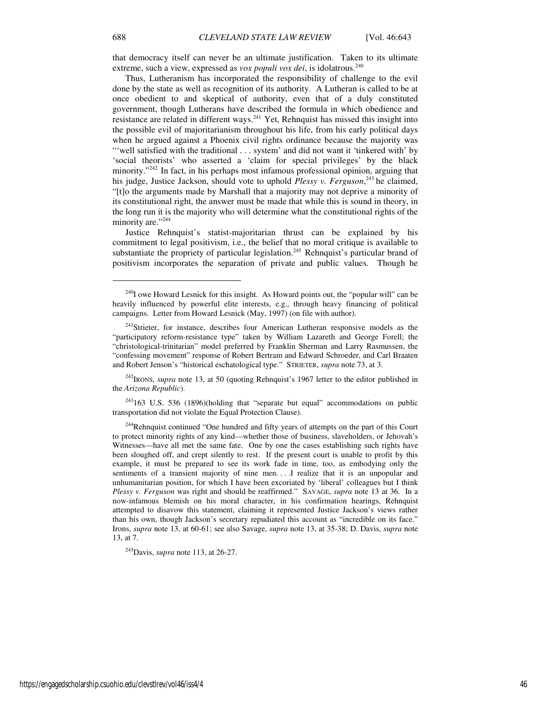that democracy itself can never be an ultimate justification. Taken to its ultimate extreme, such a view, expressed as *vox populi vox dei*, is idolatrous.<sup>240</sup>

Thus, Lutheranism has incorporated the responsibility of challenge to the evil done by the state as well as recognition of its authority. A Lutheran is called to be at once obedient to and skeptical of authority, even that of a duly constituted government, though Lutherans have described the formula in which obedience and resistance are related in different ways.<sup>241</sup> Yet, Rehnquist has missed this insight into the possible evil of majoritarianism throughout his life, from his early political days when he argued against a Phoenix civil rights ordinance because the majority was "'well satisfied with the traditional . . . system' and did not want it 'tinkered with' by 'social theorists' who asserted a 'claim for special privileges' by the black minority. $1242$  In fact, in his perhaps most infamous professional opinion, arguing that his judge, Justice Jackson, should vote to uphold *Plessy v. Ferguson*,<sup>243</sup> he claimed, "[t]o the arguments made by Marshall that a majority may not deprive a minority of its constitutional right, the answer must be made that while this is sound in theory, in the long run it is the majority who will determine what the constitutional rights of the minority are."<sup>244</sup>

Justice Rehnquist's statist-majoritarian thrust can be explained by his commitment to legal positivism, i.e., the belief that no moral critique is available to substantiate the propriety of particular legislation.<sup>245</sup> Rehnquist's particular brand of positivism incorporates the separation of private and public values. Though he

<sup>242</sup>IRONS, *supra* note 13, at 50 (quoting Rehnquist's 1967 letter to the editor published in the *Arizona Republic*).

<sup>243</sup>163 U.S. 536 (1896)(holding that "separate but equal" accommodations on public transportation did not violate the Equal Protection Clause).

<sup>245</sup>Davis, *supra* note 113, at 26-27.

 $^{240}$ I owe Howard Lesnick for this insight. As Howard points out, the "popular will" can be heavily influenced by powerful elite interests, e.g., through heavy financing of political campaigns. Letter from Howard Lesnick (May, 1997) (on file with author).

<sup>&</sup>lt;sup>241</sup>Strieter, for instance, describes four American Lutheran responsive models as the "participatory reform-resistance type" taken by William Lazareth and George Forell; the "christological-trinitarian" model preferred by Franklin Sherman and Larry Rasmussen, the "confessing movement" response of Robert Bertram and Edward Schroeder, and Carl Braaten and Robert Jenson's "historical eschatological type." STRIETER, *supra* note 73, at 3.

<sup>&</sup>lt;sup>244</sup>Rehnquist continued "One hundred and fifty years of attempts on the part of this Court to protect minority rights of any kind—whether those of business, slaveholders, or Jehovah's Witnesses—have all met the same fate. One by one the cases establishing such rights have been sloughed off, and crept silently to rest. If the present court is unable to profit by this example, it must be prepared to see its work fade in time, too, as embodying only the sentiments of a transient majority of nine men. . . .I realize that it is an unpopular and unhumanitarian position, for which I have been excoriated by 'liberal' colleagues but I think *Plessy v. Ferguson* was right and should be reaffirmed." SAVAGE, *supra* note 13 at 36. In a now-infamous blemish on his moral character, in his confirmation hearings, Rehnquist attempted to disavow this statement, claiming it represented Justice Jackson's views rather than his own, though Jackson's secretary repudiated this account as "incredible on its face." Irons, *supra* note 13, at 60-61; see also Savage, *supra* note 13, at 35-38; D. Davis, *supra* note 13, at 7.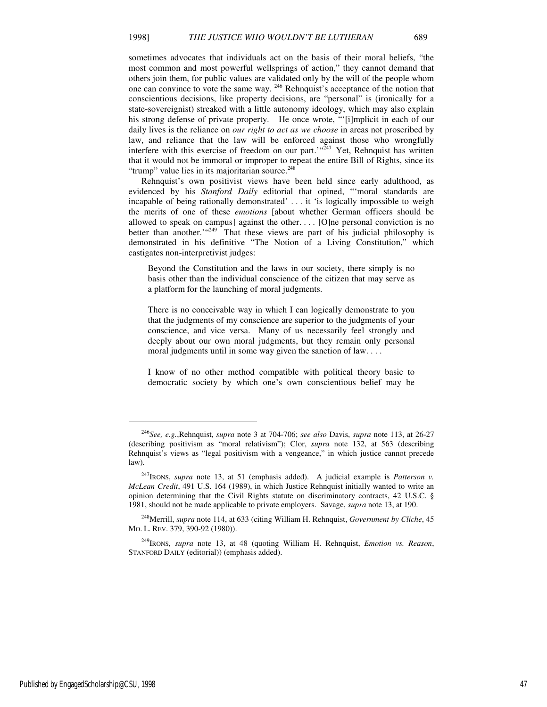sometimes advocates that individuals act on the basis of their moral beliefs, "the most common and most powerful wellsprings of action," they cannot demand that others join them, for public values are validated only by the will of the people whom one can convince to vote the same way.  $246$  Rehnquist's acceptance of the notion that conscientious decisions, like property decisions, are "personal" is (ironically for a state-sovereignist) streaked with a little autonomy ideology, which may also explain his strong defense of private property. He once wrote, "'[i]mplicit in each of our daily lives is the reliance on *our right to act as we choose* in areas not proscribed by law, and reliance that the law will be enforced against those who wrongfully interfere with this exercise of freedom on our part.<sup> $(4,247)$ </sup> Yet, Rehnquist has written that it would not be immoral or improper to repeat the entire Bill of Rights, since its "trump" value lies in its majoritarian source.<sup>248</sup>

Rehnquist's own positivist views have been held since early adulthood, as evidenced by his *Stanford Daily* editorial that opined, "'moral standards are incapable of being rationally demonstrated' . . . it 'is logically impossible to weigh the merits of one of these *emotions* [about whether German officers should be allowed to speak on campus] against the other. . . . [O]ne personal conviction is no better than another." $(249)$  That these views are part of his judicial philosophy is demonstrated in his definitive "The Notion of a Living Constitution," which castigates non-interpretivist judges:

Beyond the Constitution and the laws in our society, there simply is no basis other than the individual conscience of the citizen that may serve as a platform for the launching of moral judgments.

There is no conceivable way in which I can logically demonstrate to you that the judgments of my conscience are superior to the judgments of your conscience, and vice versa. Many of us necessarily feel strongly and deeply about our own moral judgments, but they remain only personal moral judgments until in some way given the sanction of law. . . .

I know of no other method compatible with political theory basic to democratic society by which one's own conscientious belief may be

<sup>246</sup>*See, e.g.*,Rehnquist, *supra* note 3 at 704-706; *see also* Davis, *supra* note 113, at 26-27 (describing positivism as "moral relativism"); Clor, *supra* note 132, at 563 (describing Rehnquist's views as "legal positivism with a vengeance," in which justice cannot precede law).

<sup>247</sup>IRONS, *supra* note 13, at 51 (emphasis added). A judicial example is *Patterson v. McLean Credit*, 491 U.S. 164 (1989), in which Justice Rehnquist initially wanted to write an opinion determining that the Civil Rights statute on discriminatory contracts, 42 U.S.C. § 1981, should not be made applicable to private employers. Savage, *supra* note 13, at 190.

<sup>248</sup>Merrill, *supra* note 114, at 633 (citing William H. Rehnquist, *Government by Cliche*, 45 MO. L. REV. 379, 390-92 (1980)).

<sup>249</sup>IRONS, *supra* note 13, at 48 (quoting William H. Rehnquist, *Emotion vs. Reason*, STANFORD DAILY (editorial)) (emphasis added).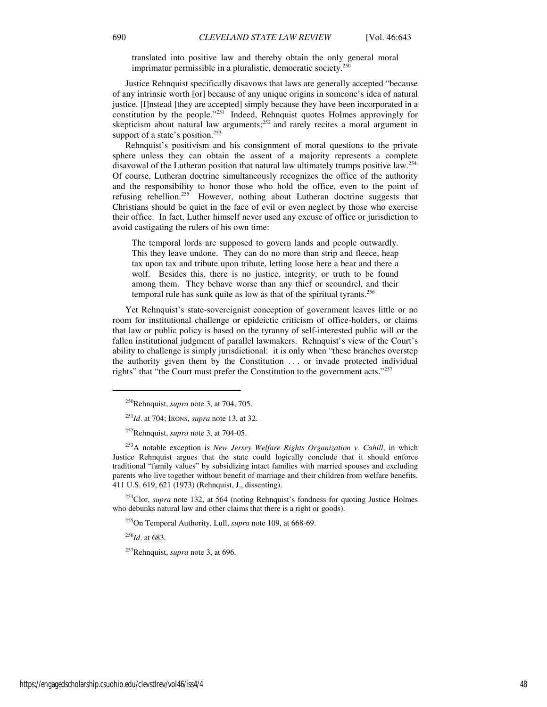translated into positive law and thereby obtain the only general moral imprimatur permissible in a pluralistic, democratic society.<sup>250</sup>

Justice Rehnquist specifically disavows that laws are generally accepted "because of any intrinsic worth [or] because of any unique origins in someone's idea of natural justice. [I]nstead [they are accepted] simply because they have been incorporated in a constitution by the people."<sup>251</sup> Indeed, Rehnquist quotes Holmes approvingly for skepticism about natural law arguments;<sup>252</sup> and rarely recites a moral argument in support of a state's position.<sup>253</sup>

Rehnquist's positivism and his consignment of moral questions to the private sphere unless they can obtain the assent of a majority represents a complete disavowal of the Lutheran position that natural law ultimately trumps positive law.<sup>254.</sup> Of course, Lutheran doctrine simultaneously recognizes the office of the authority and the responsibility to honor those who hold the office, even to the point of refusing rebellion.<sup>255</sup> However, nothing about Lutheran doctrine suggests that Christians should be quiet in the face of evil or even neglect by those who exercise their office. In fact, Luther himself never used any excuse of office or jurisdiction to avoid castigating the rulers of his own time:

The temporal lords are supposed to govern lands and people outwardly. This they leave undone. They can do no more than strip and fleece, heap tax upon tax and tribute upon tribute, letting loose here a bear and there a wolf. Besides this, there is no justice, integrity, or truth to be found among them. They behave worse than any thief or scoundrel, and their temporal rule has sunk quite as low as that of the spiritual tyrants.<sup>256</sup>

Yet Rehnquist's state-sovereignist conception of government leaves little or no room for institutional challenge or epideictic criticism of office-holders, or claims that law or public policy is based on the tyranny of self-interested public will or the fallen institutional judgment of parallel lawmakers. Rehnquist's view of the Court's ability to challenge is simply jurisdictional: it is only when "these branches overstep the authority given them by the Constitution . . . or invade protected individual rights" that "the Court must prefer the Constitution to the government acts."<sup>257</sup>

<sup>254</sup>Clor, *supra* note 132, at 564 (noting Rehnquist's fondness for quoting Justice Holmes who debunks natural law and other claims that there is a right or goods).

<sup>255</sup>On Temporal Authority, Lull, *supra* note 109, at 668-69.

<sup>256</sup>*Id*. at 683.

<sup>257</sup>Rehnquist, *supra* note 3, at 696.

<sup>250</sup>Rehnquist, *supra* note 3, at 704, 705.

<sup>251</sup>*Id*. at 704; IRONS, *supra* note 13, at 32.

<sup>252</sup>Rehnquist, *supra* note 3, at 704-05.

<sup>253</sup>A notable exception is *New Jersey Welfare Rights Organization v. Cahill*, in which Justice Rehnquist argues that the state could logically conclude that it should enforce traditional "family values" by subsidizing intact families with married spouses and excluding parents who live together without benefit of marriage and their children from welfare benefits. 411 U.S. 619, 621 (1973) (Rehnquist, J., dissenting).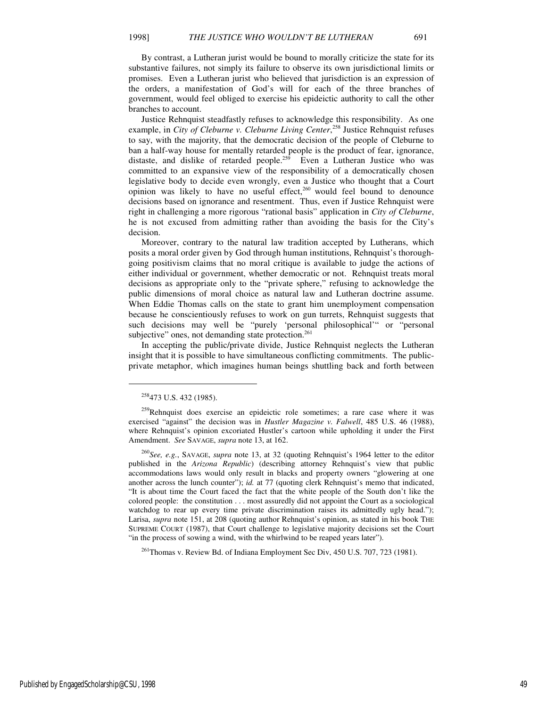By contrast, a Lutheran jurist would be bound to morally criticize the state for its

substantive failures, not simply its failure to observe its own jurisdictional limits or promises. Even a Lutheran jurist who believed that jurisdiction is an expression of the orders, a manifestation of God's will for each of the three branches of government, would feel obliged to exercise his epideictic authority to call the other branches to account.

Justice Rehnquist steadfastly refuses to acknowledge this responsibility. As one example, in *City of Cleburne v. Cleburne Living Center*,<sup>258</sup> Justice Rehnquist refuses to say, with the majority, that the democratic decision of the people of Cleburne to ban a half-way house for mentally retarded people is the product of fear, ignorance, distaste, and dislike of retarded people.<sup>259</sup> Even a Lutheran Justice who was committed to an expansive view of the responsibility of a democratically chosen legislative body to decide even wrongly, even a Justice who thought that a Court opinion was likely to have no useful effect, $260$  would feel bound to denounce decisions based on ignorance and resentment. Thus, even if Justice Rehnquist were right in challenging a more rigorous "rational basis" application in *City of Cleburne*, he is not excused from admitting rather than avoiding the basis for the City's decision.

Moreover, contrary to the natural law tradition accepted by Lutherans, which posits a moral order given by God through human institutions, Rehnquist's thoroughgoing positivism claims that no moral critique is available to judge the actions of either individual or government, whether democratic or not. Rehnquist treats moral decisions as appropriate only to the "private sphere," refusing to acknowledge the public dimensions of moral choice as natural law and Lutheran doctrine assume. When Eddie Thomas calls on the state to grant him unemployment compensation because he conscientiously refuses to work on gun turrets, Rehnquist suggests that such decisions may well be "purely 'personal philosophical'" or "personal subjective" ones, not demanding state protection.<sup>261</sup>

In accepting the public/private divide, Justice Rehnquist neglects the Lutheran insight that it is possible to have simultaneous conflicting commitments. The publicprivate metaphor, which imagines human beings shuttling back and forth between

<sup>258</sup>473 U.S. 432 (1985).

<sup>&</sup>lt;sup>259</sup>Rehnquist does exercise an epideictic role sometimes; a rare case where it was exercised "against" the decision was in *Hustler Magazine v. Falwell*, 485 U.S. 46 (1988), where Rehnquist's opinion excoriated Hustler's cartoon while upholding it under the First Amendment. *See* SAVAGE, *supra* note 13, at 162.

<sup>260</sup>*See, e.g.*, SAVAGE, *supra* note 13, at 32 (quoting Rehnquist's 1964 letter to the editor published in the *Arizona Republic*) (describing attorney Rehnquist's view that public accommodations laws would only result in blacks and property owners "glowering at one another across the lunch counter"); *id.* at 77 (quoting clerk Rehnquist's memo that indicated, "It is about time the Court faced the fact that the white people of the South don't like the colored people: the constitution . . . most assuredly did not appoint the Court as a sociological watchdog to rear up every time private discrimination raises its admittedly ugly head."); Larisa, *supra* note 151, at 208 (quoting author Rehnquist's opinion, as stated in his book THE SUPREME COURT (1987), that Court challenge to legislative majority decisions set the Court "in the process of sowing a wind, with the whirlwind to be reaped years later").

<sup>&</sup>lt;sup>261</sup>Thomas v. Review Bd. of Indiana Employment Sec Div, 450 U.S. 707, 723 (1981).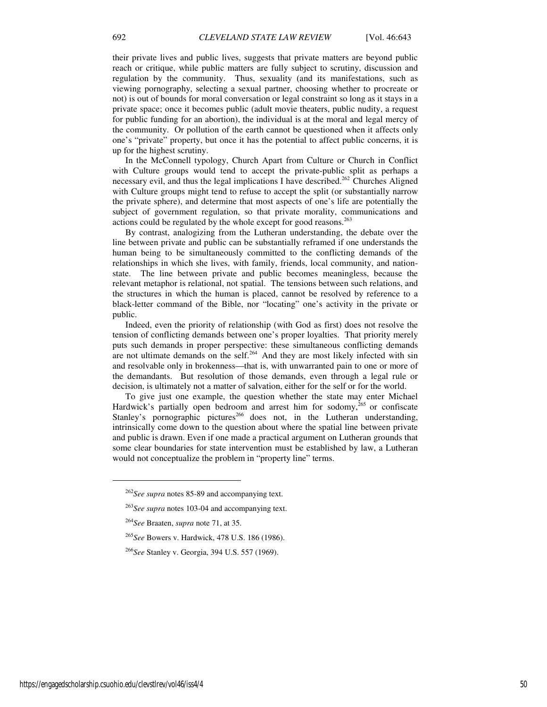their private lives and public lives, suggests that private matters are beyond public reach or critique, while public matters are fully subject to scrutiny, discussion and regulation by the community. Thus, sexuality (and its manifestations, such as viewing pornography, selecting a sexual partner, choosing whether to procreate or not) is out of bounds for moral conversation or legal constraint so long as it stays in a private space; once it becomes public (adult movie theaters, public nudity, a request for public funding for an abortion), the individual is at the moral and legal mercy of the community. Or pollution of the earth cannot be questioned when it affects only one's "private" property, but once it has the potential to affect public concerns, it is up for the highest scrutiny.

In the McConnell typology, Church Apart from Culture or Church in Conflict with Culture groups would tend to accept the private-public split as perhaps a necessary evil, and thus the legal implications I have described.<sup>262</sup> Churches Aligned with Culture groups might tend to refuse to accept the split (or substantially narrow the private sphere), and determine that most aspects of one's life are potentially the subject of government regulation, so that private morality, communications and actions could be regulated by the whole except for good reasons.<sup>263</sup>

By contrast, analogizing from the Lutheran understanding, the debate over the line between private and public can be substantially reframed if one understands the human being to be simultaneously committed to the conflicting demands of the relationships in which she lives, with family, friends, local community, and nationstate. The line between private and public becomes meaningless, because the relevant metaphor is relational, not spatial. The tensions between such relations, and the structures in which the human is placed, cannot be resolved by reference to a black-letter command of the Bible, nor "locating" one's activity in the private or public.

Indeed, even the priority of relationship (with God as first) does not resolve the tension of conflicting demands between one's proper loyalties. That priority merely puts such demands in proper perspective: these simultaneous conflicting demands are not ultimate demands on the self.<sup>264</sup> And they are most likely infected with sin and resolvable only in brokenness—that is, with unwarranted pain to one or more of the demandants. But resolution of those demands, even through a legal rule or decision, is ultimately not a matter of salvation, either for the self or for the world.

To give just one example, the question whether the state may enter Michael Hardwick's partially open bedroom and arrest him for sodomy, $^{265}$  or confiscate Stanley's pornographic pictures<sup>266</sup> does not, in the Lutheran understanding, intrinsically come down to the question about where the spatial line between private and public is drawn. Even if one made a practical argument on Lutheran grounds that some clear boundaries for state intervention must be established by law, a Lutheran would not conceptualize the problem in "property line" terms.

 $\overline{a}$ 

<sup>262</sup>*See supra* notes 85-89 and accompanying text.

<sup>263</sup>*See supra* notes 103-04 and accompanying text.

<sup>264</sup>*See* Braaten, *supra* note 71, at 35.

<sup>265</sup>*See* Bowers v. Hardwick, 478 U.S. 186 (1986).

<sup>266</sup>*See* Stanley v. Georgia, 394 U.S. 557 (1969).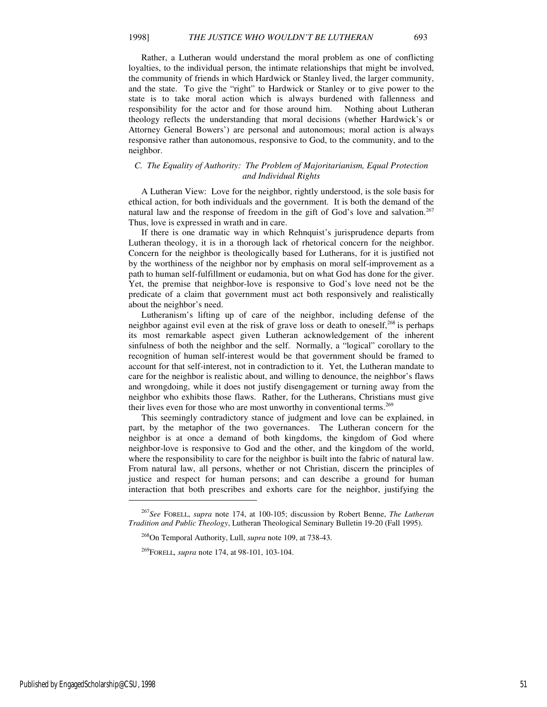Rather, a Lutheran would understand the moral problem as one of conflicting loyalties, to the individual person, the intimate relationships that might be involved, the community of friends in which Hardwick or Stanley lived, the larger community, and the state. To give the "right" to Hardwick or Stanley or to give power to the state is to take moral action which is always burdened with fallenness and responsibility for the actor and for those around him. Nothing about Lutheran theology reflects the understanding that moral decisions (whether Hardwick's or Attorney General Bowers') are personal and autonomous; moral action is always responsive rather than autonomous, responsive to God, to the community, and to the neighbor.

#### *C. The Equality of Authority: The Problem of Majoritarianism, Equal Protection and Individual Rights*

A Lutheran View: Love for the neighbor, rightly understood, is the sole basis for ethical action, for both individuals and the government. It is both the demand of the natural law and the response of freedom in the gift of God's love and salvation.<sup>267</sup> Thus, love is expressed in wrath and in care.

If there is one dramatic way in which Rehnquist's jurisprudence departs from Lutheran theology, it is in a thorough lack of rhetorical concern for the neighbor. Concern for the neighbor is theologically based for Lutherans, for it is justified not by the worthiness of the neighbor nor by emphasis on moral self-improvement as a path to human self-fulfillment or eudamonia, but on what God has done for the giver. Yet, the premise that neighbor-love is responsive to God's love need not be the predicate of a claim that government must act both responsively and realistically about the neighbor's need.

Lutheranism's lifting up of care of the neighbor, including defense of the neighbor against evil even at the risk of grave loss or death to oneself, $^{268}$  is perhaps its most remarkable aspect given Lutheran acknowledgement of the inherent sinfulness of both the neighbor and the self. Normally, a "logical" corollary to the recognition of human self-interest would be that government should be framed to account for that self-interest, not in contradiction to it. Yet, the Lutheran mandate to care for the neighbor is realistic about, and willing to denounce, the neighbor's flaws and wrongdoing, while it does not justify disengagement or turning away from the neighbor who exhibits those flaws. Rather, for the Lutherans, Christians must give their lives even for those who are most unworthy in conventional terms.<sup>269</sup>

This seemingly contradictory stance of judgment and love can be explained, in part, by the metaphor of the two governances. The Lutheran concern for the neighbor is at once a demand of both kingdoms, the kingdom of God where neighbor-love is responsive to God and the other, and the kingdom of the world, where the responsibility to care for the neighbor is built into the fabric of natural law. From natural law, all persons, whether or not Christian, discern the principles of justice and respect for human persons; and can describe a ground for human interaction that both prescribes and exhorts care for the neighbor, justifying the

<sup>267</sup>*See* FORELL, *supra* note 174, at 100-105; discussion by Robert Benne, *The Lutheran Tradition and Public Theology*, Lutheran Theological Seminary Bulletin 19-20 (Fall 1995).

<sup>268</sup>On Temporal Authority, Lull, *supra* note 109, at 738-43.

<sup>269</sup>FORELL*, supra* note 174, at 98-101, 103-104.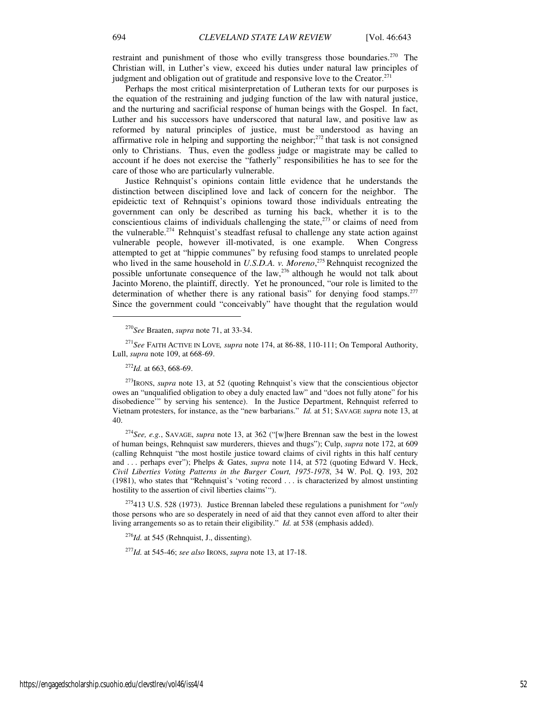restraint and punishment of those who evilly transgress those boundaries.<sup>270</sup> The Christian will, in Luther's view, exceed his duties under natural law principles of judgment and obligation out of gratitude and responsive love to the Creator. $271$ 

Perhaps the most critical misinterpretation of Lutheran texts for our purposes is the equation of the restraining and judging function of the law with natural justice, and the nurturing and sacrificial response of human beings with the Gospel. In fact, Luther and his successors have underscored that natural law, and positive law as reformed by natural principles of justice, must be understood as having an affirmative role in helping and supporting the neighbor; $^{272}$  that task is not consigned only to Christians. Thus, even the godless judge or magistrate may be called to account if he does not exercise the "fatherly" responsibilities he has to see for the care of those who are particularly vulnerable.

Justice Rehnquist's opinions contain little evidence that he understands the distinction between disciplined love and lack of concern for the neighbor. The epideictic text of Rehnquist's opinions toward those individuals entreating the government can only be described as turning his back, whether it is to the conscientious claims of individuals challenging the state, $273$  or claims of need from the vulnerable.<sup>274</sup> Rehnquist's steadfast refusal to challenge any state action against vulnerable people, however ill-motivated, is one example. When Congress attempted to get at "hippie communes" by refusing food stamps to unrelated people who lived in the same household in *U.S.D.A. v. Moreno*,<sup>275</sup> Rehnquist recognized the possible unfortunate consequence of the law,  $^{276}$  although he would not talk about Jacinto Moreno, the plaintiff, directly. Yet he pronounced, "our role is limited to the determination of whether there is any rational basis" for denying food stamps.<sup>277</sup> Since the government could "conceivably" have thought that the regulation would

j

<sup>275</sup>413 U.S. 528 (1973). Justice Brennan labeled these regulations a punishment for "*only* those persons who are so desperately in need of aid that they cannot even afford to alter their living arrangements so as to retain their eligibility." *Id.* at 538 (emphasis added).

<sup>276</sup>*Id.* at 545 (Rehnquist, J., dissenting).

<sup>277</sup>*Id.* at 545-46; *see also* IRONS, *supra* note 13, at 17-18.

<sup>270</sup>*See* Braaten, *supra* note 71, at 33-34.

<sup>271</sup>*See* FAITH ACTIVE IN LOVE*, supra* note 174, at 86-88, 110-111; On Temporal Authority, Lull, *supra* note 109, at 668-69.

<sup>272</sup>*Id.* at 663, 668-69.

<sup>&</sup>lt;sup>273</sup>IRONS, *supra* note 13, at 52 (quoting Rehnquist's view that the conscientious objector owes an "unqualified obligation to obey a duly enacted law" and "does not fully atone" for his disobedience'" by serving his sentence). In the Justice Department, Rehnquist referred to Vietnam protesters, for instance, as the "new barbarians." *Id.* at 51; SAVAGE *supra* note 13, at 40.

<sup>274</sup>*See, e.g.*, SAVAGE, *supra* note 13, at 362 ("[w]here Brennan saw the best in the lowest of human beings, Rehnquist saw murderers, thieves and thugs"); Culp, *supra* note 172, at 609 (calling Rehnquist "the most hostile justice toward claims of civil rights in this half century and . . . perhaps ever"); Phelps & Gates, *supra* note 114, at 572 (quoting Edward V. Heck, *Civil Liberties Voting Patterns in the Burger Court, 1975-1978*, 34 W. Pol. Q. 193, 202 (1981), who states that "Rehnquist's 'voting record . . . is characterized by almost unstinting hostility to the assertion of civil liberties claims'").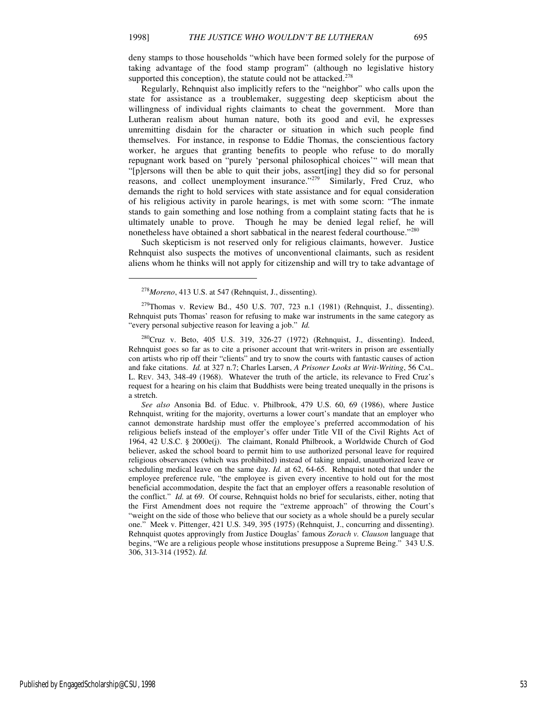deny stamps to those households "which have been formed solely for the purpose of taking advantage of the food stamp program" (although no legislative history supported this conception), the statute could not be attacked.<sup>278</sup>

Regularly, Rehnquist also implicitly refers to the "neighbor" who calls upon the state for assistance as a troublemaker, suggesting deep skepticism about the willingness of individual rights claimants to cheat the government. More than Lutheran realism about human nature, both its good and evil, he expresses unremitting disdain for the character or situation in which such people find themselves. For instance, in response to Eddie Thomas, the conscientious factory worker, he argues that granting benefits to people who refuse to do morally repugnant work based on "purely 'personal philosophical choices'" will mean that "[p]ersons will then be able to quit their jobs, assert[ing] they did so for personal reasons, and collect unemployment insurance."<sup>279</sup> Similarly, Fred Cruz, who demands the right to hold services with state assistance and for equal consideration of his religious activity in parole hearings, is met with some scorn: "The inmate stands to gain something and lose nothing from a complaint stating facts that he is ultimately unable to prove. Though he may be denied legal relief, he will nonetheless have obtained a short sabbatical in the nearest federal courthouse."<sup>280</sup>

Such skepticism is not reserved only for religious claimants, however. Justice Rehnquist also suspects the motives of unconventional claimants, such as resident aliens whom he thinks will not apply for citizenship and will try to take advantage of

1

 $279$ Thomas v. Review Bd., 450 U.S. 707, 723 n.1 (1981) (Rehnquist, J., dissenting). Rehnquist puts Thomas' reason for refusing to make war instruments in the same category as "every personal subjective reason for leaving a job." *Id.*

 $280$ Cruz v. Beto, 405 U.S. 319, 326-27 (1972) (Rehnquist, J., dissenting). Indeed, Rehnquist goes so far as to cite a prisoner account that writ-writers in prison are essentially con artists who rip off their "clients" and try to snow the courts with fantastic causes of action and fake citations. *Id.* at 327 n.7; Charles Larsen, *A Prisoner Looks at Writ-Writing*, 56 CAL. L. REV. 343, 348-49 (1968). Whatever the truth of the article, its relevance to Fred Cruz's request for a hearing on his claim that Buddhists were being treated unequally in the prisons is a stretch.

*See also* Ansonia Bd. of Educ. v. Philbrook, 479 U.S. 60, 69 (1986), where Justice Rehnquist, writing for the majority, overturns a lower court's mandate that an employer who cannot demonstrate hardship must offer the employee's preferred accommodation of his religious beliefs instead of the employer's offer under Title VII of the Civil Rights Act of 1964, 42 U.S.C. § 2000e(j). The claimant, Ronald Philbrook, a Worldwide Church of God believer, asked the school board to permit him to use authorized personal leave for required religious observances (which was prohibited) instead of taking unpaid, unauthorized leave or scheduling medical leave on the same day. *Id.* at 62, 64-65. Rehnquist noted that under the employee preference rule, "the employee is given every incentive to hold out for the most beneficial accommodation, despite the fact that an employer offers a reasonable resolution of the conflict." *Id.* at 69. Of course, Rehnquist holds no brief for secularists, either, noting that the First Amendment does not require the "extreme approach" of throwing the Court's "weight on the side of those who believe that our society as a whole should be a purely secular one." Meek v. Pittenger, 421 U.S. 349, 395 (1975) (Rehnquist, J., concurring and dissenting). Rehnquist quotes approvingly from Justice Douglas' famous *Zorach v. Clauson* language that begins, "We are a religious people whose institutions presuppose a Supreme Being." 343 U.S. 306, 313-314 (1952). *Id.*

Published by EngagedScholarship@CSU, 1998 53

<sup>278</sup>*Moreno*, 413 U.S. at 547 (Rehnquist, J., dissenting).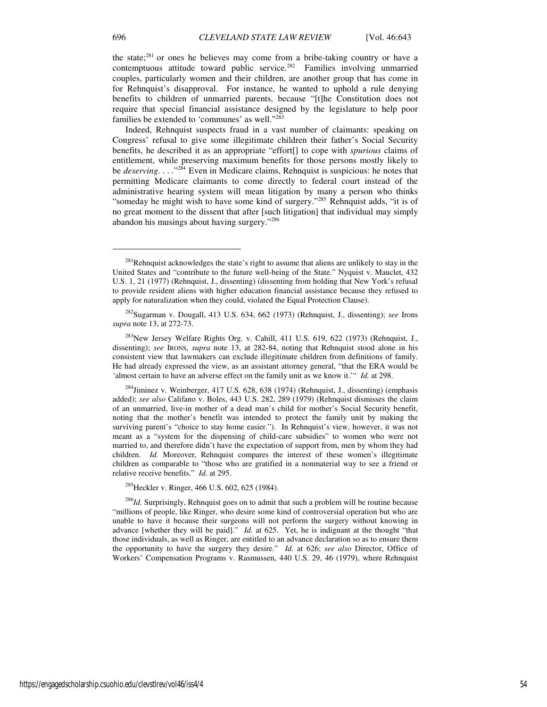the state;<sup>281</sup> or ones he believes may come from a bribe-taking country or have a contemptuous attitude toward public service.<sup>282</sup> Families involving unmarried couples, particularly women and their children, are another group that has come in for Rehnquist's disapproval. For instance, he wanted to uphold a rule denying benefits to children of unmarried parents, because "[t]he Constitution does not require that special financial assistance designed by the legislature to help poor families be extended to 'communes' as well."<sup>283</sup>

Indeed, Rehnquist suspects fraud in a vast number of claimants: speaking on Congress' refusal to give some illegitimate children their father's Social Security benefits, he described it as an appropriate "effort[] to cope with *spurious* claims of entitlement, while preserving maximum benefits for those persons mostly likely to be *deserving.* . . . .<sup>3284</sup> Even in Medicare claims, Rehnquist is suspicious: he notes that permitting Medicare claimants to come directly to federal court instead of the administrative hearing system will mean litigation by many a person who thinks "someday he might wish to have some kind of surgery."<sup>285</sup> Rehnquist adds, "it is of no great moment to the dissent that after [such litigation] that individual may simply abandon his musings about having surgery."<sup>286</sup>

 $^{285}$ Heckler v. Ringer, 466 U.S. 602, 625 (1984).

<sup>286</sup>Id. Surprisingly, Rehnquist goes on to admit that such a problem will be routine because "millions of people, like Ringer, who desire some kind of controversial operation but who are unable to have it because their surgeons will not perform the surgery without knowing in advance [whether they will be paid]." *Id.* at 625. Yet, he is indignant at the thought "that those individuals, as well as Ringer, are entitled to an advance declaration so as to ensure them the opportunity to have the surgery they desire." *Id.* at 626; *see also* Director, Office of Workers' Compensation Programs v. Rasmussen, 440 U.S. 29, 46 (1979), where Rehnquist

 $\overline{a}$ 

<sup>&</sup>lt;sup>281</sup>Rehnquist acknowledges the state's right to assume that aliens are unlikely to stay in the United States and "contribute to the future well-being of the State." Nyquist v. Mauclet, 432 U.S. 1, 21 (1977) (Rehnquist, J., dissenting) (dissenting from holding that New York's refusal to provide resident aliens with higher education financial assistance because they refused to apply for naturalization when they could, violated the Equal Protection Clause).

<sup>282</sup>Sugarman v. Dougall, 413 U.S. 634, 662 (1973) (Rehnquist, J., dissenting); *see* Irons *supra* note 13, at 272-73.

<sup>&</sup>lt;sup>283</sup>New Jersey Welfare Rights Org. v. Cahill, 411 U.S. 619, 622 (1973) (Rehnquist, J., dissenting); *see* IRONS, *supra* note 13, at 282-84, noting that Rehnquist stood alone in his consistent view that lawmakers can exclude illegitimate children from definitions of family. He had already expressed the view, as an assistant attorney general, "that the ERA would be 'almost certain to have an adverse effect on the family unit as we know it.'" *Id.* at 298.

<sup>&</sup>lt;sup>284</sup>Jiminez v. Weinberger, 417 U.S. 628, 638 (1974) (Rehnquist, J., dissenting) (emphasis added); *see also* Califano v. Boles, 443 U.S. 282, 289 (1979) (Rehnquist dismisses the claim of an unmarried, live-in mother of a dead man's child for mother's Social Security benefit, noting that the mother's benefit was intended to protect the family unit by making the surviving parent's "choice to stay home easier."). In Rehnquist's view, however, it was not meant as a "system for the dispensing of child-care subsidies" to women who were not married to, and therefore didn't have the expectation of support from, men by whom they had children. *Id.* Moreover, Rehnquist compares the interest of these women's illegitimate children as comparable to "those who are gratified in a nonmaterial way to see a friend or relative receive benefits." *Id.* at 295.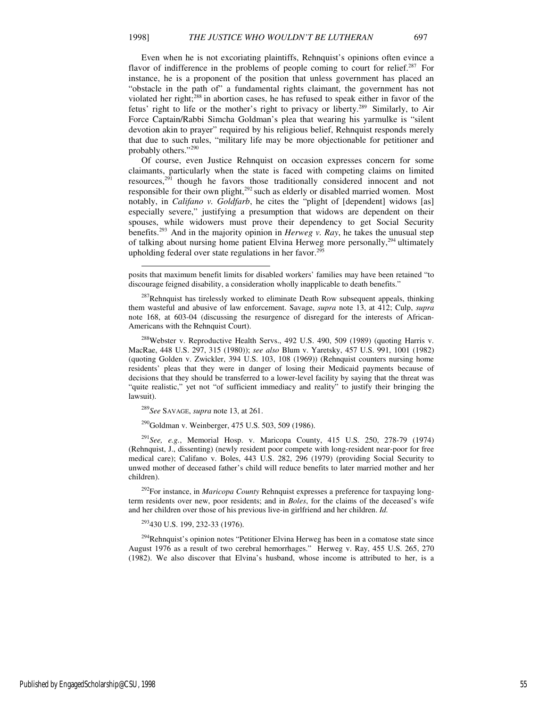-

Even when he is not excoriating plaintiffs, Rehnquist's opinions often evince a flavor of indifference in the problems of people coming to court for relief.<sup>287</sup> For instance, he is a proponent of the position that unless government has placed an "obstacle in the path of" a fundamental rights claimant, the government has not violated her right; $288$  in abortion cases, he has refused to speak either in favor of the fetus' right to life or the mother's right to privacy or liberty.<sup>289</sup> Similarly, to Air Force Captain/Rabbi Simcha Goldman's plea that wearing his yarmulke is "silent devotion akin to prayer" required by his religious belief, Rehnquist responds merely that due to such rules, "military life may be more objectionable for petitioner and probably others."<sup>290</sup>

Of course, even Justice Rehnquist on occasion expresses concern for some claimants, particularly when the state is faced with competing claims on limited resources, $291$  though he favors those traditionally considered innocent and not responsible for their own plight,<sup>292</sup> such as elderly or disabled married women. Most notably, in *Califano v. Goldfarb*, he cites the "plight of [dependent] widows [as] especially severe," justifying a presumption that widows are dependent on their spouses, while widowers must prove their dependency to get Social Security benefits.<sup>293</sup> And in the majority opinion in *Herweg v. Ray*, he takes the unusual step of talking about nursing home patient Elvina Herweg more personally,<sup>294</sup> ultimately upholding federal over state regulations in her favor.<sup>295</sup>

<sup>288</sup>Webster v. Reproductive Health Servs., 492 U.S. 490, 509 (1989) (quoting Harris v. MacRae, 448 U.S. 297, 315 (1980)); *see also* Blum v. Yaretsky, 457 U.S. 991, 1001 (1982) (quoting Golden v. Zwickler, 394 U.S. 103, 108 (1969)) (Rehnquist counters nursing home residents' pleas that they were in danger of losing their Medicaid payments because of decisions that they should be transferred to a lower-level facility by saying that the threat was "quite realistic," yet not "of sufficient immediacy and reality" to justify their bringing the lawsuit).

<sup>289</sup>*See* SAVAGE, *supra* note 13, at 261.

<sup>290</sup>Goldman v. Weinberger, 475 U.S. 503, 509 (1986).

<sup>291</sup>*See, e.g.*, Memorial Hosp. v. Maricopa County, 415 U.S. 250, 278-79 (1974) (Rehnquist, J., dissenting) (newly resident poor compete with long-resident near-poor for free medical care); Califano v. Boles, 443 U.S. 282, 296 (1979) (providing Social Security to unwed mother of deceased father's child will reduce benefits to later married mother and her children).

<sup>292</sup>For instance, in *Maricopa County* Rehnquist expresses a preference for taxpaying longterm residents over new, poor residents; and in *Boles*, for the claims of the deceased's wife and her children over those of his previous live-in girlfriend and her children. *Id.*

<sup>293</sup>430 U.S. 199, 232-33 (1976).

<sup>294</sup>Rehnquist's opinion notes "Petitioner Elvina Herweg has been in a comatose state since August 1976 as a result of two cerebral hemorrhages." Herweg v. Ray, 455 U.S. 265, 270 (1982). We also discover that Elvina's husband, whose income is attributed to her, is a

posits that maximum benefit limits for disabled workers' families may have been retained "to discourage feigned disability, a consideration wholly inapplicable to death benefits."

 $287$ Rehnquist has tirelessly worked to eliminate Death Row subsequent appeals, thinking them wasteful and abusive of law enforcement. Savage, *supra* note 13, at 412; Culp, *supra* note 168, at 603-04 (discussing the resurgence of disregard for the interests of African-Americans with the Rehnquist Court).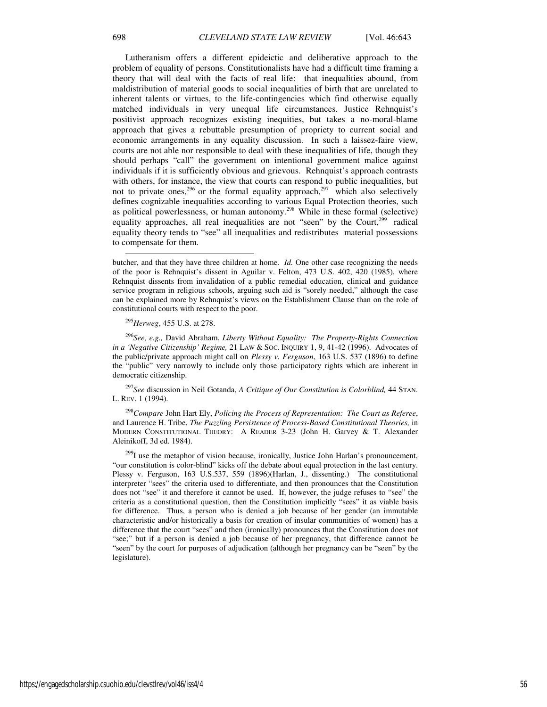Lutheranism offers a different epideictic and deliberative approach to the problem of equality of persons. Constitutionalists have had a difficult time framing a theory that will deal with the facts of real life: that inequalities abound, from maldistribution of material goods to social inequalities of birth that are unrelated to inherent talents or virtues, to the life-contingencies which find otherwise equally matched individuals in very unequal life circumstances. Justice Rehnquist's positivist approach recognizes existing inequities, but takes a no-moral-blame approach that gives a rebuttable presumption of propriety to current social and economic arrangements in any equality discussion. In such a laissez-faire view, courts are not able nor responsible to deal with these inequalities of life, though they should perhaps "call" the government on intentional government malice against individuals if it is sufficiently obvious and grievous. Rehnquist's approach contrasts with others, for instance, the view that courts can respond to public inequalities, but not to private ones,<sup>296</sup> or the formal equality approach,<sup>297</sup> which also selectively defines cognizable inequalities according to various Equal Protection theories, such as political powerlessness, or human autonomy.<sup>298</sup> While in these formal (selective) equality approaches, all real inequalities are not "seen" by the Court, $299$  radical equality theory tends to "see" all inequalities and redistributes material possessions to compensate for them.

<sup>295</sup>*Herweg*, 455 U.S. at 278.

<sup>296</sup>*See, e.g.,* David Abraham, *Liberty Without Equality: The Property-Rights Connection in a 'Negative Citizenship' Regime,* 21 LAW & SOC. INQUIRY 1, 9, 41-42 (1996). Advocates of the public/private approach might call on *Plessy v. Ferguson*, 163 U.S. 537 (1896) to define the "public" very narrowly to include only those participatory rights which are inherent in democratic citizenship.

<sup>297</sup>*See* discussion in Neil Gotanda, *A Critique of Our Constitution is Colorblind,* 44 STAN. L. REV. 1 (1994).

<sup>298</sup>*Compare* John Hart Ely, *Policing the Process of Representation: The Court as Referee*, and Laurence H. Tribe, *The Puzzling Persistence of Process-Based Constitutional Theories,* in MODERN CONSTITUTIONAL THEORY: A READER 3-23 (John H. Garvey & T. Alexander Aleinikoff, 3d ed. 1984).

<sup>299</sup>I use the metaphor of vision because, ironically, Justice John Harlan's pronouncement, "our constitution is color-blind" kicks off the debate about equal protection in the last century. Plessy v. Ferguson, 163 U.S.537, 559 (1896)(Harlan, J., dissenting.) The constitutional interpreter "sees" the criteria used to differentiate, and then pronounces that the Constitution does not "see" it and therefore it cannot be used. If, however, the judge refuses to "see" the criteria as a constitutional question, then the Constitution implicitly "sees" it as viable basis for difference. Thus, a person who is denied a job because of her gender (an immutable characteristic and/or historically a basis for creation of insular communities of women) has a difference that the court "sees" and then (ironically) pronounces that the Constitution does not "see;" but if a person is denied a job because of her pregnancy, that difference cannot be "seen" by the court for purposes of adjudication (although her pregnancy can be "seen" by the legislature).

-

butcher, and that they have three children at home. *Id.* One other case recognizing the needs of the poor is Rehnquist's dissent in Aguilar v. Felton, 473 U.S. 402, 420 (1985), where Rehnquist dissents from invalidation of a public remedial education, clinical and guidance service program in religious schools, arguing such aid is "sorely needed," although the case can be explained more by Rehnquist's views on the Establishment Clause than on the role of constitutional courts with respect to the poor.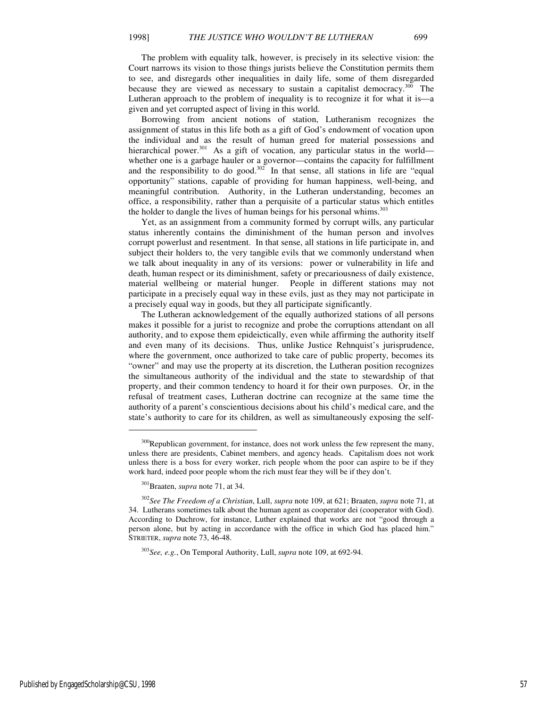The problem with equality talk, however, is precisely in its selective vision: the Court narrows its vision to those things jurists believe the Constitution permits them to see, and disregards other inequalities in daily life, some of them disregarded because they are viewed as necessary to sustain a capitalist democracy. $300$  The Lutheran approach to the problem of inequality is to recognize it for what it is—a given and yet corrupted aspect of living in this world.

Borrowing from ancient notions of station, Lutheranism recognizes the assignment of status in this life both as a gift of God's endowment of vocation upon the individual and as the result of human greed for material possessions and hierarchical power.<sup>301</sup> As a gift of vocation, any particular status in the world whether one is a garbage hauler or a governor—contains the capacity for fulfillment and the responsibility to do good. $302$  In that sense, all stations in life are "equal opportunity" stations, capable of providing for human happiness, well-being, and meaningful contribution. Authority, in the Lutheran understanding, becomes an office, a responsibility, rather than a perquisite of a particular status which entitles the holder to dangle the lives of human beings for his personal whims.<sup>303</sup>

Yet, as an assignment from a community formed by corrupt wills, any particular status inherently contains the diminishment of the human person and involves corrupt powerlust and resentment. In that sense, all stations in life participate in, and subject their holders to, the very tangible evils that we commonly understand when we talk about inequality in any of its versions: power or vulnerability in life and death, human respect or its diminishment, safety or precariousness of daily existence, material wellbeing or material hunger. People in different stations may not participate in a precisely equal way in these evils, just as they may not participate in a precisely equal way in goods, but they all participate significantly.

The Lutheran acknowledgement of the equally authorized stations of all persons makes it possible for a jurist to recognize and probe the corruptions attendant on all authority, and to expose them epideictically, even while affirming the authority itself and even many of its decisions. Thus, unlike Justice Rehnquist's jurisprudence, where the government, once authorized to take care of public property, becomes its "owner" and may use the property at its discretion, the Lutheran position recognizes the simultaneous authority of the individual and the state to stewardship of that property, and their common tendency to hoard it for their own purposes. Or, in the refusal of treatment cases, Lutheran doctrine can recognize at the same time the authority of a parent's conscientious decisions about his child's medical care, and the state's authority to care for its children, as well as simultaneously exposing the self-

<sup>&</sup>lt;sup>300</sup>Republican government, for instance, does not work unless the few represent the many, unless there are presidents, Cabinet members, and agency heads. Capitalism does not work unless there is a boss for every worker, rich people whom the poor can aspire to be if they work hard, indeed poor people whom the rich must fear they will be if they don't.

<sup>301</sup>Braaten, *supra* note 71, at 34.

<sup>302</sup>*See The Freedom of a Christian*, Lull, *supra* note 109, at 621; Braaten, *supra* note 71, at 34. Lutherans sometimes talk about the human agent as cooperator dei (cooperator with God). According to Duchrow, for instance, Luther explained that works are not "good through a person alone, but by acting in accordance with the office in which God has placed him." STRIETER, *supra* note 73, 46-48.

<sup>303</sup>*See, e.g.*, On Temporal Authority, Lull, *supra* note 109, at 692-94.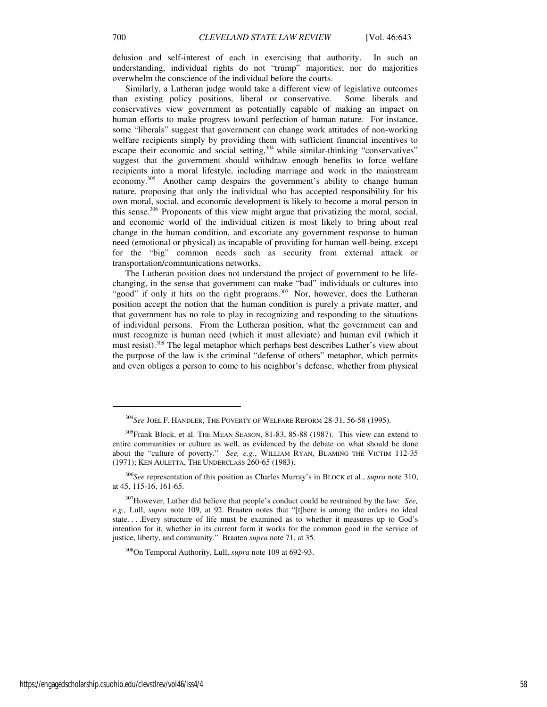delusion and self-interest of each in exercising that authority. In such an understanding, individual rights do not "trump" majorities; nor do majorities overwhelm the conscience of the individual before the courts.

Similarly, a Lutheran judge would take a different view of legislative outcomes than existing policy positions, liberal or conservative. Some liberals and conservatives view government as potentially capable of making an impact on human efforts to make progress toward perfection of human nature. For instance, some "liberals" suggest that government can change work attitudes of non-working welfare recipients simply by providing them with sufficient financial incentives to escape their economic and social setting, $304$  while similar-thinking "conservatives" suggest that the government should withdraw enough benefits to force welfare recipients into a moral lifestyle, including marriage and work in the mainstream economy.<sup>305</sup> Another camp despairs the government's ability to change human nature, proposing that only the individual who has accepted responsibility for his own moral, social, and economic development is likely to become a moral person in this sense. $306$  Proponents of this view might argue that privatizing the moral, social, and economic world of the individual citizen is most likely to bring about real change in the human condition, and excoriate any government response to human need (emotional or physical) as incapable of providing for human well-being, except for the "big" common needs such as security from external attack or transportation/communications networks.

The Lutheran position does not understand the project of government to be lifechanging, in the sense that government can make "bad" individuals or cultures into "good" if only it hits on the right programs. $307$  Nor, however, does the Lutheran position accept the notion that the human condition is purely a private matter, and that government has no role to play in recognizing and responding to the situations of individual persons. From the Lutheran position, what the government can and must recognize is human need (which it must alleviate) and human evil (which it must resist).<sup>308</sup> The legal metaphor which perhaps best describes Luther's view about the purpose of the law is the criminal "defense of others" metaphor, which permits and even obliges a person to come to his neighbor's defense, whether from physical

<sup>304</sup>*See* JOEL F. HANDLER, THE POVERTY OF WELFARE REFORM 28-31, 56-58 (1995).

<sup>305</sup>Frank Block, et al. THE MEAN SEASON, 81-83, 85-88 (1987). This view can extend to entire communities or culture as well, as evidenced by the debate on what should be done about the "culture of poverty." *See, e.g*., WILLIAM RYAN, BLAMING THE VICTIM 112-35 (1971); KEN AULETTA, THE UNDERCLASS 260-65 (1983).

<sup>306</sup>*See* representation of this position as Charles Murray's in BLOCK et al., *supra* note 310, at 45, 115-16, 161-65.

<sup>307</sup>However, Luther did believe that people's conduct could be restrained by the law: *See, e.g.,* Lull, *supra* note 109, at 92. Braaten notes that "[t]here is among the orders no ideal state. . . .Every structure of life must be examined as to whether it measures up to God's intention for it, whether in its current form it works for the common good in the service of justice, liberty, and community." Braaten *supra* note 71, at 35.

<sup>308</sup>On Temporal Authority, Lull, *supra* note 109 at 692-93.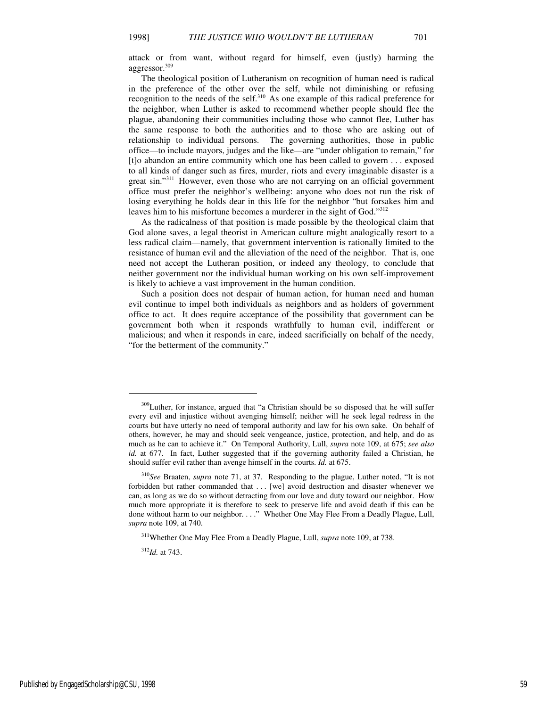attack or from want, without regard for himself, even (justly) harming the aggressor.<sup>309</sup>

The theological position of Lutheranism on recognition of human need is radical in the preference of the other over the self, while not diminishing or refusing recognition to the needs of the self.<sup>310</sup> As one example of this radical preference for the neighbor, when Luther is asked to recommend whether people should flee the plague, abandoning their communities including those who cannot flee, Luther has the same response to both the authorities and to those who are asking out of relationship to individual persons. The governing authorities, those in public office—to include mayors, judges and the like—are "under obligation to remain," for [t]o abandon an entire community which one has been called to govern . . . exposed to all kinds of danger such as fires, murder, riots and every imaginable disaster is a great sin."<sup>311</sup> However, even those who are not carrying on an official government office must prefer the neighbor's wellbeing: anyone who does not run the risk of losing everything he holds dear in this life for the neighbor "but forsakes him and leaves him to his misfortune becomes a murderer in the sight of God."<sup>312</sup>

As the radicalness of that position is made possible by the theological claim that God alone saves, a legal theorist in American culture might analogically resort to a less radical claim—namely, that government intervention is rationally limited to the resistance of human evil and the alleviation of the need of the neighbor. That is, one need not accept the Lutheran position, or indeed any theology, to conclude that neither government nor the individual human working on his own self-improvement is likely to achieve a vast improvement in the human condition.

Such a position does not despair of human action, for human need and human evil continue to impel both individuals as neighbors and as holders of government office to act. It does require acceptance of the possibility that government can be government both when it responds wrathfully to human evil, indifferent or malicious; and when it responds in care, indeed sacrificially on behalf of the needy, "for the betterment of the community."

 $\overline{a}$ 

<sup>&</sup>lt;sup>309</sup>Luther, for instance, argued that "a Christian should be so disposed that he will suffer every evil and injustice without avenging himself; neither will he seek legal redress in the courts but have utterly no need of temporal authority and law for his own sake. On behalf of others, however, he may and should seek vengeance, justice, protection, and help, and do as much as he can to achieve it." On Temporal Authority, Lull, *supra* note 109, at 675; *see also id.* at 677. In fact, Luther suggested that if the governing authority failed a Christian, he should suffer evil rather than avenge himself in the courts. *Id.* at 675.

<sup>310</sup>*See* Braaten, *supra* note 71, at 37. Responding to the plague, Luther noted, "It is not forbidden but rather commanded that . . . [we] avoid destruction and disaster whenever we can, as long as we do so without detracting from our love and duty toward our neighbor. How much more appropriate it is therefore to seek to preserve life and avoid death if this can be done without harm to our neighbor. . . ." Whether One May Flee From a Deadly Plague, Lull, *supra* note 109, at 740.

<sup>311</sup>Whether One May Flee From a Deadly Plague, Lull, *supra* note 109, at 738.

<sup>312</sup>*Id.* at 743.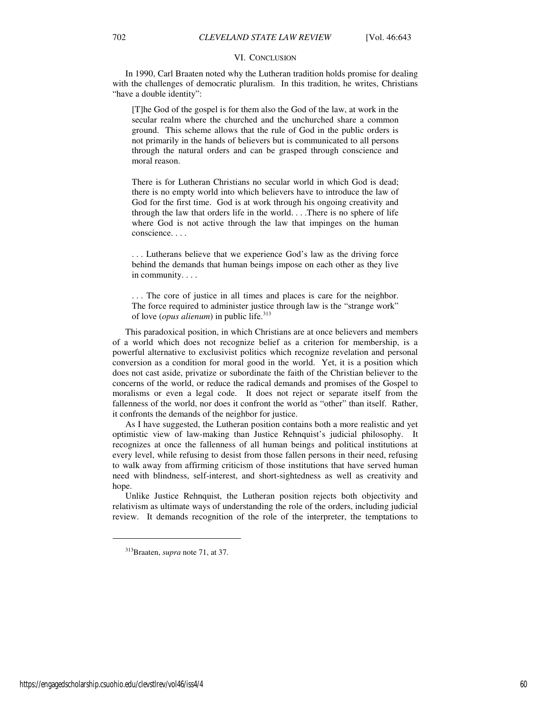#### VI. CONCLUSION

In 1990, Carl Braaten noted why the Lutheran tradition holds promise for dealing with the challenges of democratic pluralism. In this tradition, he writes, Christians "have a double identity":

[T]he God of the gospel is for them also the God of the law, at work in the secular realm where the churched and the unchurched share a common ground. This scheme allows that the rule of God in the public orders is not primarily in the hands of believers but is communicated to all persons through the natural orders and can be grasped through conscience and moral reason.

There is for Lutheran Christians no secular world in which God is dead; there is no empty world into which believers have to introduce the law of God for the first time. God is at work through his ongoing creativity and through the law that orders life in the world. . . .There is no sphere of life where God is not active through the law that impinges on the human conscience. . . .

. . . Lutherans believe that we experience God's law as the driving force behind the demands that human beings impose on each other as they live in community. . . .

. . . The core of justice in all times and places is care for the neighbor. The force required to administer justice through law is the "strange work" of love (*opus alienum*) in public life.<sup>313</sup>

This paradoxical position, in which Christians are at once believers and members of a world which does not recognize belief as a criterion for membership, is a powerful alternative to exclusivist politics which recognize revelation and personal conversion as a condition for moral good in the world. Yet, it is a position which does not cast aside, privatize or subordinate the faith of the Christian believer to the concerns of the world, or reduce the radical demands and promises of the Gospel to moralisms or even a legal code. It does not reject or separate itself from the fallenness of the world, nor does it confront the world as "other" than itself. Rather, it confronts the demands of the neighbor for justice.

As I have suggested, the Lutheran position contains both a more realistic and yet optimistic view of law-making than Justice Rehnquist's judicial philosophy. It recognizes at once the fallenness of all human beings and political institutions at every level, while refusing to desist from those fallen persons in their need, refusing to walk away from affirming criticism of those institutions that have served human need with blindness, self-interest, and short-sightedness as well as creativity and hope.

Unlike Justice Rehnquist, the Lutheran position rejects both objectivity and relativism as ultimate ways of understanding the role of the orders, including judicial review. It demands recognition of the role of the interpreter, the temptations to

<sup>313</sup>Braaten, *supra* note 71, at 37.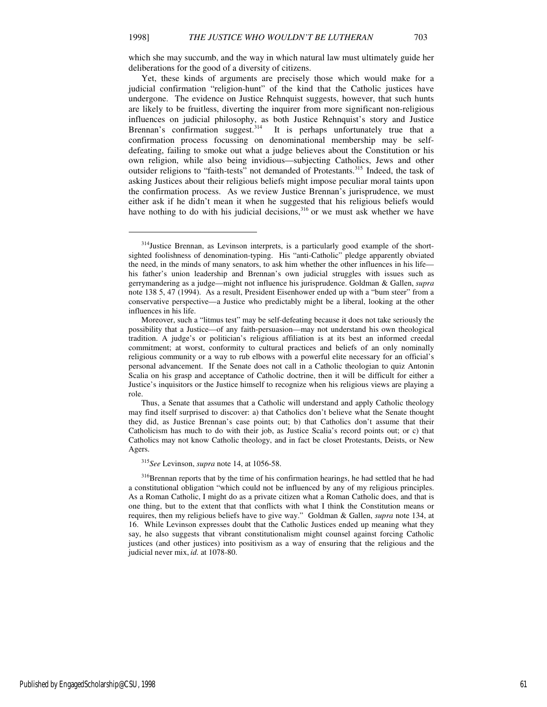which she may succumb, and the way in which natural law must ultimately guide her deliberations for the good of a diversity of citizens.

Yet, these kinds of arguments are precisely those which would make for a judicial confirmation "religion-hunt" of the kind that the Catholic justices have undergone. The evidence on Justice Rehnquist suggests, however, that such hunts are likely to be fruitless, diverting the inquirer from more significant non-religious influences on judicial philosophy, as both Justice Rehnquist's story and Justice Brennan's confirmation suggest.<sup>314</sup> It is perhaps unfortunately true that a confirmation process focussing on denominational membership may be selfdefeating, failing to smoke out what a judge believes about the Constitution or his own religion, while also being invidious—subjecting Catholics, Jews and other outsider religions to "faith-tests" not demanded of Protestants.<sup>315</sup> Indeed, the task of asking Justices about their religious beliefs might impose peculiar moral taints upon the confirmation process. As we review Justice Brennan's jurisprudence, we must either ask if he didn't mean it when he suggested that his religious beliefs would have nothing to do with his judicial decisions, $316$  or we must ask whether we have

<sup>315</sup>*See* Levinson, *supra* note 14, at 1056-58.

<sup>&</sup>lt;sup>314</sup>Justice Brennan, as Levinson interprets, is a particularly good example of the shortsighted foolishness of denomination-typing. His "anti-Catholic" pledge apparently obviated the need, in the minds of many senators, to ask him whether the other influences in his life his father's union leadership and Brennan's own judicial struggles with issues such as gerrymandering as a judge—might not influence his jurisprudence. Goldman & Gallen, *supra*  note 138 5, 47 (1994). As a result, President Eisenhower ended up with a "bum steer" from a conservative perspective—a Justice who predictably might be a liberal, looking at the other influences in his life.

Moreover, such a "litmus test" may be self-defeating because it does not take seriously the possibility that a Justice—of any faith-persuasion—may not understand his own theological tradition. A judge's or politician's religious affiliation is at its best an informed creedal commitment; at worst, conformity to cultural practices and beliefs of an only nominally religious community or a way to rub elbows with a powerful elite necessary for an official's personal advancement. If the Senate does not call in a Catholic theologian to quiz Antonin Scalia on his grasp and acceptance of Catholic doctrine, then it will be difficult for either a Justice's inquisitors or the Justice himself to recognize when his religious views are playing a role.

Thus, a Senate that assumes that a Catholic will understand and apply Catholic theology may find itself surprised to discover: a) that Catholics don't believe what the Senate thought they did, as Justice Brennan's case points out; b) that Catholics don't assume that their Catholicism has much to do with their job, as Justice Scalia's record points out; or c) that Catholics may not know Catholic theology, and in fact be closet Protestants, Deists, or New Agers.

<sup>&</sup>lt;sup>316</sup>Brennan reports that by the time of his confirmation hearings, he had settled that he had a constitutional obligation "which could not be influenced by any of my religious principles. As a Roman Catholic, I might do as a private citizen what a Roman Catholic does, and that is one thing, but to the extent that that conflicts with what I think the Constitution means or requires, then my religious beliefs have to give way." Goldman & Gallen, *supra* note 134, at 16. While Levinson expresses doubt that the Catholic Justices ended up meaning what they say, he also suggests that vibrant constitutionalism might counsel against forcing Catholic justices (and other justices) into positivism as a way of ensuring that the religious and the judicial never mix, *id.* at 1078-80.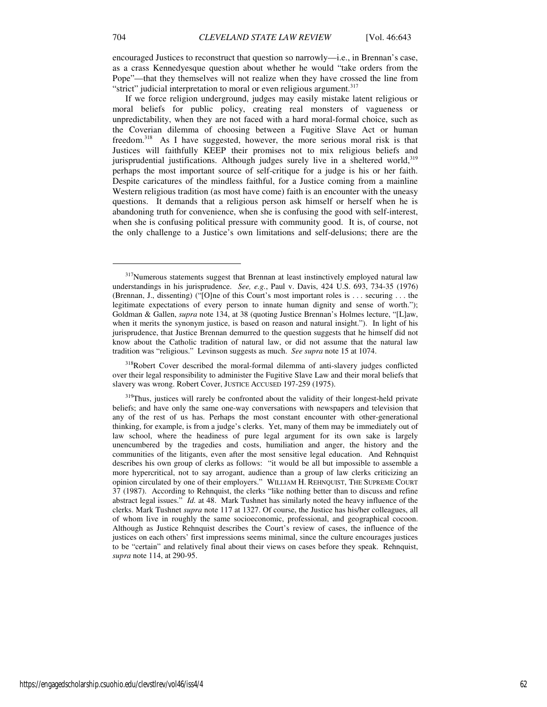encouraged Justices to reconstruct that question so narrowly—i.e., in Brennan's case, as a crass Kennedyesque question about whether he would "take orders from the Pope"—that they themselves will not realize when they have crossed the line from "strict" judicial interpretation to moral or even religious argument.<sup>317</sup>

If we force religion underground, judges may easily mistake latent religious or moral beliefs for public policy, creating real monsters of vagueness or unpredictability, when they are not faced with a hard moral-formal choice, such as the Coverian dilemma of choosing between a Fugitive Slave Act or human freedom.<sup>318</sup> As I have suggested, however, the more serious moral risk is that Justices will faithfully KEEP their promises not to mix religious beliefs and jurisprudential justifications. Although judges surely live in a sheltered world,  $319$ perhaps the most important source of self-critique for a judge is his or her faith. Despite caricatures of the mindless faithful, for a Justice coming from a mainline Western religious tradition (as most have come) faith is an encounter with the uneasy questions. It demands that a religious person ask himself or herself when he is abandoning truth for convenience, when she is confusing the good with self-interest, when she is confusing political pressure with community good. It is, of course, not the only challenge to a Justice's own limitations and self-delusions; there are the

<sup>&</sup>lt;sup>317</sup>Numerous statements suggest that Brennan at least instinctively employed natural law understandings in his jurisprudence. *See, e.g.*, Paul v. Davis, 424 U.S. 693, 734-35 (1976) (Brennan, J., dissenting) ("[O]ne of this Court's most important roles is . . . securing . . . the legitimate expectations of every person to innate human dignity and sense of worth."); Goldman & Gallen, *supra* note 134, at 38 (quoting Justice Brennan's Holmes lecture, "[L]aw, when it merits the synonym justice, is based on reason and natural insight."). In light of his jurisprudence, that Justice Brennan demurred to the question suggests that he himself did not know about the Catholic tradition of natural law, or did not assume that the natural law tradition was "religious." Levinson suggests as much. *See supra* note 15 at 1074.

<sup>&</sup>lt;sup>318</sup>Robert Cover described the moral-formal dilemma of anti-slavery judges conflicted over their legal responsibility to administer the Fugitive Slave Law and their moral beliefs that slavery was wrong. Robert Cover, JUSTICE ACCUSED 197-259 (1975).

<sup>&</sup>lt;sup>319</sup>Thus, justices will rarely be confronted about the validity of their longest-held private beliefs; and have only the same one-way conversations with newspapers and television that any of the rest of us has. Perhaps the most constant encounter with other-generational thinking, for example, is from a judge's clerks. Yet, many of them may be immediately out of law school, where the headiness of pure legal argument for its own sake is largely unencumbered by the tragedies and costs, humiliation and anger, the history and the communities of the litigants, even after the most sensitive legal education. And Rehnquist describes his own group of clerks as follows: "it would be all but impossible to assemble a more hypercritical, not to say arrogant, audience than a group of law clerks criticizing an opinion circulated by one of their employers." WILLIAM H. REHNQUIST, THE SUPREME COURT 37 (1987). According to Rehnquist, the clerks "like nothing better than to discuss and refine abstract legal issues." *Id.* at 48. Mark Tushnet has similarly noted the heavy influence of the clerks. Mark Tushnet *supra* note 117 at 1327. Of course, the Justice has his/her colleagues, all of whom live in roughly the same socioeconomic, professional, and geographical cocoon. Although as Justice Rehnquist describes the Court's review of cases, the influence of the justices on each others' first impressions seems minimal, since the culture encourages justices to be "certain" and relatively final about their views on cases before they speak. Rehnquist, *supra* note 114, at 290-95.